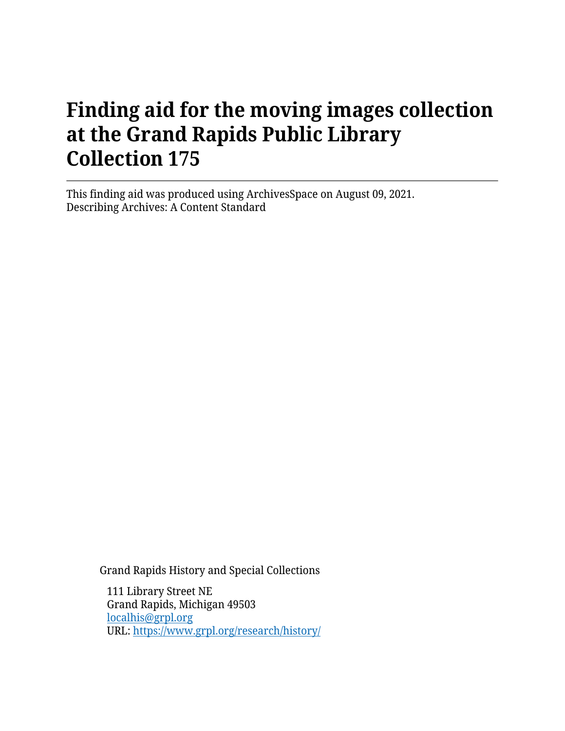# **Finding aid for the moving images collection at the Grand Rapids Public Library Collection 175**

This finding aid was produced using ArchivesSpace on August 09, 2021. Describing Archives: A Content Standard

Grand Rapids History and Special Collections

111 Library Street NE Grand Rapids, Michigan 49503 [localhis@grpl.org](mailto:localhis@grpl.org) URL:<https://www.grpl.org/research/history/>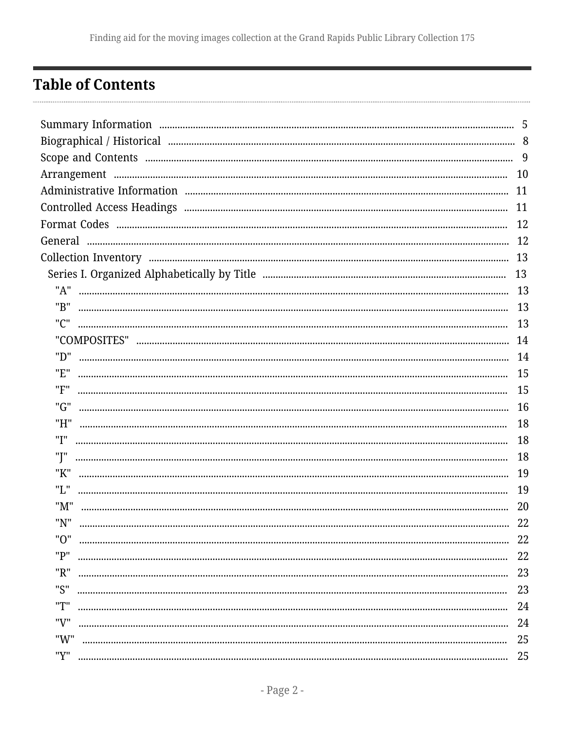# <span id="page-1-0"></span>**Table of Contents**

|     | -5 |  |
|-----|----|--|
|     |    |  |
|     |    |  |
|     | 10 |  |
|     | 11 |  |
|     | 11 |  |
|     | 12 |  |
|     | 12 |  |
|     |    |  |
|     | 13 |  |
| "A" |    |  |
| "B" | 13 |  |
| "C" |    |  |
|     |    |  |
| "D" |    |  |
| "E" | 15 |  |
| "F" | 15 |  |
| "G" | 16 |  |
| "H" | 18 |  |
| "I" | 18 |  |
| "J" | 18 |  |
| "K" | 19 |  |
| "L" | 19 |  |
| "M" | 20 |  |
| "N" | 22 |  |
| "በ" | 22 |  |
| "P" | 22 |  |
| "R" | 23 |  |
| "S" | 23 |  |
| "T" | 24 |  |
| "V" | 24 |  |
| "W" | 25 |  |
| "Y" | 25 |  |
|     |    |  |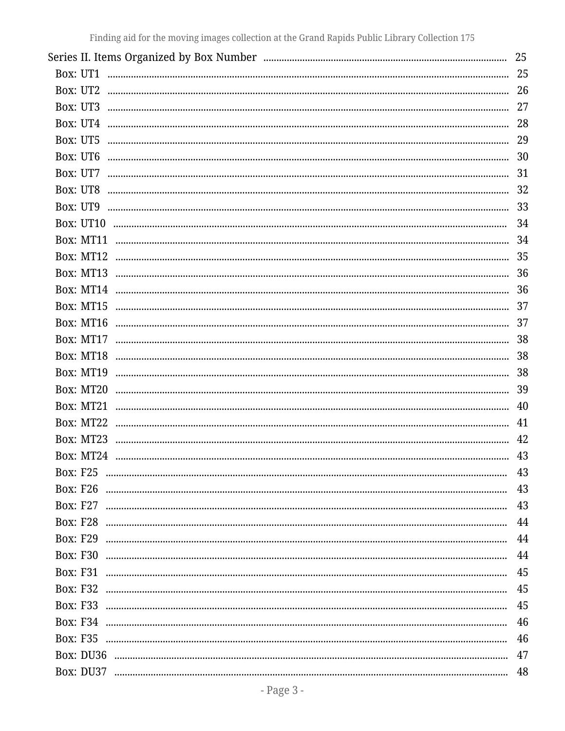|                                                                                                                                                                                                                                                                                                                                                                                                                                                                                | 25 |
|--------------------------------------------------------------------------------------------------------------------------------------------------------------------------------------------------------------------------------------------------------------------------------------------------------------------------------------------------------------------------------------------------------------------------------------------------------------------------------|----|
| Box: UT1                                                                                                                                                                                                                                                                                                                                                                                                                                                                       | 25 |
| Box: UT2                                                                                                                                                                                                                                                                                                                                                                                                                                                                       | 26 |
| Box: UT3                                                                                                                                                                                                                                                                                                                                                                                                                                                                       | 27 |
| Box: UT4                                                                                                                                                                                                                                                                                                                                                                                                                                                                       | 28 |
| Box: UT5                                                                                                                                                                                                                                                                                                                                                                                                                                                                       | 29 |
| Box: UT6                                                                                                                                                                                                                                                                                                                                                                                                                                                                       | 30 |
| Box: UT7                                                                                                                                                                                                                                                                                                                                                                                                                                                                       | 31 |
| Box: UT8                                                                                                                                                                                                                                                                                                                                                                                                                                                                       | 32 |
| Box: UT9                                                                                                                                                                                                                                                                                                                                                                                                                                                                       | 33 |
| Box: UT10                                                                                                                                                                                                                                                                                                                                                                                                                                                                      | 34 |
| Box: MT11                                                                                                                                                                                                                                                                                                                                                                                                                                                                      | 34 |
| Box: MT12                                                                                                                                                                                                                                                                                                                                                                                                                                                                      | 35 |
| Box: MT13                                                                                                                                                                                                                                                                                                                                                                                                                                                                      | 36 |
| Box: MT14                                                                                                                                                                                                                                                                                                                                                                                                                                                                      | 36 |
| Box: MT15                                                                                                                                                                                                                                                                                                                                                                                                                                                                      | 37 |
| Box: MT16                                                                                                                                                                                                                                                                                                                                                                                                                                                                      | 37 |
| Box: MT17                                                                                                                                                                                                                                                                                                                                                                                                                                                                      | 38 |
| Box: MT18                                                                                                                                                                                                                                                                                                                                                                                                                                                                      | 38 |
| Box: MT19                                                                                                                                                                                                                                                                                                                                                                                                                                                                      | 38 |
| Box: MT20                                                                                                                                                                                                                                                                                                                                                                                                                                                                      | 39 |
| Box: MT21                                                                                                                                                                                                                                                                                                                                                                                                                                                                      | 40 |
| Box: MT22                                                                                                                                                                                                                                                                                                                                                                                                                                                                      | 41 |
| Box: MT23<br>$\begin{smallmatrix}&&&&&&&&&\\ &&&&&&&&&\\ &&&&&&&&&&&\\ &&&&&&&&&&&\\ &&&&&&&&&&&\\ &&&&&&&&&&&\\ &&&&&&&&&&&\\ &&&&&&&&&&&\\ &&&&&&&&&&&\\ &&&&&&&&&&&\\ &&&&&&&&&&&\\ &&&&&&&&&&&\\ &&&&&&&&&&&\\ &&&&&&&&&&&&&\\ &&&&&&&&&&&&&\\ &&&&&&&&&&&&&\\ &&&&&&&&&&&&&\\ &&&&&&&&&&&&&\\ &&&&&&&&&&&&&\\ &&&&&&&&&&&&&&&\\ &&&&&&&&&&&&&&&\\ &&&&&&&&&&&&&&&\\ &&&&&&&&&&&&&&&\\ &&&&&&&&&&&&&&&\\ &&&&&&&&&&&&&&&\\ &&&&&&&&&&&&&&&\\ &&&&&&&&&&&&&&&\\ &&&&&&&&&&$ | 42 |
| Box: MT24                                                                                                                                                                                                                                                                                                                                                                                                                                                                      | 43 |
| <b>Box: F25</b>                                                                                                                                                                                                                                                                                                                                                                                                                                                                | 43 |
| <b>Box: F26</b>                                                                                                                                                                                                                                                                                                                                                                                                                                                                | 43 |
| <b>Box: F27</b>                                                                                                                                                                                                                                                                                                                                                                                                                                                                | 43 |
| <b>Box: F28</b>                                                                                                                                                                                                                                                                                                                                                                                                                                                                | 44 |
| <b>Box: F29</b>                                                                                                                                                                                                                                                                                                                                                                                                                                                                | 44 |
| <b>Box: F30</b>                                                                                                                                                                                                                                                                                                                                                                                                                                                                | 44 |
| <b>Box: F31</b>                                                                                                                                                                                                                                                                                                                                                                                                                                                                | 45 |
| <b>Box: F32</b>                                                                                                                                                                                                                                                                                                                                                                                                                                                                | 45 |
| <b>Box: F33</b>                                                                                                                                                                                                                                                                                                                                                                                                                                                                | 45 |
| <b>Box: F34</b>                                                                                                                                                                                                                                                                                                                                                                                                                                                                | 46 |
| <b>Box: F35</b>                                                                                                                                                                                                                                                                                                                                                                                                                                                                | 46 |
|                                                                                                                                                                                                                                                                                                                                                                                                                                                                                | 47 |
|                                                                                                                                                                                                                                                                                                                                                                                                                                                                                | 48 |
|                                                                                                                                                                                                                                                                                                                                                                                                                                                                                |    |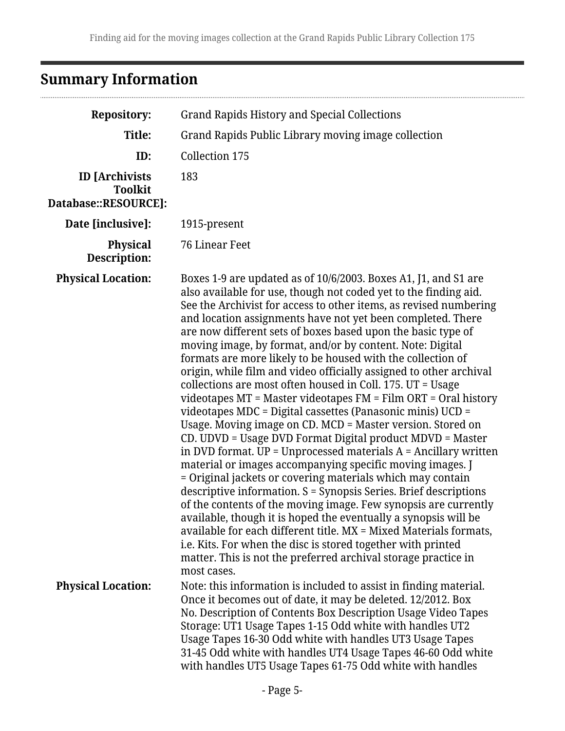# <span id="page-4-0"></span>**Summary Information**

...............................

| <b>Repository:</b>                                              | <b>Grand Rapids History and Special Collections</b>                                                                                                                                                                                                                                                                                                                                                                                                                                                                                                                                                                                                                                                                                                                                                                                                                                                                                                                                                                                                                                                                                                                                                                                                                                                                                                                                                                                                                                                            |  |
|-----------------------------------------------------------------|----------------------------------------------------------------------------------------------------------------------------------------------------------------------------------------------------------------------------------------------------------------------------------------------------------------------------------------------------------------------------------------------------------------------------------------------------------------------------------------------------------------------------------------------------------------------------------------------------------------------------------------------------------------------------------------------------------------------------------------------------------------------------------------------------------------------------------------------------------------------------------------------------------------------------------------------------------------------------------------------------------------------------------------------------------------------------------------------------------------------------------------------------------------------------------------------------------------------------------------------------------------------------------------------------------------------------------------------------------------------------------------------------------------------------------------------------------------------------------------------------------------|--|
| Title:                                                          | Grand Rapids Public Library moving image collection                                                                                                                                                                                                                                                                                                                                                                                                                                                                                                                                                                                                                                                                                                                                                                                                                                                                                                                                                                                                                                                                                                                                                                                                                                                                                                                                                                                                                                                            |  |
| ID:                                                             | Collection 175                                                                                                                                                                                                                                                                                                                                                                                                                                                                                                                                                                                                                                                                                                                                                                                                                                                                                                                                                                                                                                                                                                                                                                                                                                                                                                                                                                                                                                                                                                 |  |
| <b>ID</b> [Archivists<br><b>Toolkit</b><br>Database::RESOURCE]: | 183                                                                                                                                                                                                                                                                                                                                                                                                                                                                                                                                                                                                                                                                                                                                                                                                                                                                                                                                                                                                                                                                                                                                                                                                                                                                                                                                                                                                                                                                                                            |  |
| Date [inclusive]:                                               | 1915-present                                                                                                                                                                                                                                                                                                                                                                                                                                                                                                                                                                                                                                                                                                                                                                                                                                                                                                                                                                                                                                                                                                                                                                                                                                                                                                                                                                                                                                                                                                   |  |
| <b>Physical</b><br>Description:                                 | <b>76 Linear Feet</b>                                                                                                                                                                                                                                                                                                                                                                                                                                                                                                                                                                                                                                                                                                                                                                                                                                                                                                                                                                                                                                                                                                                                                                                                                                                                                                                                                                                                                                                                                          |  |
| <b>Physical Location:</b>                                       | Boxes 1-9 are updated as of 10/6/2003. Boxes A1, J1, and S1 are<br>also available for use, though not coded yet to the finding aid.<br>See the Archivist for access to other items, as revised numbering<br>and location assignments have not yet been completed. There<br>are now different sets of boxes based upon the basic type of<br>moving image, by format, and/or by content. Note: Digital<br>formats are more likely to be housed with the collection of<br>origin, while film and video officially assigned to other archival<br>collections are most often housed in Coll. 175. UT = Usage<br>videotapes $MT = Master$ videotapes $FM = Film$ ORT = Oral history<br>videotapes $MDC = Digital\,$ cassettes (Panasonic minis) $UCD =$<br>Usage. Moving image on CD. MCD = Master version. Stored on<br>CD. UDVD = Usage DVD Format Digital product MDVD = Master<br>in DVD format. $UP = Unprocessed$ materials $A =$ Ancillary written<br>material or images accompanying specific moving images. J<br>= Original jackets or covering materials which may contain<br>descriptive information. S = Synopsis Series. Brief descriptions<br>of the contents of the moving image. Few synopsis are currently<br>available, though it is hoped the eventually a synopsis will be<br>available for each different title. MX = Mixed Materials formats,<br>i.e. Kits. For when the disc is stored together with printed<br>matter. This is not the preferred archival storage practice in<br>most cases. |  |
| <b>Physical Location:</b>                                       | Note: this information is included to assist in finding material.<br>Once it becomes out of date, it may be deleted. 12/2012. Box<br>No. Description of Contents Box Description Usage Video Tapes<br>Storage: UT1 Usage Tapes 1-15 Odd white with handles UT2<br>Usage Tapes 16-30 Odd white with handles UT3 Usage Tapes<br>31-45 Odd white with handles UT4 Usage Tapes 46-60 Odd white<br>with handles UT5 Usage Tapes 61-75 Odd white with handles                                                                                                                                                                                                                                                                                                                                                                                                                                                                                                                                                                                                                                                                                                                                                                                                                                                                                                                                                                                                                                                        |  |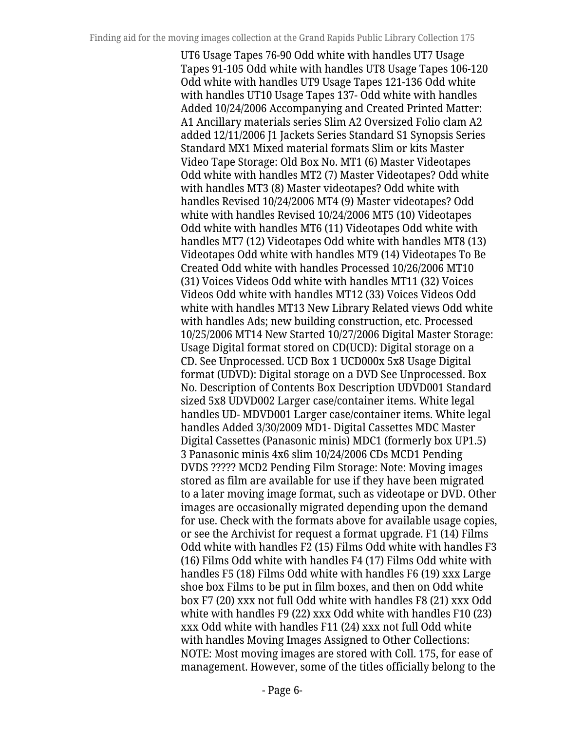UT6 Usage Tapes 76-90 Odd white with handles UT7 Usage Tapes 91-105 Odd white with handles UT8 Usage Tapes 106-120 Odd white with handles UT9 Usage Tapes 121-136 Odd white with handles UT10 Usage Tapes 137- Odd white with handles Added 10/24/2006 Accompanying and Created Printed Matter: A1 Ancillary materials series Slim A2 Oversized Folio clam A2 added 12/11/2006 J1 Jackets Series Standard S1 Synopsis Series Standard MX1 Mixed material formats Slim or kits Master Video Tape Storage: Old Box No. MT1 (6) Master Videotapes Odd white with handles MT2 (7) Master Videotapes? Odd white with handles MT3 (8) Master videotapes? Odd white with handles Revised 10/24/2006 MT4 (9) Master videotapes? Odd white with handles Revised 10/24/2006 MT5 (10) Videotapes Odd white with handles MT6 (11) Videotapes Odd white with handles MT7 (12) Videotapes Odd white with handles MT8 (13) Videotapes Odd white with handles MT9 (14) Videotapes To Be Created Odd white with handles Processed 10/26/2006 MT10 (31) Voices Videos Odd white with handles MT11 (32) Voices Videos Odd white with handles MT12 (33) Voices Videos Odd white with handles MT13 New Library Related views Odd white with handles Ads; new building construction, etc. Processed 10/25/2006 MT14 New Started 10/27/2006 Digital Master Storage: Usage Digital format stored on CD(UCD): Digital storage on a CD. See Unprocessed. UCD Box 1 UCD000x 5x8 Usage Digital format (UDVD): Digital storage on a DVD See Unprocessed. Box No. Description of Contents Box Description UDVD001 Standard sized 5x8 UDVD002 Larger case/container items. White legal handles UD- MDVD001 Larger case/container items. White legal handles Added 3/30/2009 MD1- Digital Cassettes MDC Master Digital Cassettes (Panasonic minis) MDC1 (formerly box UP1.5) 3 Panasonic minis 4x6 slim 10/24/2006 CDs MCD1 Pending DVDS ????? MCD2 Pending Film Storage: Note: Moving images stored as film are available for use if they have been migrated to a later moving image format, such as videotape or DVD. Other images are occasionally migrated depending upon the demand for use. Check with the formats above for available usage copies, or see the Archivist for request a format upgrade. F1 (14) Films Odd white with handles F2 (15) Films Odd white with handles F3 (16) Films Odd white with handles F4 (17) Films Odd white with handles F5 (18) Films Odd white with handles F6 (19) xxx Large shoe box Films to be put in film boxes, and then on Odd white box F7 (20) xxx not full Odd white with handles F8 (21) xxx Odd white with handles F9 (22) xxx Odd white with handles F10 (23) xxx Odd white with handles F11 (24) xxx not full Odd white with handles Moving Images Assigned to Other Collections: NOTE: Most moving images are stored with Coll. 175, for ease of management. However, some of the titles officially belong to the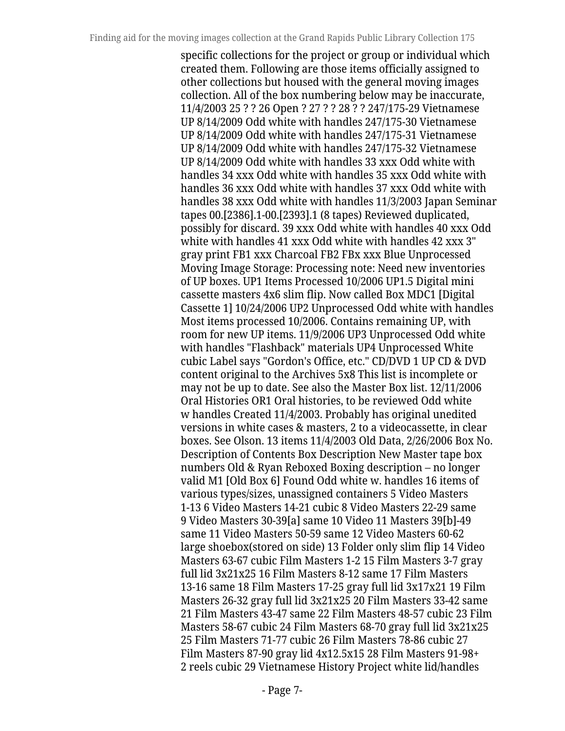specific collections for the project or group or individual which created them. Following are those items officially assigned to other collections but housed with the general moving images collection. All of the box numbering below may be inaccurate, 11/4/2003 25 ? ? 26 Open ? 27 ? ? 28 ? ? 247/175-29 Vietnamese UP 8/14/2009 Odd white with handles 247/175-30 Vietnamese UP 8/14/2009 Odd white with handles 247/175-31 Vietnamese UP 8/14/2009 Odd white with handles 247/175-32 Vietnamese UP 8/14/2009 Odd white with handles 33 xxx Odd white with handles 34 xxx Odd white with handles 35 xxx Odd white with handles 36 xxx Odd white with handles 37 xxx Odd white with handles 38 xxx Odd white with handles 11/3/2003 Japan Seminar tapes 00.[2386].1-00.[2393].1 (8 tapes) Reviewed duplicated, possibly for discard. 39 xxx Odd white with handles 40 xxx Odd white with handles 41 xxx Odd white with handles 42 xxx 3" gray print FB1 xxx Charcoal FB2 FBx xxx Blue Unprocessed Moving Image Storage: Processing note: Need new inventories of UP boxes. UP1 Items Processed 10/2006 UP1.5 Digital mini cassette masters 4x6 slim flip. Now called Box MDC1 [Digital Cassette 1] 10/24/2006 UP2 Unprocessed Odd white with handles Most items processed 10/2006. Contains remaining UP, with room for new UP items. 11/9/2006 UP3 Unprocessed Odd white with handles "Flashback" materials UP4 Unprocessed White cubic Label says "Gordon's Office, etc." CD/DVD 1 UP CD & DVD content original to the Archives 5x8 This list is incomplete or may not be up to date. See also the Master Box list. 12/11/2006 Oral Histories OR1 Oral histories, to be reviewed Odd white w handles Created 11/4/2003. Probably has original unedited versions in white cases & masters, 2 to a videocassette, in clear boxes. See Olson. 13 items 11/4/2003 Old Data, 2/26/2006 Box No. Description of Contents Box Description New Master tape box numbers Old & Ryan Reboxed Boxing description – no longer valid M1 [Old Box 6] Found Odd white w. handles 16 items of various types/sizes, unassigned containers 5 Video Masters 1-13 6 Video Masters 14-21 cubic 8 Video Masters 22-29 same 9 Video Masters 30-39[a] same 10 Video 11 Masters 39[b]-49 same 11 Video Masters 50-59 same 12 Video Masters 60-62 large shoebox(stored on side) 13 Folder only slim flip 14 Video Masters 63-67 cubic Film Masters 1-2 15 Film Masters 3-7 gray full lid 3x21x25 16 Film Masters 8-12 same 17 Film Masters 13-16 same 18 Film Masters 17-25 gray full lid 3x17x21 19 Film Masters 26-32 gray full lid 3x21x25 20 Film Masters 33-42 same 21 Film Masters 43-47 same 22 Film Masters 48-57 cubic 23 Film Masters 58-67 cubic 24 Film Masters 68-70 gray full lid 3x21x25 25 Film Masters 71-77 cubic 26 Film Masters 78-86 cubic 27 Film Masters 87-90 gray lid 4x12.5x15 28 Film Masters 91-98+ 2 reels cubic 29 Vietnamese History Project white lid/handles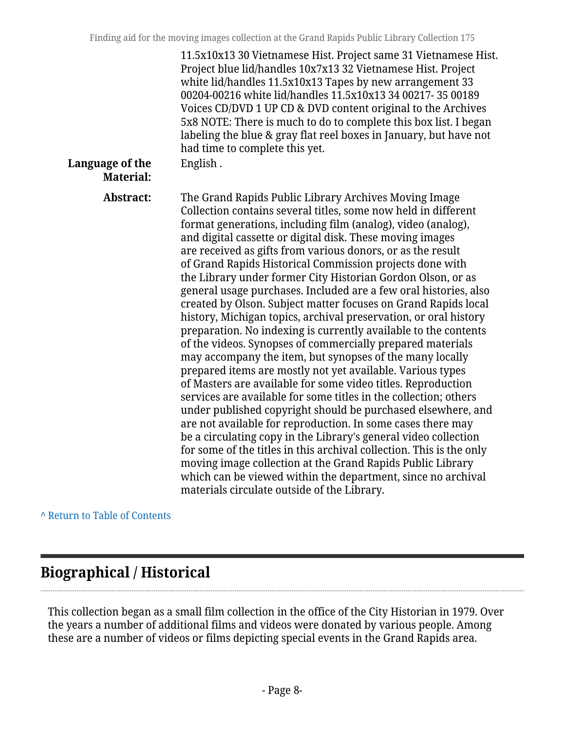| Language of the<br><b>Material:</b> | 11.5x10x13 30 Vietnamese Hist. Project same 31 Vietnamese Hist.<br>Project blue lid/handles 10x7x13 32 Vietnamese Hist. Project<br>white lid/handles 11.5x10x13 Tapes by new arrangement 33<br>00204-00216 white lid/handles 11.5x10x13 34 00217- 35 00189<br>Voices CD/DVD 1 UP CD & DVD content original to the Archives<br>5x8 NOTE: There is much to do to complete this box list. I began<br>labeling the blue & gray flat reel boxes in January, but have not<br>had time to complete this yet.<br>English.                                                                                                                                                                                                                                                                                                                                                                                                                                                                                                                                                                                                                                                                                                                                                                                                                                                                                                                                                                                              |
|-------------------------------------|----------------------------------------------------------------------------------------------------------------------------------------------------------------------------------------------------------------------------------------------------------------------------------------------------------------------------------------------------------------------------------------------------------------------------------------------------------------------------------------------------------------------------------------------------------------------------------------------------------------------------------------------------------------------------------------------------------------------------------------------------------------------------------------------------------------------------------------------------------------------------------------------------------------------------------------------------------------------------------------------------------------------------------------------------------------------------------------------------------------------------------------------------------------------------------------------------------------------------------------------------------------------------------------------------------------------------------------------------------------------------------------------------------------------------------------------------------------------------------------------------------------|
| Abstract:                           | The Grand Rapids Public Library Archives Moving Image<br>Collection contains several titles, some now held in different<br>format generations, including film (analog), video (analog),<br>and digital cassette or digital disk. These moving images<br>are received as gifts from various donors, or as the result<br>of Grand Rapids Historical Commission projects done with<br>the Library under former City Historian Gordon Olson, or as<br>general usage purchases. Included are a few oral histories, also<br>created by Olson. Subject matter focuses on Grand Rapids local<br>history, Michigan topics, archival preservation, or oral history<br>preparation. No indexing is currently available to the contents<br>of the videos. Synopses of commercially prepared materials<br>may accompany the item, but synopses of the many locally<br>prepared items are mostly not yet available. Various types<br>of Masters are available for some video titles. Reproduction<br>services are available for some titles in the collection; others<br>under published copyright should be purchased elsewhere, and<br>are not available for reproduction. In some cases there may<br>be a circulating copy in the Library's general video collection<br>for some of the titles in this archival collection. This is the only<br>moving image collection at the Grand Rapids Public Library<br>which can be viewed within the department, since no archival<br>materials circulate outside of the Library. |

#### **^** [Return to Table of Contents](#page-1-0)

# <span id="page-7-0"></span>**Biographical / Historical**

This collection began as a small film collection in the office of the City Historian in 1979. Over the years a number of additional films and videos were donated by various people. Among these are a number of videos or films depicting special events in the Grand Rapids area.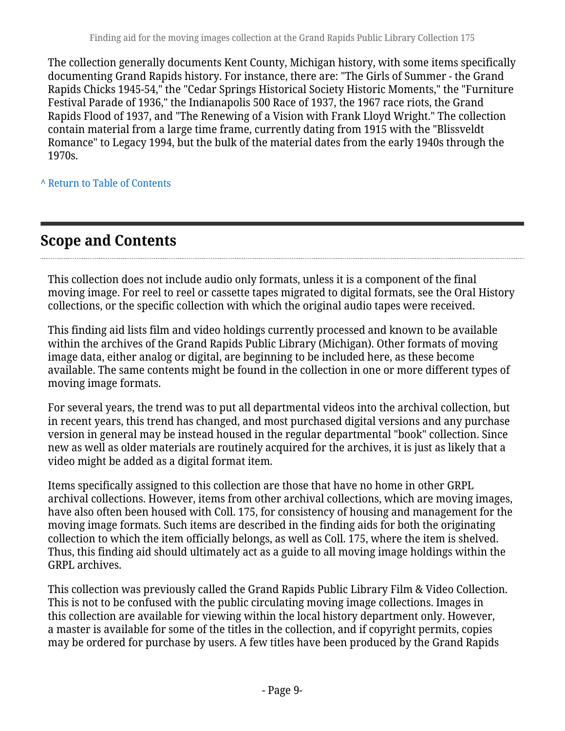The collection generally documents Kent County, Michigan history, with some items specifically documenting Grand Rapids history. For instance, there are: "The Girls of Summer - the Grand Rapids Chicks 1945-54," the "Cedar Springs Historical Society Historic Moments," the "Furniture Festival Parade of 1936," the Indianapolis 500 Race of 1937, the 1967 race riots, the Grand Rapids Flood of 1937, and "The Renewing of a Vision with Frank Lloyd Wright." The collection contain material from a large time frame, currently dating from 1915 with the "Blissveldt Romance" to Legacy 1994, but the bulk of the material dates from the early 1940s through the 1970s.

**^** [Return to Table of Contents](#page-1-0)

# <span id="page-8-0"></span>**Scope and Contents**

This collection does not include audio only formats, unless it is a component of the final moving image. For reel to reel or cassette tapes migrated to digital formats, see the Oral History collections, or the specific collection with which the original audio tapes were received.

This finding aid lists film and video holdings currently processed and known to be available within the archives of the Grand Rapids Public Library (Michigan). Other formats of moving image data, either analog or digital, are beginning to be included here, as these become available. The same contents might be found in the collection in one or more different types of moving image formats.

For several years, the trend was to put all departmental videos into the archival collection, but in recent years, this trend has changed, and most purchased digital versions and any purchase version in general may be instead housed in the regular departmental "book" collection. Since new as well as older materials are routinely acquired for the archives, it is just as likely that a video might be added as a digital format item.

Items specifically assigned to this collection are those that have no home in other GRPL archival collections. However, items from other archival collections, which are moving images, have also often been housed with Coll. 175, for consistency of housing and management for the moving image formats. Such items are described in the finding aids for both the originating collection to which the item officially belongs, as well as Coll. 175, where the item is shelved. Thus, this finding aid should ultimately act as a guide to all moving image holdings within the GRPL archives.

This collection was previously called the Grand Rapids Public Library Film & Video Collection. This is not to be confused with the public circulating moving image collections. Images in this collection are available for viewing within the local history department only. However, a master is available for some of the titles in the collection, and if copyright permits, copies may be ordered for purchase by users. A few titles have been produced by the Grand Rapids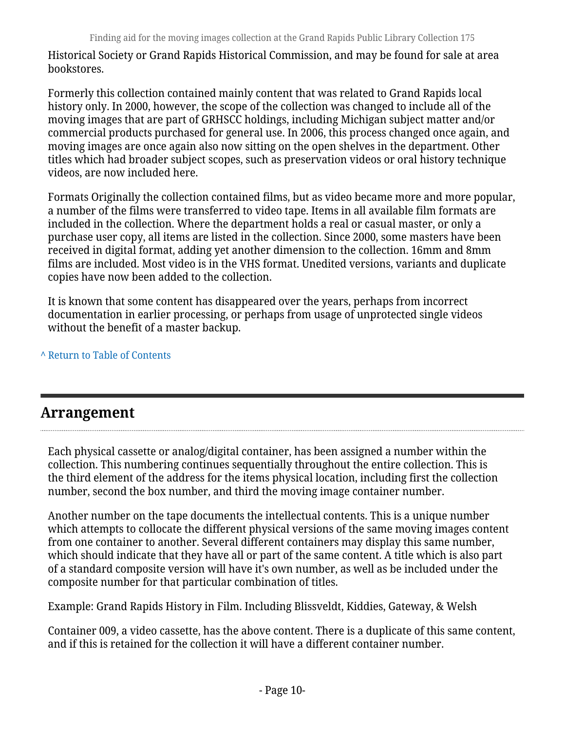Historical Society or Grand Rapids Historical Commission, and may be found for sale at area bookstores.

Formerly this collection contained mainly content that was related to Grand Rapids local history only. In 2000, however, the scope of the collection was changed to include all of the moving images that are part of GRHSCC holdings, including Michigan subject matter and/or commercial products purchased for general use. In 2006, this process changed once again, and moving images are once again also now sitting on the open shelves in the department. Other titles which had broader subject scopes, such as preservation videos or oral history technique videos, are now included here.

Formats Originally the collection contained films, but as video became more and more popular, a number of the films were transferred to video tape. Items in all available film formats are included in the collection. Where the department holds a real or casual master, or only a purchase user copy, all items are listed in the collection. Since 2000, some masters have been received in digital format, adding yet another dimension to the collection. 16mm and 8mm films are included. Most video is in the VHS format. Unedited versions, variants and duplicate copies have now been added to the collection.

It is known that some content has disappeared over the years, perhaps from incorrect documentation in earlier processing, or perhaps from usage of unprotected single videos without the benefit of a master backup.

**^** [Return to Table of Contents](#page-1-0)

# <span id="page-9-0"></span>**Arrangement**

Each physical cassette or analog/digital container, has been assigned a number within the collection. This numbering continues sequentially throughout the entire collection. This is the third element of the address for the items physical location, including first the collection number, second the box number, and third the moving image container number.

Another number on the tape documents the intellectual contents. This is a unique number which attempts to collocate the different physical versions of the same moving images content from one container to another. Several different containers may display this same number, which should indicate that they have all or part of the same content. A title which is also part of a standard composite version will have it's own number, as well as be included under the composite number for that particular combination of titles.

Example: Grand Rapids History in Film. Including Blissveldt, Kiddies, Gateway, & Welsh

Container 009, a video cassette, has the above content. There is a duplicate of this same content, and if this is retained for the collection it will have a different container number.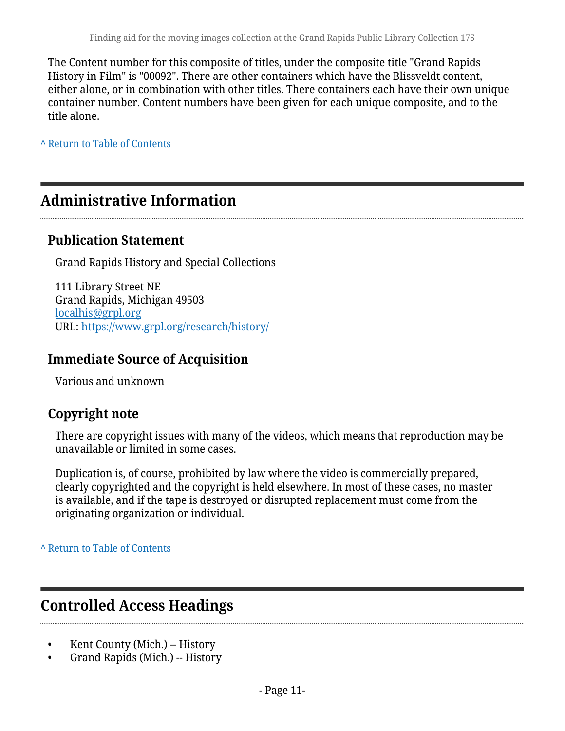The Content number for this composite of titles, under the composite title "Grand Rapids History in Film" is "00092". There are other containers which have the Blissveldt content, either alone, or in combination with other titles. There containers each have their own unique container number. Content numbers have been given for each unique composite, and to the title alone.

**^** [Return to Table of Contents](#page-1-0)

# <span id="page-10-0"></span>**Administrative Information**

#### **Publication Statement**

Grand Rapids History and Special Collections

111 Library Street NE Grand Rapids, Michigan 49503 [localhis@grpl.org](mailto:localhis@grpl.org) URL:<https://www.grpl.org/research/history/>

#### **Immediate Source of Acquisition**

Various and unknown

#### **Copyright note**

There are copyright issues with many of the videos, which means that reproduction may be unavailable or limited in some cases.

Duplication is, of course, prohibited by law where the video is commercially prepared, clearly copyrighted and the copyright is held elsewhere. In most of these cases, no master is available, and if the tape is destroyed or disrupted replacement must come from the originating organization or individual.

**^** [Return to Table of Contents](#page-1-0)

# <span id="page-10-1"></span>**Controlled Access Headings**

- Kent County (Mich.) -- History
- Grand Rapids (Mich.) -- History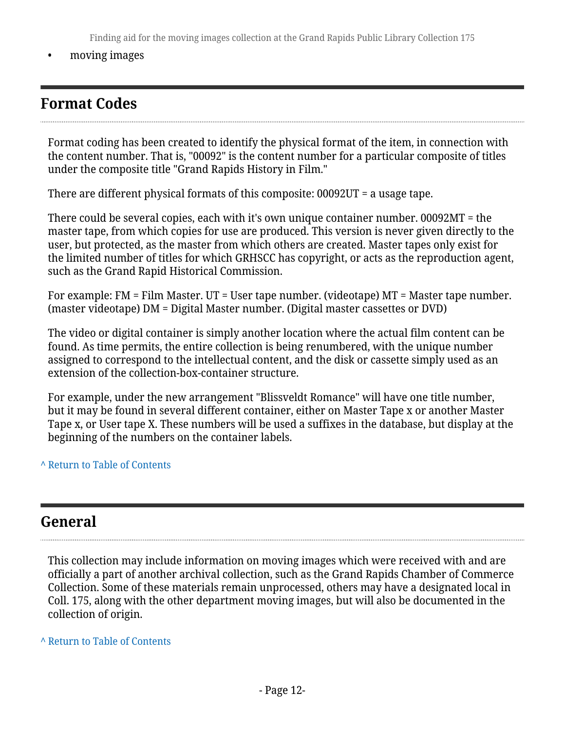Finding aid for the moving images collection at the Grand Rapids Public Library Collection 175

• moving images

# <span id="page-11-0"></span>**Format Codes**

Format coding has been created to identify the physical format of the item, in connection with the content number. That is, "00092" is the content number for a particular composite of titles under the composite title "Grand Rapids History in Film."

There are different physical formats of this composite: 00092UT = a usage tape.

There could be several copies, each with it's own unique container number. 00092MT = the master tape, from which copies for use are produced. This version is never given directly to the user, but protected, as the master from which others are created. Master tapes only exist for the limited number of titles for which GRHSCC has copyright, or acts as the reproduction agent, such as the Grand Rapid Historical Commission.

For example: FM = Film Master. UT = User tape number. (videotape) MT = Master tape number. (master videotape) DM = Digital Master number. (Digital master cassettes or DVD)

The video or digital container is simply another location where the actual film content can be found. As time permits, the entire collection is being renumbered, with the unique number assigned to correspond to the intellectual content, and the disk or cassette simply used as an extension of the collection-box-container structure.

For example, under the new arrangement "Blissveldt Romance" will have one title number, but it may be found in several different container, either on Master Tape x or another Master Tape x, or User tape X. These numbers will be used a suffixes in the database, but display at the beginning of the numbers on the container labels.

**^** [Return to Table of Contents](#page-1-0)

### <span id="page-11-1"></span>**General**

This collection may include information on moving images which were received with and are officially a part of another archival collection, such as the Grand Rapids Chamber of Commerce Collection. Some of these materials remain unprocessed, others may have a designated local in Coll. 175, along with the other department moving images, but will also be documented in the collection of origin.

**^** [Return to Table of Contents](#page-1-0)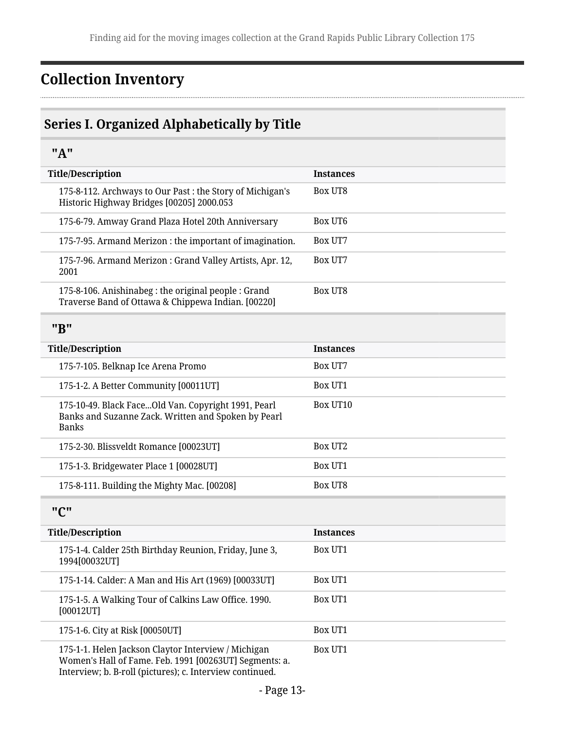# <span id="page-12-0"></span>**Collection Inventory**

# <span id="page-12-1"></span>**Series I. Organized Alphabetically by Title**

#### <span id="page-12-2"></span>**"A"**

<span id="page-12-3"></span>

| <b>Title/Description</b>                                                                                                   | <b>Instances</b> |
|----------------------------------------------------------------------------------------------------------------------------|------------------|
| 175-8-112. Archways to Our Past : the Story of Michigan's<br>Historic Highway Bridges [00205] 2000.053                     | <b>Box UT8</b>   |
| 175-6-79. Amway Grand Plaza Hotel 20th Anniversary                                                                         | Box UT6          |
| 175-7-95. Armand Merizon: the important of imagination.                                                                    | Box UT7          |
| 175-7-96. Armand Merizon: Grand Valley Artists, Apr. 12,<br>2001                                                           | Box UT7          |
| 175-8-106. Anishinabeg : the original people : Grand<br>Traverse Band of Ottawa & Chippewa Indian. [00220]                 | <b>Box UT8</b>   |
| "B"                                                                                                                        |                  |
| <b>Title/Description</b>                                                                                                   | <b>Instances</b> |
| 175-7-105. Belknap Ice Arena Promo                                                                                         | Box UT7          |
| 175-1-2. A Better Community [00011UT]                                                                                      | <b>Box UT1</b>   |
| 175-10-49. Black FaceOld Van. Copyright 1991, Pearl<br>Banks and Suzanne Zack. Written and Spoken by Pearl<br><b>Banks</b> | Box UT10         |
| 175-2-30. Blissveldt Romance [00023UT]                                                                                     | <b>Box UT2</b>   |
| 175-1-3. Bridgewater Place 1 [00028UT]                                                                                     | Box UT1          |
| 175-8-111. Building the Mighty Mac. [00208]                                                                                | <b>Box UT8</b>   |
| "C"                                                                                                                        |                  |
| <b>Title/Description</b>                                                                                                   | <b>Instances</b> |
| 175-1-4. Calder 25th Birthday Reunion, Friday, June 3,<br>1994[00032UT]                                                    | Box UT1          |
| 175-1-14. Calder: A Man and His Art (1969) [00033UT]                                                                       | Box UT1          |
| 175-1-5. A Walking Tour of Calkins Law Office. 1990.<br>[00012UT]                                                          | Box UT1          |
| 175-1-6. City at Risk [00050UT]                                                                                            | Box UT1          |
| 175-1-1. Helen Jackson Claytor Interview / Michigan<br>Women's Hall of Fame. Feb. 1991 [00263UT] Segments: a.              | Box UT1          |

<span id="page-12-4"></span>Interview; b. B-roll (pictures); c. Interview continued.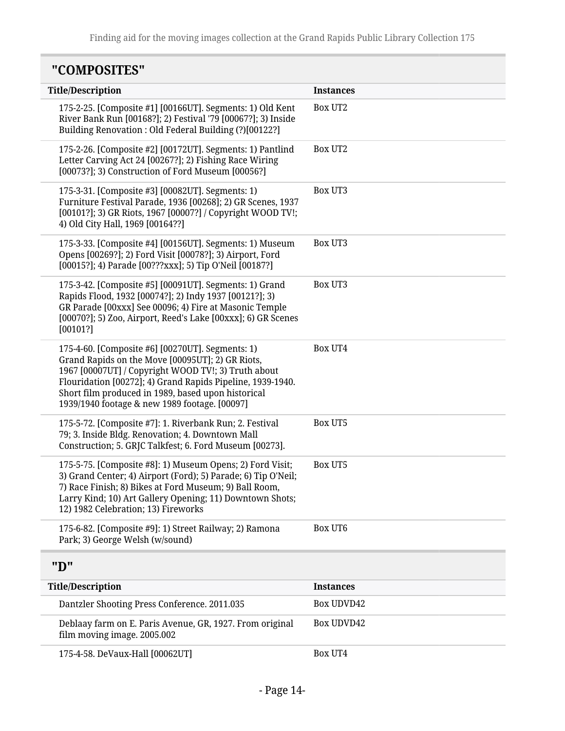# <span id="page-13-0"></span>**"COMPOSITES"**

<span id="page-13-1"></span>

| <b>Title/Description</b>                                                                                                                                                                                                                                                                                                         | <b>Instances</b>  |
|----------------------------------------------------------------------------------------------------------------------------------------------------------------------------------------------------------------------------------------------------------------------------------------------------------------------------------|-------------------|
| 175-2-25. [Composite #1] [00166UT]. Segments: 1) Old Kent<br>River Bank Run [00168?]; 2) Festival '79 [00067?]; 3) Inside<br>Building Renovation : Old Federal Building (?)[00122?]                                                                                                                                              | Box UT2           |
| 175-2-26. [Composite #2] [00172UT]. Segments: 1) Pantlind<br>Letter Carving Act 24 [00267?]; 2) Fishing Race Wiring<br>[00073?]; 3) Construction of Ford Museum [00056?]                                                                                                                                                         | <b>Box UT2</b>    |
| 175-3-31. [Composite #3] [00082UT]. Segments: 1)<br>Furniture Festival Parade, 1936 [00268]; 2) GR Scenes, 1937<br>[00101?]; 3) GR Riots, 1967 [00007?] / Copyright WOOD TV!;<br>4) Old City Hall, 1969 [00164??]                                                                                                                | Box UT3           |
| 175-3-33. [Composite #4] [00156UT]. Segments: 1) Museum<br>Opens [00269?]; 2) Ford Visit [00078?]; 3) Airport, Ford<br>[00015?]; 4) Parade [00???xxx]; 5) Tip O'Neil [00187?]                                                                                                                                                    | Box UT3           |
| 175-3-42. [Composite #5] [00091UT]. Segments: 1) Grand<br>Rapids Flood, 1932 [00074?]; 2) Indy 1937 [00121?]; 3)<br>GR Parade [00xxx] See 00096; 4) Fire at Masonic Temple<br>[00070?]; 5) Zoo, Airport, Reed's Lake [00xxx]; 6) GR Scenes<br>[00101?]                                                                           | Box UT3           |
| 175-4-60. [Composite #6] [00270UT]. Segments: 1)<br>Grand Rapids on the Move [00095UT]; 2) GR Riots,<br>1967 [00007UT] / Copyright WOOD TV!; 3) Truth about<br>Flouridation [00272]; 4) Grand Rapids Pipeline, 1939-1940.<br>Short film produced in 1989, based upon historical<br>1939/1940 footage & new 1989 footage. [00097] | Box UT4           |
| 175-5-72. [Composite #7]: 1. Riverbank Run; 2. Festival<br>79; 3. Inside Bldg. Renovation; 4. Downtown Mall<br>Construction; 5. GRJC Talkfest; 6. Ford Museum [00273].                                                                                                                                                           | <b>Box UT5</b>    |
| 175-5-75. [Composite #8]: 1) Museum Opens; 2) Ford Visit;<br>3) Grand Center; 4) Airport (Ford); 5) Parade; 6) Tip O'Neil;<br>7) Race Finish; 8) Bikes at Ford Museum; 9) Ball Room,<br>Larry Kind; 10) Art Gallery Opening; 11) Downtown Shots;<br>12) 1982 Celebration; 13) Fireworks                                          | <b>Box UT5</b>    |
| 175-6-82. [Composite #9]: 1) Street Railway; 2) Ramona<br>Park; 3) George Welsh (w/sound)                                                                                                                                                                                                                                        | <b>Box UT6</b>    |
| "D"                                                                                                                                                                                                                                                                                                                              |                   |
| <b>Title/Description</b>                                                                                                                                                                                                                                                                                                         | <b>Instances</b>  |
| Dantzler Shooting Press Conference. 2011.035                                                                                                                                                                                                                                                                                     | <b>Box UDVD42</b> |
| Deblaay farm on E. Paris Avenue, GR, 1927. From original<br>film moving image. 2005.002                                                                                                                                                                                                                                          | Box UDVD42        |
| 175-4-58. DeVaux-Hall [00062UT]                                                                                                                                                                                                                                                                                                  | Box UT4           |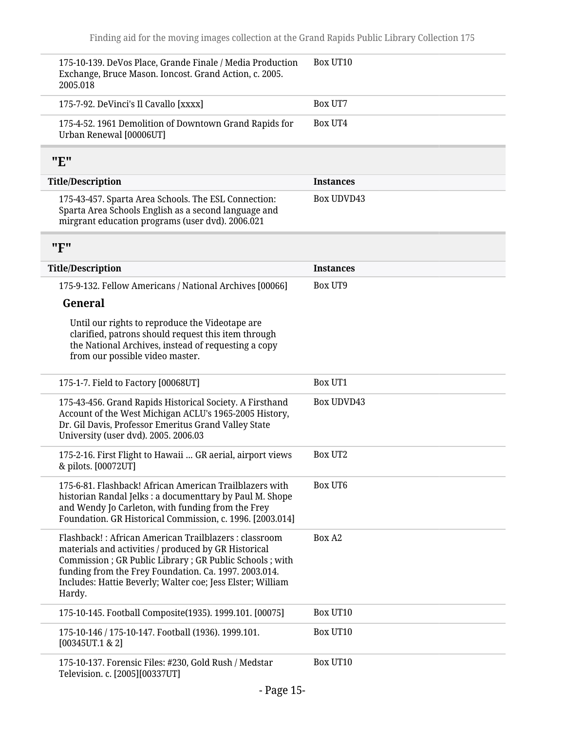<span id="page-14-1"></span><span id="page-14-0"></span>

| 175-10-139. DeVos Place, Grande Finale / Media Production<br>Exchange, Bruce Mason. Ioncost. Grand Action, c. 2005.<br>2005.018                                                                                                                                                                            | Box UT10          |
|------------------------------------------------------------------------------------------------------------------------------------------------------------------------------------------------------------------------------------------------------------------------------------------------------------|-------------------|
| 175-7-92. DeVinci's Il Cavallo [xxxx]                                                                                                                                                                                                                                                                      | Box UT7           |
| 175-4-52. 1961 Demolition of Downtown Grand Rapids for<br>Urban Renewal [00006UT]                                                                                                                                                                                                                          | Box UT4           |
| "E"                                                                                                                                                                                                                                                                                                        |                   |
| <b>Title/Description</b>                                                                                                                                                                                                                                                                                   | <b>Instances</b>  |
| 175-43-457. Sparta Area Schools. The ESL Connection:<br>Sparta Area Schools English as a second language and<br>mirgrant education programs (user dvd). 2006.021                                                                                                                                           | <b>Box UDVD43</b> |
| "F"                                                                                                                                                                                                                                                                                                        |                   |
| <b>Title/Description</b>                                                                                                                                                                                                                                                                                   | <b>Instances</b>  |
| 175-9-132. Fellow Americans / National Archives [00066]                                                                                                                                                                                                                                                    | <b>Box UT9</b>    |
| General                                                                                                                                                                                                                                                                                                    |                   |
| Until our rights to reproduce the Videotape are<br>clarified, patrons should request this item through<br>the National Archives, instead of requesting a copy<br>from our possible video master.                                                                                                           |                   |
| 175-1-7. Field to Factory [00068UT]                                                                                                                                                                                                                                                                        | <b>Box UT1</b>    |
| 175-43-456. Grand Rapids Historical Society. A Firsthand<br>Account of the West Michigan ACLU's 1965-2005 History,<br>Dr. Gil Davis, Professor Emeritus Grand Valley State<br>University (user dvd). 2005. 2006.03                                                                                         | <b>Box UDVD43</b> |
| 175-2-16. First Flight to Hawaii  GR aerial, airport views<br>& pilots. [00072UT]                                                                                                                                                                                                                          | Box UT2           |
| 175-6-81. Flashback! African American Trailblazers with<br>historian Randal Jelks : a documenttary by Paul M. Shope<br>and Wendy Jo Carleton, with funding from the Frey<br>Foundation. GR Historical Commission, c. 1996. [2003.014]                                                                      | <b>Box UT6</b>    |
| Flashback!: African American Trailblazers: classroom<br>materials and activities / produced by GR Historical<br>Commission ; GR Public Library ; GR Public Schools ; with<br>funding from the Frey Foundation. Ca. 1997. 2003.014.<br>Includes: Hattie Beverly; Walter coe; Jess Elster; William<br>Hardy. | Box A2            |
| 175-10-145. Football Composite(1935). 1999.101. [00075]                                                                                                                                                                                                                                                    | Box UT10          |
| 175-10-146 / 175-10-147. Football (1936). 1999.101.<br>[00345UT.1 & 2]                                                                                                                                                                                                                                     | Box UT10          |
| 175-10-137. Forensic Files: #230, Gold Rush / Medstar<br>Television. c. [2005][00337UT]                                                                                                                                                                                                                    | Box UT10          |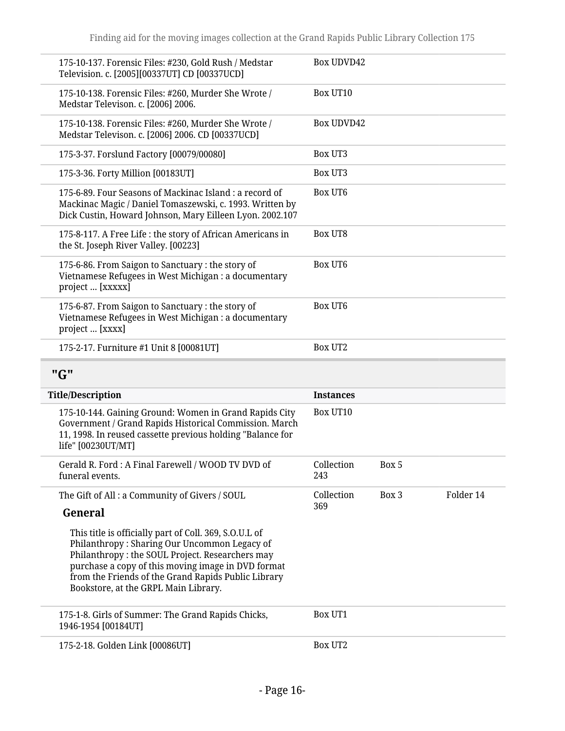| 175-10-137. Forensic Files: #230, Gold Rush / Medstar<br>Television. c. [2005][00337UT] CD [00337UCD]                                                                                                                                                                                                          | Box UDVD42        |       |           |  |
|----------------------------------------------------------------------------------------------------------------------------------------------------------------------------------------------------------------------------------------------------------------------------------------------------------------|-------------------|-------|-----------|--|
| 175-10-138. Forensic Files: #260, Murder She Wrote /<br>Medstar Televison. c. [2006] 2006.                                                                                                                                                                                                                     | Box UT10          |       |           |  |
| 175-10-138. Forensic Files: #260, Murder She Wrote /<br>Medstar Televison. c. [2006] 2006. CD [00337UCD]                                                                                                                                                                                                       | Box UDVD42        |       |           |  |
| 175-3-37. Forslund Factory [00079/00080]                                                                                                                                                                                                                                                                       | <b>Box UT3</b>    |       |           |  |
| 175-3-36. Forty Million [00183UT]                                                                                                                                                                                                                                                                              | Box UT3           |       |           |  |
| 175-6-89. Four Seasons of Mackinac Island : a record of<br>Mackinac Magic / Daniel Tomaszewski, c. 1993. Written by<br>Dick Custin, Howard Johnson, Mary Eilleen Lyon. 2002.107                                                                                                                                | Box UT6           |       |           |  |
| 175-8-117. A Free Life : the story of African Americans in<br>the St. Joseph River Valley. [00223]                                                                                                                                                                                                             | Box UT8           |       |           |  |
| 175-6-86. From Saigon to Sanctuary: the story of<br>Vietnamese Refugees in West Michigan : a documentary<br>project  [XXXXX]                                                                                                                                                                                   | Box UT6           |       |           |  |
| 175-6-87. From Saigon to Sanctuary: the story of<br>Vietnamese Refugees in West Michigan : a documentary<br>project  [XXXX]                                                                                                                                                                                    | <b>Box UT6</b>    |       |           |  |
| 175-2-17. Furniture #1 Unit 8 [00081UT]                                                                                                                                                                                                                                                                        | <b>Box UT2</b>    |       |           |  |
| "G"                                                                                                                                                                                                                                                                                                            |                   |       |           |  |
| <b>Title/Description</b>                                                                                                                                                                                                                                                                                       | <b>Instances</b>  |       |           |  |
| 175-10-144. Gaining Ground: Women in Grand Rapids City<br>Government / Grand Rapids Historical Commission. March<br>11, 1998. In reused cassette previous holding "Balance for<br>life" [00230UT/MT]                                                                                                           | Box UT10          |       |           |  |
| Gerald R. Ford: A Final Farewell / WOOD TV DVD of<br>funeral events.                                                                                                                                                                                                                                           | Collection<br>243 | Box 5 |           |  |
| The Gift of All: a Community of Givers / SOUL                                                                                                                                                                                                                                                                  | Collection        | Box 3 | Folder 14 |  |
| General                                                                                                                                                                                                                                                                                                        | 369               |       |           |  |
| This title is officially part of Coll. 369, S.O.U.L of<br>Philanthropy: Sharing Our Uncommon Legacy of<br>Philanthropy: the SOUL Project. Researchers may<br>purchase a copy of this moving image in DVD format<br>from the Friends of the Grand Rapids Public Library<br>Bookstore, at the GRPL Main Library. |                   |       |           |  |
| 175-1-8. Girls of Summer: The Grand Rapids Chicks,                                                                                                                                                                                                                                                             | Box UT1           |       |           |  |

<span id="page-15-0"></span>1946-1954 [00184UT]

175-2-18. Golden Link [00086UT] Box UT2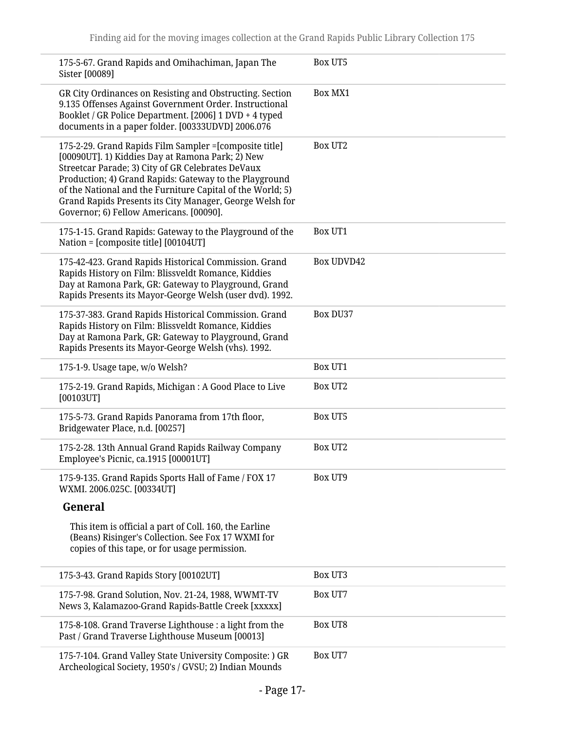| 175-5-67. Grand Rapids and Omihachiman, Japan The<br>Sister [00089]                                                                                                                                                                                                                                                                                                                             | <b>Box UT5</b>    |
|-------------------------------------------------------------------------------------------------------------------------------------------------------------------------------------------------------------------------------------------------------------------------------------------------------------------------------------------------------------------------------------------------|-------------------|
| GR City Ordinances on Resisting and Obstructing. Section<br>9.135 Offenses Against Government Order. Instructional<br>Booklet / GR Police Department. [2006] 1 DVD + 4 typed<br>documents in a paper folder. [00333UDVD] 2006.076                                                                                                                                                               | Box MX1           |
| 175-2-29. Grand Rapids Film Sampler = [composite title]<br>[00090UT]. 1) Kiddies Day at Ramona Park; 2) New<br>Streetcar Parade; 3) City of GR Celebrates DeVaux<br>Production; 4) Grand Rapids: Gateway to the Playground<br>of the National and the Furniture Capital of the World; 5)<br>Grand Rapids Presents its City Manager, George Welsh for<br>Governor; 6) Fellow Americans. [00090]. | <b>Box UT2</b>    |
| 175-1-15. Grand Rapids: Gateway to the Playground of the<br>Nation = [composite title] [00104UT]                                                                                                                                                                                                                                                                                                | Box UT1           |
| 175-42-423. Grand Rapids Historical Commission. Grand<br>Rapids History on Film: Blissveldt Romance, Kiddies<br>Day at Ramona Park, GR: Gateway to Playground, Grand<br>Rapids Presents its Mayor-George Welsh (user dvd). 1992.                                                                                                                                                                | <b>Box UDVD42</b> |
| 175-37-383. Grand Rapids Historical Commission. Grand<br>Rapids History on Film: Blissveldt Romance, Kiddies<br>Day at Ramona Park, GR: Gateway to Playground, Grand<br>Rapids Presents its Mayor-George Welsh (vhs). 1992.                                                                                                                                                                     | <b>Box DU37</b>   |
| 175-1-9. Usage tape, w/o Welsh?                                                                                                                                                                                                                                                                                                                                                                 | <b>Box UT1</b>    |
| 175-2-19. Grand Rapids, Michigan: A Good Place to Live<br>[00103UT]                                                                                                                                                                                                                                                                                                                             | <b>Box UT2</b>    |
| 175-5-73. Grand Rapids Panorama from 17th floor,<br>Bridgewater Place, n.d. [00257]                                                                                                                                                                                                                                                                                                             | <b>Box UT5</b>    |
| 175-2-28. 13th Annual Grand Rapids Railway Company<br>Employee's Picnic, ca.1915 [00001UT]                                                                                                                                                                                                                                                                                                      | <b>Box UT2</b>    |
| 175-9-135. Grand Rapids Sports Hall of Fame / FOX 17<br>WXMI. 2006.025C. [00334UT]                                                                                                                                                                                                                                                                                                              | <b>Box UT9</b>    |
| General                                                                                                                                                                                                                                                                                                                                                                                         |                   |
| This item is official a part of Coll. 160, the Earline<br>(Beans) Risinger's Collection. See Fox 17 WXMI for<br>copies of this tape, or for usage permission.                                                                                                                                                                                                                                   |                   |
| 175-3-43. Grand Rapids Story [00102UT]                                                                                                                                                                                                                                                                                                                                                          | <b>Box UT3</b>    |
| 175-7-98. Grand Solution, Nov. 21-24, 1988, WWMT-TV<br>News 3, Kalamazoo-Grand Rapids-Battle Creek [xxxxx]                                                                                                                                                                                                                                                                                      | Box UT7           |
| 175-8-108. Grand Traverse Lighthouse : a light from the<br>Past / Grand Traverse Lighthouse Museum [00013]                                                                                                                                                                                                                                                                                      | Box UT8           |
| 175-7-104. Grand Valley State University Composite: ) GR<br>Archeological Society, 1950's / GVSU; 2) Indian Mounds                                                                                                                                                                                                                                                                              | Box UT7           |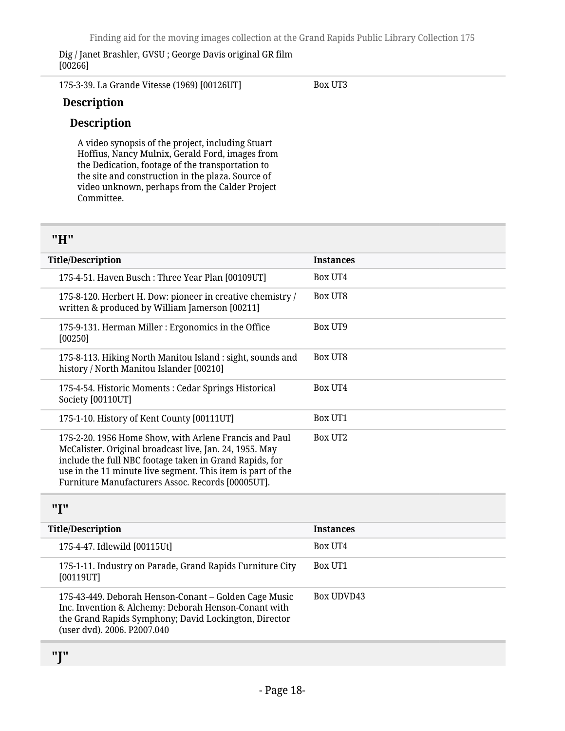Dig / Janet Brashler, GVSU ; George Davis original GR film [00266]

175-3-39. La Grande Vitesse (1969) [00126UT]

Box UT3

#### **Description**

#### **Description**

A video synopsis of the project, including Stuart Hoffius, Nancy Mulnix, Gerald Ford, images from the Dedication, footage of the transportation to the site and construction in the plaza. Source of video unknown, perhaps from the Calder Project Committee.

#### <span id="page-17-0"></span>**"H"**

| <b>Title/Description</b>                                                                                                                                                                                                                                                                         | <b>Instances</b> |
|--------------------------------------------------------------------------------------------------------------------------------------------------------------------------------------------------------------------------------------------------------------------------------------------------|------------------|
| 175-4-51. Haven Busch: Three Year Plan [00109UT]                                                                                                                                                                                                                                                 | Box UT4          |
| 175-8-120. Herbert H. Dow: pioneer in creative chemistry /<br>written & produced by William Jamerson [00211]                                                                                                                                                                                     | Box UT8          |
| 175-9-131. Herman Miller : Ergonomics in the Office<br>[00250]                                                                                                                                                                                                                                   | Box UT9          |
| 175-8-113. Hiking North Manitou Island : sight, sounds and<br>history / North Manitou Islander [00210]                                                                                                                                                                                           | Box UT8          |
| 175-4-54. Historic Moments: Cedar Springs Historical<br>Society [00110UT]                                                                                                                                                                                                                        | Box UT4          |
| 175-1-10. History of Kent County [00111UT]                                                                                                                                                                                                                                                       | Box UT1          |
| 175-2-20. 1956 Home Show, with Arlene Francis and Paul<br>McCalister. Original broadcast live, Jan. 24, 1955. May<br>include the full NBC footage taken in Grand Rapids, for<br>use in the 11 minute live segment. This item is part of the<br>Furniture Manufacturers Assoc. Records [00005UT]. | Box UT2          |

#### <span id="page-17-1"></span>**"I"**

<span id="page-17-2"></span>

| <b>Title/Description</b>                                                                                                                                                                              | <b>Instances</b> |
|-------------------------------------------------------------------------------------------------------------------------------------------------------------------------------------------------------|------------------|
| 175-4-47. Idlewild [00115Ut]                                                                                                                                                                          | Box UT4          |
| 175-1-11. Industry on Parade, Grand Rapids Furniture City<br>[00119UT]                                                                                                                                | Box UT1          |
| 175-43-449. Deborah Henson-Conant – Golden Cage Music<br>Inc. Invention & Alchemy: Deborah Henson-Conant with<br>the Grand Rapids Symphony; David Lockington, Director<br>(user dvd). 2006. P2007.040 | Box UDVD43       |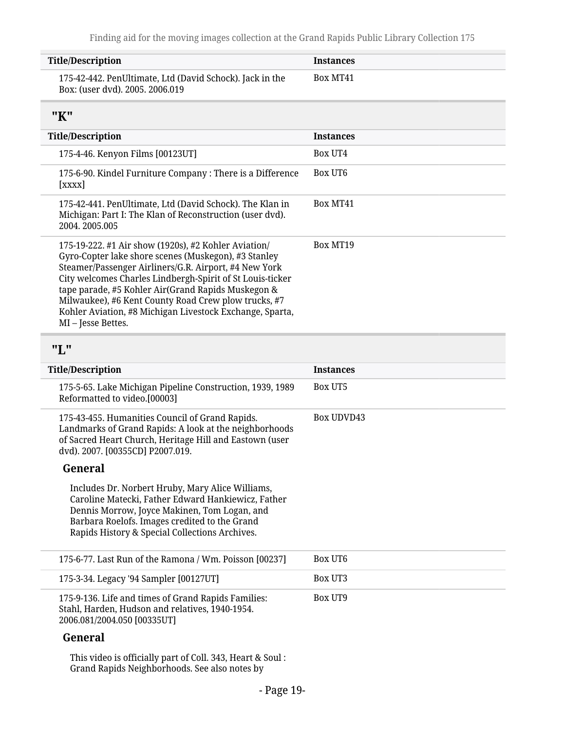<span id="page-18-1"></span><span id="page-18-0"></span>

| <b>Title/Description</b>                                                                                                                                                                                                                                                                                                                                                                                                         | <b>Instances</b>  |
|----------------------------------------------------------------------------------------------------------------------------------------------------------------------------------------------------------------------------------------------------------------------------------------------------------------------------------------------------------------------------------------------------------------------------------|-------------------|
| 175-42-442. PenUltimate, Ltd (David Schock). Jack in the<br>Box: (user dvd). 2005. 2006.019                                                                                                                                                                                                                                                                                                                                      | Box MT41          |
| "K"                                                                                                                                                                                                                                                                                                                                                                                                                              |                   |
| <b>Title/Description</b>                                                                                                                                                                                                                                                                                                                                                                                                         | <b>Instances</b>  |
| 175-4-46. Kenyon Films [00123UT]                                                                                                                                                                                                                                                                                                                                                                                                 | <b>Box UT4</b>    |
| 175-6-90. Kindel Furniture Company: There is a Difference<br>[xxxx]                                                                                                                                                                                                                                                                                                                                                              | Box UT6           |
| 175-42-441. PenUltimate, Ltd (David Schock). The Klan in<br>Michigan: Part I: The Klan of Reconstruction (user dvd).<br>2004.2005.005                                                                                                                                                                                                                                                                                            | Box MT41          |
| 175-19-222. #1 Air show (1920s), #2 Kohler Aviation/<br>Gyro-Copter lake shore scenes (Muskegon), #3 Stanley<br>Steamer/Passenger Airliners/G.R. Airport, #4 New York<br>City welcomes Charles Lindbergh-Spirit of St Louis-ticker<br>tape parade, #5 Kohler Air(Grand Rapids Muskegon &<br>Milwaukee), #6 Kent County Road Crew plow trucks, #7<br>Kohler Aviation, #8 Michigan Livestock Exchange, Sparta,<br>MI-Jesse Bettes. | Box MT19          |
| "L"                                                                                                                                                                                                                                                                                                                                                                                                                              |                   |
|                                                                                                                                                                                                                                                                                                                                                                                                                                  |                   |
| <b>Title/Description</b>                                                                                                                                                                                                                                                                                                                                                                                                         | <b>Instances</b>  |
| 175-5-65. Lake Michigan Pipeline Construction, 1939, 1989<br>Reformatted to video.[00003]                                                                                                                                                                                                                                                                                                                                        | Box UT5           |
| 175-43-455. Humanities Council of Grand Rapids.<br>Landmarks of Grand Rapids: A look at the neighborhoods<br>of Sacred Heart Church, Heritage Hill and Eastown (user<br>dvd). 2007. [00355CD] P2007.019.                                                                                                                                                                                                                         | <b>Box UDVD43</b> |
| General                                                                                                                                                                                                                                                                                                                                                                                                                          |                   |
| Includes Dr. Norbert Hruby, Mary Alice Williams,<br>Caroline Matecki, Father Edward Hankiewicz, Father<br>Dennis Morrow, Joyce Makinen, Tom Logan, and<br>Barbara Roelofs. Images credited to the Grand<br>Rapids History & Special Collections Archives.                                                                                                                                                                        |                   |
| 175-6-77. Last Run of the Ramona / Wm. Poisson [00237]                                                                                                                                                                                                                                                                                                                                                                           | <b>Box UT6</b>    |
| 175-3-34. Legacy '94 Sampler [00127UT]                                                                                                                                                                                                                                                                                                                                                                                           | Box UT3           |
| 175-9-136. Life and times of Grand Rapids Families:<br>Stahl, Harden, Hudson and relatives, 1940-1954.<br>2006.081/2004.050 [00335UT]                                                                                                                                                                                                                                                                                            | Box UT9           |
| General                                                                                                                                                                                                                                                                                                                                                                                                                          |                   |

- Page 19-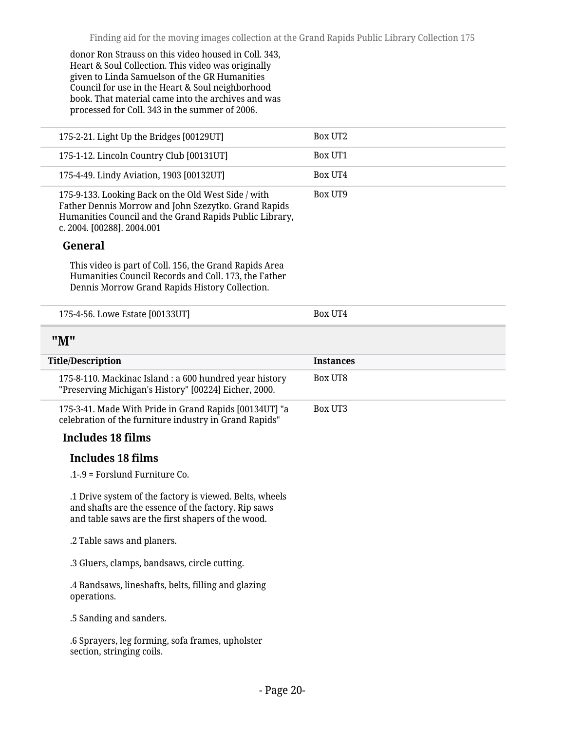donor Ron Strauss on this video housed in Coll. 343, Heart & Soul Collection. This video was originally given to Linda Samuelson of the GR Humanities Council for use in the Heart & Soul neighborhood book. That material came into the archives and was processed for Coll. 343 in the summer of 2006.

<span id="page-19-0"></span>

| 175-2-21. Light Up the Bridges [00129UT]                                                                                                                                                             | <b>Box UT2</b>   |
|------------------------------------------------------------------------------------------------------------------------------------------------------------------------------------------------------|------------------|
| 175-1-12. Lincoln Country Club [00131UT]                                                                                                                                                             | <b>Box UT1</b>   |
| 175-4-49. Lindy Aviation, 1903 [00132UT]                                                                                                                                                             | Box UT4          |
| 175-9-133. Looking Back on the Old West Side / with<br>Father Dennis Morrow and John Szezytko. Grand Rapids<br>Humanities Council and the Grand Rapids Public Library,<br>c. 2004. [00288]. 2004.001 | <b>Box UT9</b>   |
| General                                                                                                                                                                                              |                  |
| This video is part of Coll. 156, the Grand Rapids Area<br>Humanities Council Records and Coll. 173, the Father<br>Dennis Morrow Grand Rapids History Collection.                                     |                  |
| 175-4-56. Lowe Estate [00133UT]                                                                                                                                                                      | Box UT4          |
| "M"                                                                                                                                                                                                  |                  |
| <b>Title/Description</b>                                                                                                                                                                             | <b>Instances</b> |
|                                                                                                                                                                                                      | Box UT8          |
| 175-8-110. Mackinac Island: a 600 hundred year history<br>"Preserving Michigan's History" [00224] Eicher, 2000.                                                                                      |                  |
| 175-3-41. Made With Pride in Grand Rapids [00134UT] "a<br>celebration of the furniture industry in Grand Rapids"                                                                                     | <b>Box UT3</b>   |
| <b>Includes 18 films</b>                                                                                                                                                                             |                  |
| Includes 18 films                                                                                                                                                                                    |                  |
| .1-.9 = Forslund Furniture Co.                                                                                                                                                                       |                  |
| .1 Drive system of the factory is viewed. Belts, wheels<br>and shafts are the essence of the factory. Rip saws<br>and table saws are the first shapers of the wood.                                  |                  |
| .2 Table saws and planers.                                                                                                                                                                           |                  |
| .3 Gluers, clamps, bandsaws, circle cutting.                                                                                                                                                         |                  |
| .4 Bandsaws, lineshafts, belts, filling and glazing<br>operations.                                                                                                                                   |                  |
| .5 Sanding and sanders.                                                                                                                                                                              |                  |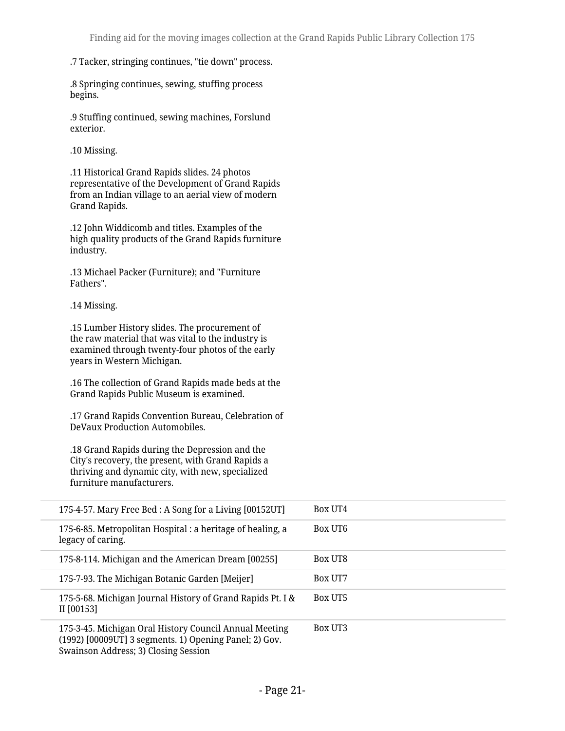#### .7 Tacker, stringing continues, "tie down" process.

.8 Springing continues, sewing, stuffing process begins.

.9 Stuffing continued, sewing machines, Forslund exterior.

.10 Missing.

.11 Historical Grand Rapids slides. 24 photos representative of the Development of Grand Rapids from an Indian village to an aerial view of modern Grand Rapids.

.12 John Widdicomb and titles. Examples of the high quality products of the Grand Rapids furniture industry.

.13 Michael Packer (Furniture); and "Furniture Fathers".

.14 Missing.

.15 Lumber History slides. The procurement of the raw material that was vital to the industry is examined through twenty-four photos of the early years in Western Michigan.

.16 The collection of Grand Rapids made beds at the Grand Rapids Public Museum is examined.

.17 Grand Rapids Convention Bureau, Celebration of DeVaux Production Automobiles.

.18 Grand Rapids during the Depression and the City's recovery, the present, with Grand Rapids a thriving and dynamic city, with new, specialized furniture manufacturers.

| 175-4-57. Mary Free Bed : A Song for a Living [00152UT]                                                                                                  | Box UT4        |
|----------------------------------------------------------------------------------------------------------------------------------------------------------|----------------|
| 175-6-85. Metropolitan Hospital : a heritage of healing, a<br>legacy of caring.                                                                          | Box UT6        |
| 175-8-114. Michigan and the American Dream [00255]                                                                                                       | <b>Box UT8</b> |
| 175-7-93. The Michigan Botanic Garden [Meijer]                                                                                                           | Box UT7        |
| 175-5-68. Michigan Journal History of Grand Rapids Pt. I &<br>II [00153]                                                                                 | <b>Box UT5</b> |
| 175-3-45. Michigan Oral History Council Annual Meeting<br>(1992) [00009UT] 3 segments. 1) Opening Panel; 2) Gov.<br>Swainson Address; 3) Closing Session | <b>Box UT3</b> |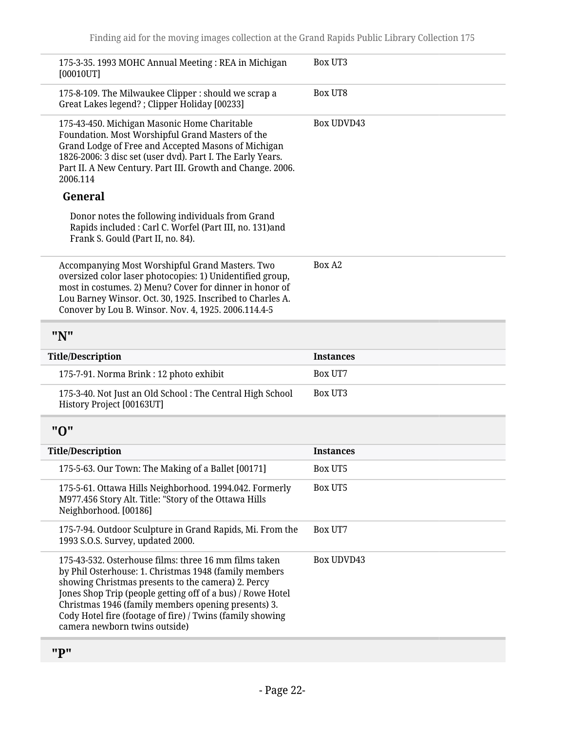<span id="page-21-2"></span><span id="page-21-1"></span><span id="page-21-0"></span>

| 175-3-35. 1993 MOHC Annual Meeting: REA in Michigan<br>[00010UT]                                                                                                                                                                                                                                                                                                                        | Box UT3           |
|-----------------------------------------------------------------------------------------------------------------------------------------------------------------------------------------------------------------------------------------------------------------------------------------------------------------------------------------------------------------------------------------|-------------------|
| 175-8-109. The Milwaukee Clipper : should we scrap a<br>Great Lakes legend? ; Clipper Holiday [00233]                                                                                                                                                                                                                                                                                   | <b>Box UT8</b>    |
| 175-43-450. Michigan Masonic Home Charitable<br>Foundation. Most Worshipful Grand Masters of the<br>Grand Lodge of Free and Accepted Masons of Michigan<br>1826-2006: 3 disc set (user dvd). Part I. The Early Years.<br>Part II. A New Century. Part III. Growth and Change. 2006.<br>2006.114                                                                                         | <b>Box UDVD43</b> |
| General                                                                                                                                                                                                                                                                                                                                                                                 |                   |
| Donor notes the following individuals from Grand<br>Rapids included : Carl C. Worfel (Part III, no. 131)and<br>Frank S. Gould (Part II, no. 84).                                                                                                                                                                                                                                        |                   |
| Accompanying Most Worshipful Grand Masters. Two<br>oversized color laser photocopies: 1) Unidentified group,<br>most in costumes. 2) Menu? Cover for dinner in honor of<br>Lou Barney Winsor. Oct. 30, 1925. Inscribed to Charles A.<br>Conover by Lou B. Winsor. Nov. 4, 1925. 2006.114.4-5                                                                                            | Box A2            |
| "N"                                                                                                                                                                                                                                                                                                                                                                                     |                   |
|                                                                                                                                                                                                                                                                                                                                                                                         |                   |
| <b>Title/Description</b>                                                                                                                                                                                                                                                                                                                                                                | <b>Instances</b>  |
| 175-7-91. Norma Brink : 12 photo exhibit                                                                                                                                                                                                                                                                                                                                                | Box UT7           |
| 175-3-40. Not Just an Old School : The Central High School<br>History Project [00163UT]                                                                                                                                                                                                                                                                                                 | Box UT3           |
| "О"                                                                                                                                                                                                                                                                                                                                                                                     |                   |
| <b>Title/Description</b>                                                                                                                                                                                                                                                                                                                                                                | <b>Instances</b>  |
| 175-5-63. Our Town: The Making of a Ballet [00171]                                                                                                                                                                                                                                                                                                                                      | <b>Box UT5</b>    |
| 175-5-61. Ottawa Hills Neighborhood. 1994.042. Formerly<br>M977.456 Story Alt. Title: "Story of the Ottawa Hills<br>Neighborhood. [00186]                                                                                                                                                                                                                                               | <b>Box UT5</b>    |
| 175-7-94. Outdoor Sculpture in Grand Rapids, Mi. From the<br>1993 S.O.S. Survey, updated 2000.                                                                                                                                                                                                                                                                                          | Box UT7           |
| 175-43-532. Osterhouse films: three 16 mm films taken<br>by Phil Osterhouse: 1. Christmas 1948 (family members<br>showing Christmas presents to the camera) 2. Percy<br>Jones Shop Trip (people getting off of a bus) / Rowe Hotel<br>Christmas 1946 (family members opening presents) 3.<br>Cody Hotel fire (footage of fire) / Twins (family showing<br>camera newborn twins outside) | <b>Box UDVD43</b> |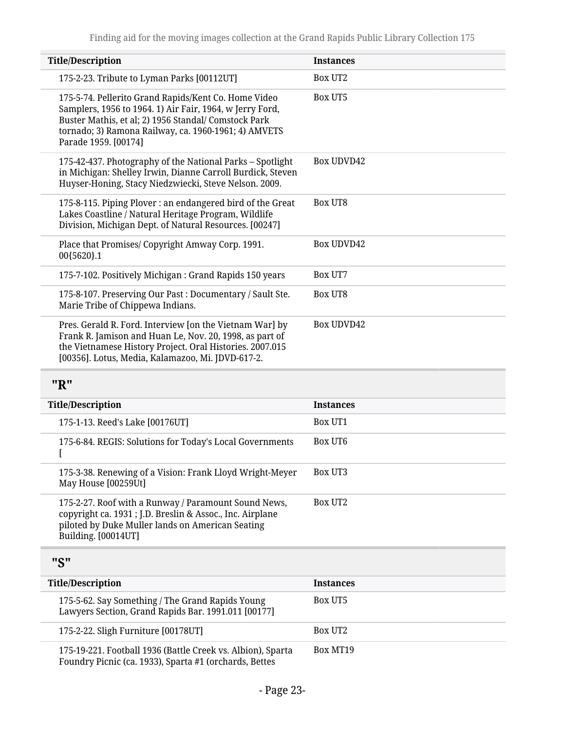| <b>Title/Description</b>                                                                                                                                                                                                                                 | <b>Instances</b>    |
|----------------------------------------------------------------------------------------------------------------------------------------------------------------------------------------------------------------------------------------------------------|---------------------|
| 175-2-23. Tribute to Lyman Parks [00112UT]                                                                                                                                                                                                               | Box UT <sub>2</sub> |
| 175-5-74. Pellerito Grand Rapids/Kent Co. Home Video<br>Samplers, 1956 to 1964. 1) Air Fair, 1964, w Jerry Ford,<br>Buster Mathis, et al; 2) 1956 Standal/ Comstock Park<br>tornado; 3) Ramona Railway, ca. 1960-1961; 4) AMVETS<br>Parade 1959. [00174] | Box UT5             |
| 175-42-437. Photography of the National Parks - Spotlight<br>in Michigan: Shelley Irwin, Dianne Carroll Burdick, Steven<br>Huyser-Honing, Stacy Niedzwiecki, Steve Nelson. 2009.                                                                         | Box UDVD42          |
| 175-8-115. Piping Plover: an endangered bird of the Great<br>Lakes Coastline / Natural Heritage Program, Wildlife<br>Division, Michigan Dept. of Natural Resources. [00247]                                                                              | Box UT8             |
| Place that Promises/ Copyright Amway Corp. 1991.<br>00{5620}.1                                                                                                                                                                                           | Box UDVD42          |
| 175-7-102. Positively Michigan: Grand Rapids 150 years                                                                                                                                                                                                   | Box UT7             |
| 175-8-107. Preserving Our Past: Documentary / Sault Ste.<br>Marie Tribe of Chippewa Indians.                                                                                                                                                             | Box UT8             |
| Pres. Gerald R. Ford. Interview [on the Vietnam War] by<br>Frank R. Jamison and Huan Le, Nov. 20, 1998, as part of<br>the Vietnamese History Project. Oral Histories. 2007.015<br>[00356]. Lotus, Media, Kalamazoo, Mi. JDVD-617-2.                      | <b>Box UDVD42</b>   |

## <span id="page-22-0"></span>**"R"**

| <b>Title/Description</b> |                                                                                                                                                                                              | <b>Instances</b>    |
|--------------------------|----------------------------------------------------------------------------------------------------------------------------------------------------------------------------------------------|---------------------|
|                          | 175-1-13. Reed's Lake [00176UT]                                                                                                                                                              | <b>Box UT1</b>      |
|                          | 175-6-84. REGIS: Solutions for Today's Local Governments                                                                                                                                     | Box UT6             |
|                          | 175-3-38. Renewing of a Vision: Frank Lloyd Wright-Meyer<br>May House [00259Ut]                                                                                                              | <b>Box UT3</b>      |
|                          | 175-2-27. Roof with a Runway / Paramount Sound News,<br>copyright ca. 1931 ; J.D. Breslin & Assoc., Inc. Airplane<br>piloted by Duke Muller lands on American Seating<br>Building. [00014UT] | Box UT <sub>2</sub> |
|                          |                                                                                                                                                                                              |                     |

## <span id="page-22-1"></span>**"S"**

| <b>Title/Description</b>                                                                                              | <b>Instances</b> |
|-----------------------------------------------------------------------------------------------------------------------|------------------|
| 175-5-62. Say Something / The Grand Rapids Young<br>Lawyers Section, Grand Rapids Bar. 1991.011 [00177]               | <b>Box UT5</b>   |
| 175-2-22. Sligh Furniture [00178UT]                                                                                   | Box UT2          |
| 175-19-221. Football 1936 (Battle Creek vs. Albion), Sparta<br>Foundry Picnic (ca. 1933), Sparta #1 (orchards, Bettes | Box MT19         |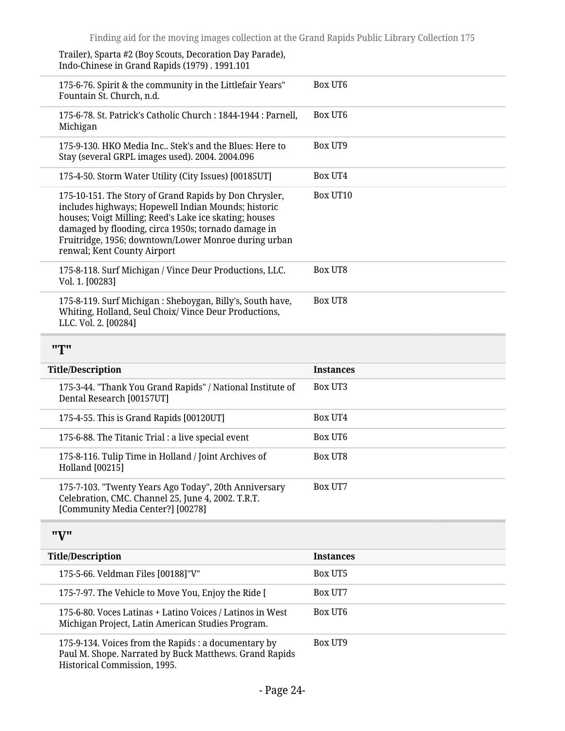Trailer), Sparta #2 (Boy Scouts, Decoration Day Parade), Indo-Chinese in Grand Rapids (1979) . 1991.101

<span id="page-23-1"></span><span id="page-23-0"></span>

| 175-6-76. Spirit & the community in the Littlefair Years"<br>Fountain St. Church, n.d.                                                                                                                                                                                                                                | Box UT6          |
|-----------------------------------------------------------------------------------------------------------------------------------------------------------------------------------------------------------------------------------------------------------------------------------------------------------------------|------------------|
| 175-6-78. St. Patrick's Catholic Church: 1844-1944: Parnell,<br>Michigan                                                                                                                                                                                                                                              | Box UT6          |
| 175-9-130. HKO Media Inc Stek's and the Blues: Here to<br>Stay (several GRPL images used). 2004. 2004.096                                                                                                                                                                                                             | Box UT9          |
| 175-4-50. Storm Water Utility (City Issues) [00185UT]                                                                                                                                                                                                                                                                 | Box UT4          |
| 175-10-151. The Story of Grand Rapids by Don Chrysler,<br>includes highways; Hopewell Indian Mounds; historic<br>houses; Voigt Milling; Reed's Lake ice skating; houses<br>damaged by flooding, circa 1950s; tornado damage in<br>Fruitridge, 1956; downtown/Lower Monroe during urban<br>renwal; Kent County Airport | Box UT10         |
| 175-8-118. Surf Michigan / Vince Deur Productions, LLC.<br>Vol. 1. [00283]                                                                                                                                                                                                                                            | Box UT8          |
| 175-8-119. Surf Michigan: Sheboygan, Billy's, South have,<br>Whiting, Holland, Seul Choix/ Vince Deur Productions,<br>LLC. Vol. 2. [00284]                                                                                                                                                                            | <b>Box UT8</b>   |
| "T"                                                                                                                                                                                                                                                                                                                   |                  |
| <b>Title/Description</b>                                                                                                                                                                                                                                                                                              | <b>Instances</b> |
| 175-3-44. "Thank You Grand Rapids" / National Institute of<br>Dental Research [00157UT]                                                                                                                                                                                                                               | Box UT3          |
| 175-4-55. This is Grand Rapids [00120UT]                                                                                                                                                                                                                                                                              | Box UT4          |
| 175-6-88. The Titanic Trial : a live special event                                                                                                                                                                                                                                                                    | <b>Box UT6</b>   |
| 175-8-116. Tulip Time in Holland / Joint Archives of<br><b>Holland</b> [00215]                                                                                                                                                                                                                                        | Box UT8          |
| 175-7-103. "Twenty Years Ago Today", 20th Anniversary<br>Celebration, CMC. Channel 25, June 4, 2002. T.R.T.<br>[Community Media Center?] [00278]                                                                                                                                                                      | Box UT7          |
| "V"                                                                                                                                                                                                                                                                                                                   |                  |
| <b>Title/Description</b>                                                                                                                                                                                                                                                                                              | <b>Instances</b> |
| 175-5-66. Veldman Files [00188]"V"                                                                                                                                                                                                                                                                                    | Box UT5          |
| 175-7-97. The Vehicle to Move You, Enjoy the Ride [                                                                                                                                                                                                                                                                   | Box UT7          |
| 175-6-80. Voces Latinas + Latino Voices / Latinos in West<br>Michigan Project, Latin American Studies Program.                                                                                                                                                                                                        | Box UT6          |
| 175-9-134. Voices from the Rapids : a documentary by<br>Paul M. Shope. Narrated by Buck Matthews. Grand Rapids<br>Historical Commission, 1995.                                                                                                                                                                        | <b>Box UT9</b>   |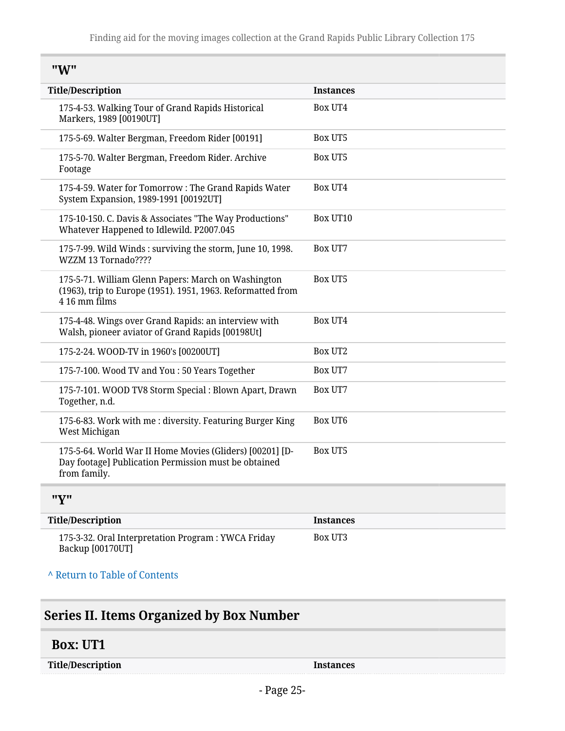<span id="page-24-0"></span>

| "W" |
|-----|
|-----|

| <b>Title/Description</b>                                                                                                            | <b>Instances</b> |
|-------------------------------------------------------------------------------------------------------------------------------------|------------------|
| 175-4-53. Walking Tour of Grand Rapids Historical<br>Markers, 1989 [00190UT]                                                        | <b>Box UT4</b>   |
| 175-5-69. Walter Bergman, Freedom Rider [00191]                                                                                     | <b>Box UT5</b>   |
| 175-5-70. Walter Bergman, Freedom Rider. Archive<br>Footage                                                                         | <b>Box UT5</b>   |
| 175-4-59. Water for Tomorrow: The Grand Rapids Water<br>System Expansion, 1989-1991 [00192UT]                                       | Box UT4          |
| 175-10-150. C. Davis & Associates "The Way Productions"<br>Whatever Happened to Idlewild. P2007.045                                 | Box UT10         |
| 175-7-99. Wild Winds: surviving the storm, June 10, 1998.<br>WZZM 13 Tornado????                                                    | Box UT7          |
| 175-5-71. William Glenn Papers: March on Washington<br>(1963), trip to Europe (1951). 1951, 1963. Reformatted from<br>4 16 mm films | Box UT5          |
| 175-4-48. Wings over Grand Rapids: an interview with<br>Walsh, pioneer aviator of Grand Rapids [00198Ut]                            | <b>Box UT4</b>   |
| 175-2-24. WOOD-TV in 1960's [00200UT]                                                                                               | Box UT2          |
| 175-7-100. Wood TV and You : 50 Years Together                                                                                      | Box UT7          |
| 175-7-101. WOOD TV8 Storm Special : Blown Apart, Drawn<br>Together, n.d.                                                            | Box UT7          |
| 175-6-83. Work with me: diversity. Featuring Burger King<br>West Michigan                                                           | <b>Box UT6</b>   |
| 175-5-64. World War II Home Movies (Gliders) [00201] [D-<br>Day footage] Publication Permission must be obtained<br>from family.    | <b>Box UT5</b>   |
| "Y"                                                                                                                                 |                  |
| <b>Title/Description</b>                                                                                                            | Instances        |
| 175-3-32. Oral Interpretation Program: YWCA Friday                                                                                  | Box UT3          |

<span id="page-24-1"></span>Backup [00170UT]

**^** [Return to Table of Contents](#page-1-0)

# <span id="page-24-2"></span>**Series II. Items Organized by Box Number**

#### <span id="page-24-3"></span>**Box: UT1**

**Title/Description Instances**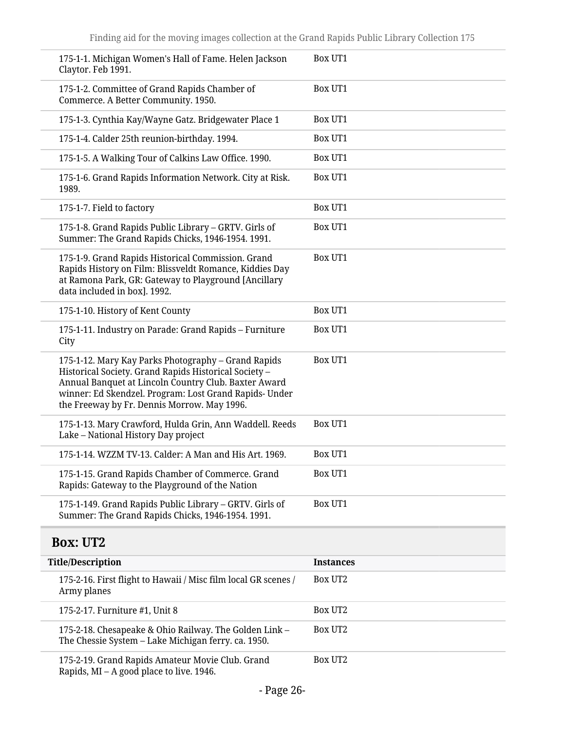<span id="page-25-0"></span>

| 175-1-1. Michigan Women's Hall of Fame. Helen Jackson<br>Claytor. Feb 1991.                                                                                                                                                                                                   | <b>Box UT1</b>   |
|-------------------------------------------------------------------------------------------------------------------------------------------------------------------------------------------------------------------------------------------------------------------------------|------------------|
| 175-1-2. Committee of Grand Rapids Chamber of<br>Commerce. A Better Community. 1950.                                                                                                                                                                                          | <b>Box UT1</b>   |
| 175-1-3. Cynthia Kay/Wayne Gatz. Bridgewater Place 1                                                                                                                                                                                                                          | Box UT1          |
| 175-1-4. Calder 25th reunion-birthday. 1994.                                                                                                                                                                                                                                  | <b>Box UT1</b>   |
| 175-1-5. A Walking Tour of Calkins Law Office. 1990.                                                                                                                                                                                                                          | <b>Box UT1</b>   |
| 175-1-6. Grand Rapids Information Network. City at Risk.<br>1989.                                                                                                                                                                                                             | <b>Box UT1</b>   |
| 175-1-7. Field to factory                                                                                                                                                                                                                                                     | <b>Box UT1</b>   |
| 175-1-8. Grand Rapids Public Library - GRTV. Girls of<br>Summer: The Grand Rapids Chicks, 1946-1954. 1991.                                                                                                                                                                    | <b>Box UT1</b>   |
| 175-1-9. Grand Rapids Historical Commission. Grand<br>Rapids History on Film: Blissveldt Romance, Kiddies Day<br>at Ramona Park, GR: Gateway to Playground [Ancillary<br>data included in box]. 1992.                                                                         | <b>Box UT1</b>   |
| 175-1-10. History of Kent County                                                                                                                                                                                                                                              | <b>Box UT1</b>   |
| 175-1-11. Industry on Parade: Grand Rapids - Furniture<br>City                                                                                                                                                                                                                | <b>Box UT1</b>   |
| 175-1-12. Mary Kay Parks Photography - Grand Rapids<br>Historical Society. Grand Rapids Historical Society -<br>Annual Banquet at Lincoln Country Club. Baxter Award<br>winner: Ed Skendzel. Program: Lost Grand Rapids- Under<br>the Freeway by Fr. Dennis Morrow. May 1996. | <b>Box UT1</b>   |
| 175-1-13. Mary Crawford, Hulda Grin, Ann Waddell. Reeds<br>Lake - National History Day project                                                                                                                                                                                | <b>Box UT1</b>   |
| 175-1-14. WZZM TV-13. Calder: A Man and His Art. 1969.                                                                                                                                                                                                                        | Box UT1          |
| 175-1-15. Grand Rapids Chamber of Commerce. Grand<br>Rapids: Gateway to the Playground of the Nation                                                                                                                                                                          | <b>Box UT1</b>   |
| 175-1-149. Grand Rapids Public Library - GRTV. Girls of<br>Summer: The Grand Rapids Chicks, 1946-1954. 1991.                                                                                                                                                                  | <b>Box UT1</b>   |
| <b>Box: UT2</b>                                                                                                                                                                                                                                                               |                  |
| <b>Title/Description</b>                                                                                                                                                                                                                                                      | <b>Instances</b> |
| 175-2-16. First flight to Hawaii / Misc film local GR scenes /<br>Army planes                                                                                                                                                                                                 | Box UT2          |
| 175-2-17. Furniture #1, Unit 8                                                                                                                                                                                                                                                | <b>Box UT2</b>   |
| 175-2-18. Chesapeake & Ohio Railway. The Golden Link -<br>The Chessie System - Lake Michigan ferry. ca. 1950.                                                                                                                                                                 | Box UT2          |
|                                                                                                                                                                                                                                                                               |                  |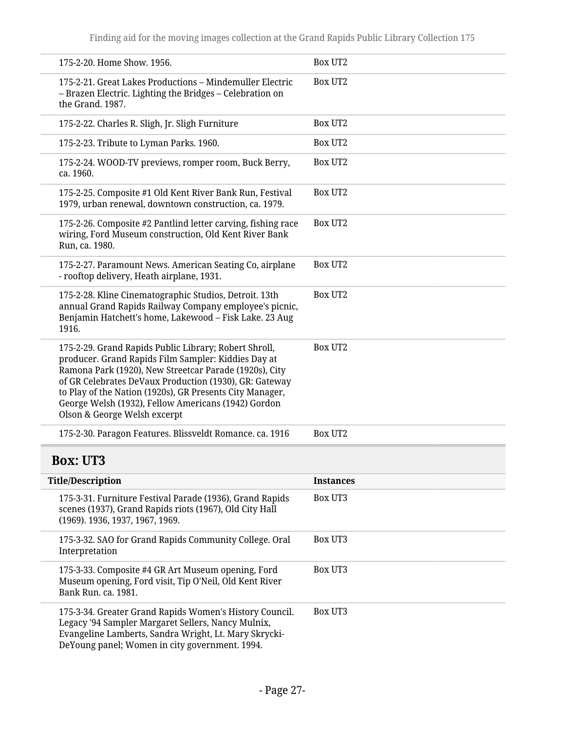<span id="page-26-0"></span>

| 175-2-20. Home Show. 1956.                                                                                                                                                                                                                                                                                                                                                          | <b>Box UT2</b>   |
|-------------------------------------------------------------------------------------------------------------------------------------------------------------------------------------------------------------------------------------------------------------------------------------------------------------------------------------------------------------------------------------|------------------|
| 175-2-21. Great Lakes Productions - Mindemuller Electric<br>- Brazen Electric. Lighting the Bridges - Celebration on<br>the Grand. 1987.                                                                                                                                                                                                                                            | <b>Box UT2</b>   |
| 175-2-22. Charles R. Sligh, Jr. Sligh Furniture                                                                                                                                                                                                                                                                                                                                     | Box UT2          |
| 175-2-23. Tribute to Lyman Parks. 1960.                                                                                                                                                                                                                                                                                                                                             | Box UT2          |
| 175-2-24. WOOD-TV previews, romper room, Buck Berry,<br>ca. 1960.                                                                                                                                                                                                                                                                                                                   | Box UT2          |
| 175-2-25. Composite #1 Old Kent River Bank Run, Festival<br>1979, urban renewal, downtown construction, ca. 1979.                                                                                                                                                                                                                                                                   | <b>Box UT2</b>   |
| 175-2-26. Composite #2 Pantlind letter carving, fishing race<br>wiring, Ford Museum construction, Old Kent River Bank<br>Run, ca. 1980.                                                                                                                                                                                                                                             | Box UT2          |
| 175-2-27. Paramount News. American Seating Co, airplane<br>- rooftop delivery, Heath airplane, 1931.                                                                                                                                                                                                                                                                                | Box UT2          |
| 175-2-28. Kline Cinematographic Studios, Detroit. 13th<br>annual Grand Rapids Railway Company employee's picnic,<br>Benjamin Hatchett's home, Lakewood - Fisk Lake. 23 Aug<br>1916.                                                                                                                                                                                                 | <b>Box UT2</b>   |
| 175-2-29. Grand Rapids Public Library; Robert Shroll,<br>producer. Grand Rapids Film Sampler: Kiddies Day at<br>Ramona Park (1920), New Streetcar Parade (1920s), City<br>of GR Celebrates DeVaux Production (1930), GR: Gateway<br>to Play of the Nation (1920s), GR Presents City Manager,<br>George Welsh (1932), Fellow Americans (1942) Gordon<br>Olson & George Welsh excerpt | <b>Box UT2</b>   |
| 175-2-30. Paragon Features. Blissveldt Romance. ca. 1916                                                                                                                                                                                                                                                                                                                            | <b>Box UT2</b>   |
| <b>Box: UT3</b>                                                                                                                                                                                                                                                                                                                                                                     |                  |
| <b>Title/Description</b>                                                                                                                                                                                                                                                                                                                                                            | <b>Instances</b> |
| 175-3-31. Furniture Festival Parade (1936), Grand Rapids<br>scenes (1937), Grand Rapids riots (1967), Old City Hall<br>(1969). 1936, 1937, 1967, 1969.                                                                                                                                                                                                                              | <b>Box UT3</b>   |
| 175-3-32. SAO for Grand Rapids Community College. Oral<br>Interpretation                                                                                                                                                                                                                                                                                                            | Box UT3          |
| 175-3-33. Composite #4 GR Art Museum opening, Ford<br>Museum opening, Ford visit, Tip O'Neil, Old Kent River<br>Bank Run. ca. 1981.                                                                                                                                                                                                                                                 | Box UT3          |
| 175-3-34. Greater Grand Rapids Women's History Council.<br>Legacy '94 Sampler Margaret Sellers, Nancy Mulnix,<br>Evangeline Lamberts, Sandra Wright, Lt. Mary Skrycki-<br>DeYoung panel; Women in city government. 1994.                                                                                                                                                            | Box UT3          |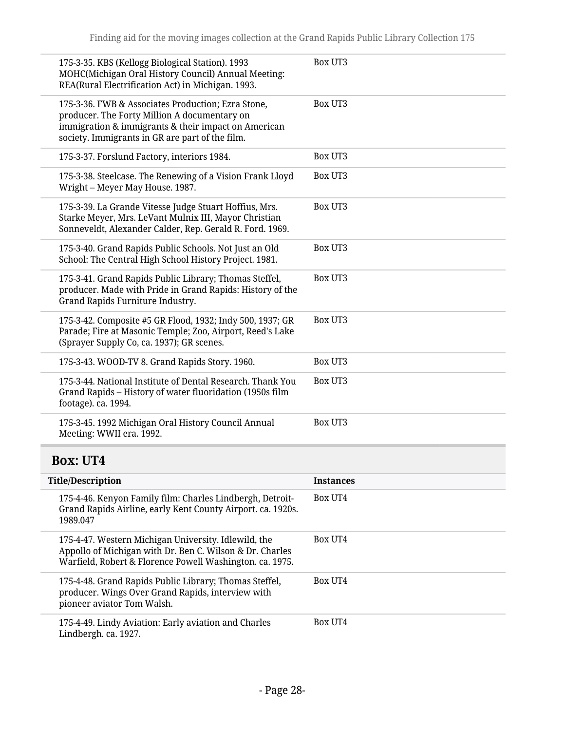| 175-3-35. KBS (Kellogg Biological Station). 1993<br>MOHC(Michigan Oral History Council) Annual Meeting:<br>REA(Rural Electrification Act) in Michigan. 1993.                                                 | <b>Box UT3</b>   |
|--------------------------------------------------------------------------------------------------------------------------------------------------------------------------------------------------------------|------------------|
| 175-3-36. FWB & Associates Production; Ezra Stone,<br>producer. The Forty Million A documentary on<br>immigration & immigrants & their impact on American<br>society. Immigrants in GR are part of the film. | Box UT3          |
| 175-3-37. Forslund Factory, interiors 1984.                                                                                                                                                                  | <b>Box UT3</b>   |
| 175-3-38. Steelcase. The Renewing of a Vision Frank Lloyd<br>Wright - Meyer May House. 1987.                                                                                                                 | Box UT3          |
| 175-3-39. La Grande Vitesse Judge Stuart Hoffius, Mrs.<br>Starke Meyer, Mrs. LeVant Mulnix III, Mayor Christian<br>Sonneveldt, Alexander Calder, Rep. Gerald R. Ford. 1969.                                  | Box UT3          |
| 175-3-40. Grand Rapids Public Schools. Not Just an Old<br>School: The Central High School History Project. 1981.                                                                                             | Box UT3          |
| 175-3-41. Grand Rapids Public Library; Thomas Steffel,<br>producer. Made with Pride in Grand Rapids: History of the<br>Grand Rapids Furniture Industry.                                                      | Box UT3          |
| 175-3-42. Composite #5 GR Flood, 1932; Indy 500, 1937; GR<br>Parade; Fire at Masonic Temple; Zoo, Airport, Reed's Lake<br>(Sprayer Supply Co, ca. 1937); GR scenes.                                          | Box UT3          |
| 175-3-43. WOOD-TV 8. Grand Rapids Story. 1960.                                                                                                                                                               | <b>Box UT3</b>   |
| 175-3-44. National Institute of Dental Research. Thank You<br>Grand Rapids - History of water fluoridation (1950s film<br>footage). ca. 1994.                                                                | Box UT3          |
| 175-3-45. 1992 Michigan Oral History Council Annual<br>Meeting: WWII era. 1992.                                                                                                                              | Box UT3          |
| <b>Box: UT4</b>                                                                                                                                                                                              |                  |
| <b>Title/Description</b>                                                                                                                                                                                     | <b>Instances</b> |
| 175-4-46. Kenyon Family film: Charles Lindbergh, Detroit-<br>Grand Rapids Airline, early Kent County Airport. ca. 1920s.<br>1989.047                                                                         | <b>Box UT4</b>   |
| 175-4-47. Western Michigan University. Idlewild, the<br>Appollo of Michigan with Dr. Ben C. Wilson & Dr. Charles<br>Warfield, Robert & Florence Powell Washington. ca. 1975.                                 | <b>Box UT4</b>   |
| 175-4-48. Grand Rapids Public Library; Thomas Steffel,<br>producer. Wings Over Grand Rapids, interview with<br>pioneer aviator Tom Walsh.                                                                    | <b>Box UT4</b>   |
| 175-4-49. Lindy Aviation: Early aviation and Charles                                                                                                                                                         | Box UT4          |

<span id="page-27-0"></span>Lindbergh. ca. 1927.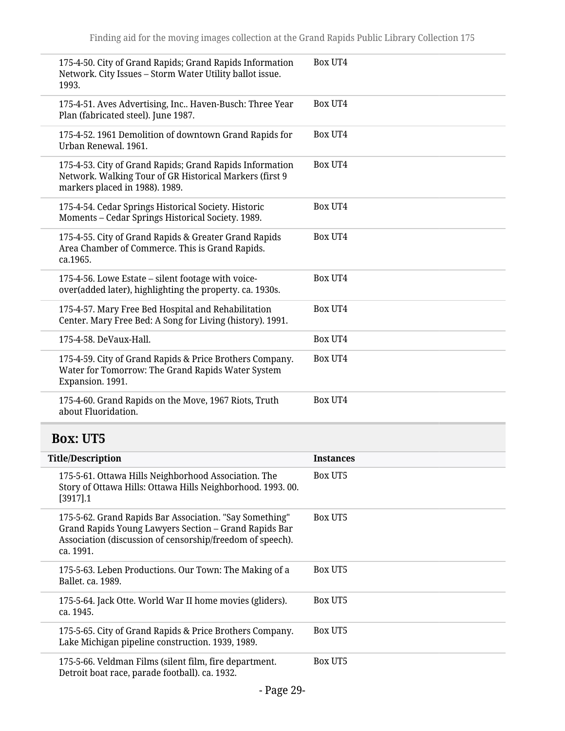<span id="page-28-0"></span>

| 175-4-50. City of Grand Rapids; Grand Rapids Information<br>Network. City Issues - Storm Water Utility ballot issue.<br>1993.                                                              | <b>Box UT4</b>   |
|--------------------------------------------------------------------------------------------------------------------------------------------------------------------------------------------|------------------|
| 175-4-51. Aves Advertising, Inc Haven-Busch: Three Year<br>Plan (fabricated steel). June 1987.                                                                                             | Box UT4          |
| 175-4-52. 1961 Demolition of downtown Grand Rapids for<br>Urban Renewal, 1961.                                                                                                             | Box UT4          |
| 175-4-53. City of Grand Rapids; Grand Rapids Information<br>Network. Walking Tour of GR Historical Markers (first 9<br>markers placed in 1988). 1989.                                      | Box UT4          |
| 175-4-54. Cedar Springs Historical Society. Historic<br>Moments - Cedar Springs Historical Society. 1989.                                                                                  | Box UT4          |
| 175-4-55. City of Grand Rapids & Greater Grand Rapids<br>Area Chamber of Commerce. This is Grand Rapids.<br>ca.1965.                                                                       | Box UT4          |
| 175-4-56. Lowe Estate – silent footage with voice-<br>over(added later), highlighting the property. ca. 1930s.                                                                             | Box UT4          |
| 175-4-57. Mary Free Bed Hospital and Rehabilitation<br>Center. Mary Free Bed: A Song for Living (history). 1991.                                                                           | Box UT4          |
| 175-4-58. DeVaux-Hall.                                                                                                                                                                     | Box UT4          |
| 175-4-59. City of Grand Rapids & Price Brothers Company.<br>Water for Tomorrow: The Grand Rapids Water System                                                                              | Box UT4          |
| Expansion. 1991.                                                                                                                                                                           |                  |
| 175-4-60. Grand Rapids on the Move, 1967 Riots, Truth<br>about Fluoridation.                                                                                                               | Box UT4          |
| <b>Box: UT5</b>                                                                                                                                                                            |                  |
| <b>Title/Description</b>                                                                                                                                                                   | <b>Instances</b> |
| 175-5-61. Ottawa Hills Neighborhood Association. The<br>Story of Ottawa Hills: Ottawa Hills Neighborhood. 1993. 00.<br>$[3917]$ .1                                                         | <b>Box UT5</b>   |
| 175-5-62. Grand Rapids Bar Association. "Say Something"<br>Grand Rapids Young Lawyers Section - Grand Rapids Bar<br>Association (discussion of censorship/freedom of speech).<br>ca. 1991. | <b>Box UT5</b>   |
| 175-5-63. Leben Productions. Our Town: The Making of a<br>Ballet. ca. 1989.                                                                                                                | <b>Box UT5</b>   |
| 175-5-64. Jack Otte. World War II home movies (gliders).<br>ca. 1945.                                                                                                                      | <b>Box UT5</b>   |
| 175-5-65. City of Grand Rapids & Price Brothers Company.<br>Lake Michigan pipeline construction. 1939, 1989.                                                                               | <b>Box UT5</b>   |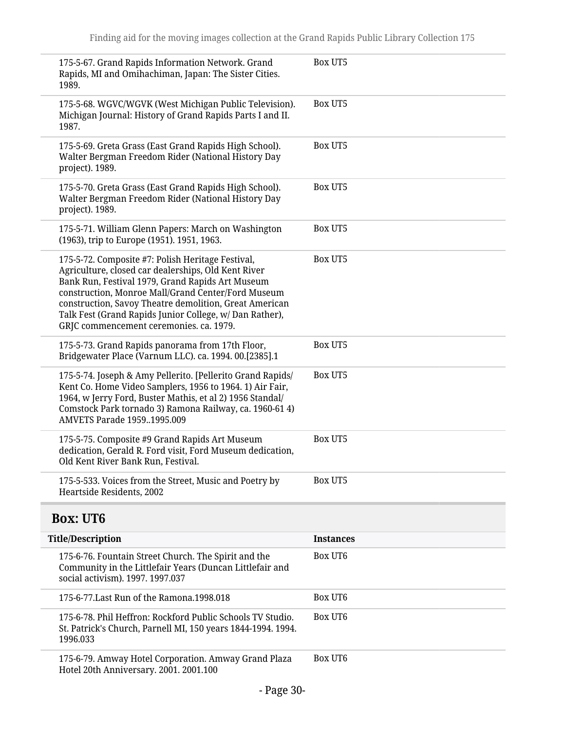<span id="page-29-0"></span>

| 175-5-67. Grand Rapids Information Network. Grand<br>Rapids, MI and Omihachiman, Japan: The Sister Cities.<br>1989.                                                                                                                                                                                                                                                                | <b>Box UT5</b>   |  |  |
|------------------------------------------------------------------------------------------------------------------------------------------------------------------------------------------------------------------------------------------------------------------------------------------------------------------------------------------------------------------------------------|------------------|--|--|
| 175-5-68. WGVC/WGVK (West Michigan Public Television).<br>Michigan Journal: History of Grand Rapids Parts I and II.<br>1987.                                                                                                                                                                                                                                                       | <b>Box UT5</b>   |  |  |
| 175-5-69. Greta Grass (East Grand Rapids High School).<br>Walter Bergman Freedom Rider (National History Day<br>project). 1989.                                                                                                                                                                                                                                                    | Box UT5          |  |  |
| 175-5-70. Greta Grass (East Grand Rapids High School).<br>Walter Bergman Freedom Rider (National History Day<br>project). 1989.                                                                                                                                                                                                                                                    | <b>Box UT5</b>   |  |  |
| 175-5-71. William Glenn Papers: March on Washington<br>(1963), trip to Europe (1951). 1951, 1963.                                                                                                                                                                                                                                                                                  | <b>Box UT5</b>   |  |  |
| 175-5-72. Composite #7: Polish Heritage Festival,<br>Agriculture, closed car dealerships, Old Kent River<br>Bank Run, Festival 1979, Grand Rapids Art Museum<br>construction, Monroe Mall/Grand Center/Ford Museum<br>construction, Savoy Theatre demolition, Great American<br>Talk Fest (Grand Rapids Junior College, w/ Dan Rather),<br>GRJC commencement ceremonies. ca. 1979. | <b>Box UT5</b>   |  |  |
| 175-5-73. Grand Rapids panorama from 17th Floor,<br>Bridgewater Place (Varnum LLC). ca. 1994. 00.[2385].1                                                                                                                                                                                                                                                                          | Box UT5          |  |  |
| 175-5-74. Joseph & Amy Pellerito. [Pellerito Grand Rapids/<br>Kent Co. Home Video Samplers, 1956 to 1964. 1) Air Fair,<br>1964, w Jerry Ford, Buster Mathis, et al 2) 1956 Standal/<br>Comstock Park tornado 3) Ramona Railway, ca. 1960-61 4)<br>AMVETS Parade 19591995.009                                                                                                       | <b>Box UT5</b>   |  |  |
| 175-5-75. Composite #9 Grand Rapids Art Museum<br>dedication, Gerald R. Ford visit, Ford Museum dedication,<br>Old Kent River Bank Run, Festival.                                                                                                                                                                                                                                  | <b>Box UT5</b>   |  |  |
| 175-5-533. Voices from the Street, Music and Poetry by<br>Heartside Residents, 2002                                                                                                                                                                                                                                                                                                | <b>Box UT5</b>   |  |  |
| <b>Box: UT6</b>                                                                                                                                                                                                                                                                                                                                                                    |                  |  |  |
| <b>Title/Description</b>                                                                                                                                                                                                                                                                                                                                                           | <b>Instances</b> |  |  |
| 175-6-76. Fountain Street Church. The Spirit and the<br>Community in the Littlefair Years (Duncan Littlefair and<br>social activism). 1997. 1997.037                                                                                                                                                                                                                               | Box UT6          |  |  |
| 175-6-77. Last Run of the Ramona. 1998.018                                                                                                                                                                                                                                                                                                                                         | Box UT6          |  |  |
| 175-6-78. Phil Heffron: Rockford Public Schools TV Studio.<br>St. Patrick's Church, Parnell MI, 150 years 1844-1994. 1994.<br>1996.033                                                                                                                                                                                                                                             | Box UT6          |  |  |
| 175-6-79. Amway Hotel Corporation. Amway Grand Plaza<br>Hotel 20th Anniversary. 2001. 2001.100                                                                                                                                                                                                                                                                                     | Box UT6          |  |  |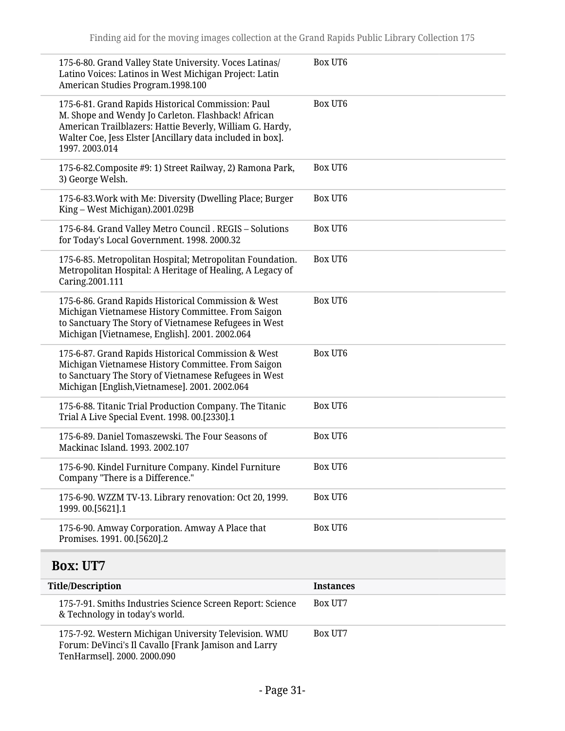| 175-6-80. Grand Valley State University. Voces Latinas/<br>Latino Voices: Latinos in West Michigan Project: Latin<br>American Studies Program.1998.100                                                                                             | Box UT6        |
|----------------------------------------------------------------------------------------------------------------------------------------------------------------------------------------------------------------------------------------------------|----------------|
| 175-6-81. Grand Rapids Historical Commission: Paul<br>M. Shope and Wendy Jo Carleton. Flashback! African<br>American Trailblazers: Hattie Beverly, William G. Hardy,<br>Walter Coe, Jess Elster [Ancillary data included in box].<br>1997.2003.014 | <b>Box UT6</b> |
| 175-6-82. Composite #9: 1) Street Railway, 2) Ramona Park,<br>3) George Welsh.                                                                                                                                                                     | Box UT6        |
| 175-6-83. Work with Me: Diversity (Dwelling Place; Burger<br>King – West Michigan).2001.029B                                                                                                                                                       | <b>Box UT6</b> |
| 175-6-84. Grand Valley Metro Council . REGIS - Solutions<br>for Today's Local Government. 1998. 2000.32                                                                                                                                            | Box UT6        |
| 175-6-85. Metropolitan Hospital; Metropolitan Foundation.<br>Metropolitan Hospital: A Heritage of Healing, A Legacy of<br>Caring.2001.111                                                                                                          | <b>Box UT6</b> |
| 175-6-86. Grand Rapids Historical Commission & West<br>Michigan Vietnamese History Committee. From Saigon<br>to Sanctuary The Story of Vietnamese Refugees in West<br>Michigan [Vietnamese, English]. 2001. 2002.064                               | <b>Box UT6</b> |
| 175-6-87. Grand Rapids Historical Commission & West<br>Michigan Vietnamese History Committee. From Saigon<br>to Sanctuary The Story of Vietnamese Refugees in West<br>Michigan [English, Vietnamese]. 2001. 2002.064                               | <b>Box UT6</b> |
| 175-6-88. Titanic Trial Production Company. The Titanic<br>Trial A Live Special Event. 1998. 00.[2330].1                                                                                                                                           | Box UT6        |
| 175-6-89. Daniel Tomaszewski. The Four Seasons of<br>Mackinac Island. 1993. 2002.107                                                                                                                                                               | <b>Box UT6</b> |
| 175-6-90. Kindel Furniture Company. Kindel Furniture<br>Company "There is a Difference."                                                                                                                                                           | Box UT6        |
| 175-6-90. WZZM TV-13. Library renovation: Oct 20, 1999.<br>1999.00.[5621].1                                                                                                                                                                        | <b>Box UT6</b> |
| 175-6-90. Amway Corporation. Amway A Place that<br>Promises. 1991. 00.[5620].2                                                                                                                                                                     | Box UT6        |
| <b>Box: UT7</b>                                                                                                                                                                                                                                    |                |

<span id="page-30-0"></span>

| <b>Title/Description</b>                                                                                                                     | <b>Instances</b> |
|----------------------------------------------------------------------------------------------------------------------------------------------|------------------|
| 175-7-91. Smiths Industries Science Screen Report: Science<br>& Technology in today's world.                                                 | <b>Box UT7</b>   |
| 175-7-92. Western Michigan University Television. WMU<br>Forum: DeVinci's Il Cavallo [Frank Jamison and Larry<br>TenHarmsel]. 2000. 2000.090 | <b>Box UT7</b>   |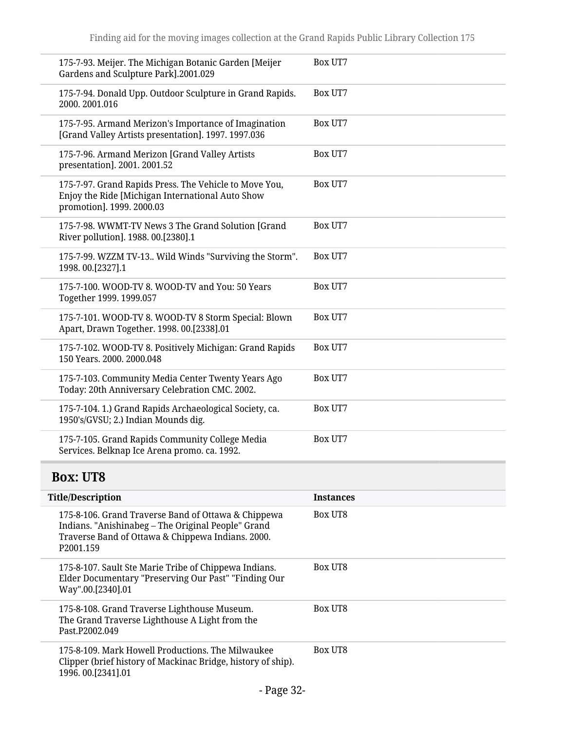| 175-7-93. Meijer. The Michigan Botanic Garden [Meijer<br>Gardens and Sculpture Park].2001.029                                           | Box UT7 |
|-----------------------------------------------------------------------------------------------------------------------------------------|---------|
| 175-7-94. Donald Upp. Outdoor Sculpture in Grand Rapids.<br>2000. 2001.016                                                              | Box UT7 |
| 175-7-95. Armand Merizon's Importance of Imagination<br>[Grand Valley Artists presentation]. 1997. 1997.036                             | Box UT7 |
| 175-7-96. Armand Merizon [Grand Valley Artists<br>presentation]. 2001. 2001.52                                                          | Box UT7 |
| 175-7-97. Grand Rapids Press. The Vehicle to Move You,<br>Enjoy the Ride [Michigan International Auto Show<br>promotion]. 1999. 2000.03 | Box UT7 |
| 175-7-98. WWMT-TV News 3 The Grand Solution [Grand<br>River pollution]. 1988. 00.[2380].1                                               | Box UT7 |
| 175-7-99. WZZM TV-13 Wild Winds "Surviving the Storm".<br>1998.00.[2327].1                                                              | Box UT7 |
| 175-7-100. WOOD-TV 8. WOOD-TV and You: 50 Years<br>Together 1999. 1999.057                                                              | Box UT7 |
| 175-7-101. WOOD-TV 8. WOOD-TV 8 Storm Special: Blown<br>Apart, Drawn Together. 1998. 00.[2338].01                                       | Box UT7 |
| 175-7-102. WOOD-TV 8. Positively Michigan: Grand Rapids<br>150 Years. 2000. 2000.048                                                    | Box UT7 |
| 175-7-103. Community Media Center Twenty Years Ago<br>Today: 20th Anniversary Celebration CMC. 2002.                                    | Box UT7 |
| 175-7-104. 1.) Grand Rapids Archaeological Society, ca.<br>1950's/GVSU; 2.) Indian Mounds dig.                                          | Box UT7 |
| 175-7-105. Grand Rapids Community College Media<br>Services. Belknap Ice Arena promo. ca. 1992.                                         | Box UT7 |

# <span id="page-31-0"></span>**Box: UT8**

| <b>Title/Description</b>                                                                                                                                                                | <b>Instances</b> |
|-----------------------------------------------------------------------------------------------------------------------------------------------------------------------------------------|------------------|
| 175-8-106. Grand Traverse Band of Ottawa & Chippewa<br>Indians. "Anishinabeg – The Original People" Grand<br>Traverse Band of Ottawa & Chippewa Indians. 2000.<br>P <sub>2001.159</sub> | <b>Box UT8</b>   |
| 175-8-107. Sault Ste Marie Tribe of Chippewa Indians.<br>Elder Documentary "Preserving Our Past" "Finding Our<br>Way".00.[2340].01                                                      | <b>Box UT8</b>   |
| 175-8-108. Grand Traverse Lighthouse Museum.<br>The Grand Traverse Lighthouse A Light from the<br>Past.P2002.049                                                                        | Box UT8          |
| 175-8-109. Mark Howell Productions. The Milwaukee<br>Clipper (brief history of Mackinac Bridge, history of ship).<br>1996.00.[2341].01                                                  | <b>Box UT8</b>   |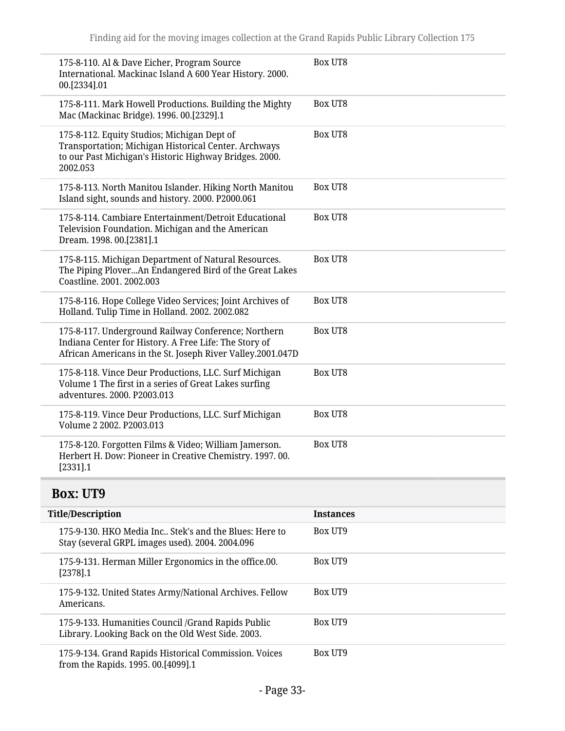| 175-8-110. Al & Dave Eicher, Program Source<br>International. Mackinac Island A 600 Year History. 2000.<br>00.[2334].01                                                    | <b>Box UT8</b> |
|----------------------------------------------------------------------------------------------------------------------------------------------------------------------------|----------------|
| 175-8-111. Mark Howell Productions. Building the Mighty<br>Mac (Mackinac Bridge). 1996. 00.[2329].1                                                                        | <b>Box UT8</b> |
| 175-8-112. Equity Studios; Michigan Dept of<br>Transportation; Michigan Historical Center. Archways<br>to our Past Michigan's Historic Highway Bridges. 2000.<br>2002.053  | <b>Box UT8</b> |
| 175-8-113. North Manitou Islander. Hiking North Manitou<br>Island sight, sounds and history. 2000. P2000.061                                                               | Box UT8        |
| 175-8-114. Cambiare Entertainment/Detroit Educational<br>Television Foundation. Michigan and the American<br>Dream. 1998. 00.[2381].1                                      | <b>Box UT8</b> |
| 175-8-115. Michigan Department of Natural Resources.<br>The Piping PloverAn Endangered Bird of the Great Lakes<br>Coastline. 2001. 2002.003                                | <b>Box UT8</b> |
| 175-8-116. Hope College Video Services; Joint Archives of<br>Holland. Tulip Time in Holland. 2002. 2002.082                                                                | Box UT8        |
| 175-8-117. Underground Railway Conference; Northern<br>Indiana Center for History. A Free Life: The Story of<br>African Americans in the St. Joseph River Valley.2001.047D | <b>Box UT8</b> |
| 175-8-118. Vince Deur Productions, LLC. Surf Michigan<br>Volume 1 The first in a series of Great Lakes surfing<br>adventures. 2000. P2003.013                              | Box UT8        |
| 175-8-119. Vince Deur Productions, LLC. Surf Michigan<br>Volume 2 2002, P2003.013                                                                                          | <b>Box UT8</b> |
| 175-8-120. Forgotten Films & Video; William Jamerson.<br>Herbert H. Dow: Pioneer in Creative Chemistry. 1997. 00.<br>[2331] .1                                             | <b>Box UT8</b> |

# <span id="page-32-0"></span>**Box: UT9**

| <b>Title/Description</b>                                                                                    | <b>Instances</b> |
|-------------------------------------------------------------------------------------------------------------|------------------|
| 175-9-130. HKO Media Inc., Stek's and the Blues: Here to<br>Stay (several GRPL images used). 2004. 2004.096 | Box UT9          |
| 175-9-131. Herman Miller Ergonomics in the office.00.<br>$[2378]$ .1                                        | Box UT9          |
| 175-9-132. United States Army/National Archives. Fellow<br>Americans.                                       | Box UT9          |
| 175-9-133. Humanities Council / Grand Rapids Public<br>Library. Looking Back on the Old West Side. 2003.    | Box UT9          |
| 175-9-134. Grand Rapids Historical Commission. Voices<br>from the Rapids. 1995. 00.[4099].1                 | Box UT9          |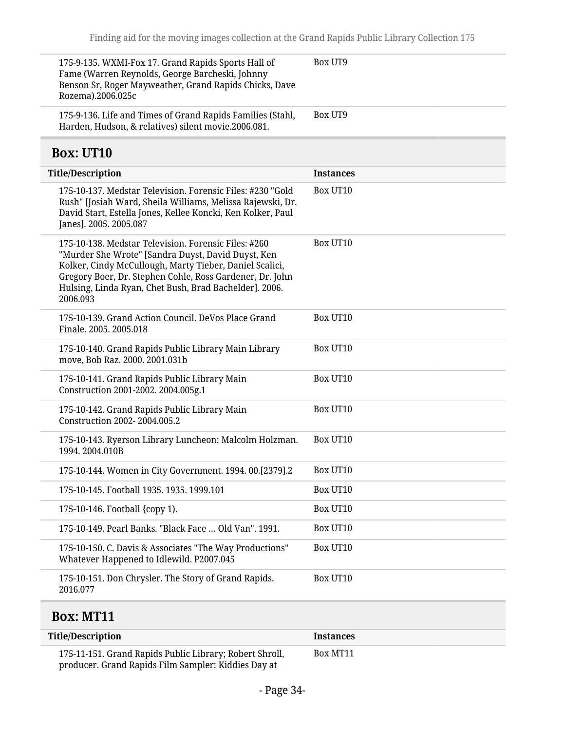<span id="page-33-0"></span>

| 175-9-135. WXMI-Fox 17. Grand Rapids Sports Hall of<br>Fame (Warren Reynolds, George Barcheski, Johnny<br>Benson Sr, Roger Mayweather, Grand Rapids Chicks, Dave<br>Rozema).2006.025c                                                                                                                   | Box UT9          |
|---------------------------------------------------------------------------------------------------------------------------------------------------------------------------------------------------------------------------------------------------------------------------------------------------------|------------------|
| 175-9-136. Life and Times of Grand Rapids Families (Stahl,<br>Harden, Hudson, & relatives) silent movie.2006.081.                                                                                                                                                                                       | Box UT9          |
| <b>Box: UT10</b>                                                                                                                                                                                                                                                                                        |                  |
| <b>Title/Description</b>                                                                                                                                                                                                                                                                                | <b>Instances</b> |
| 175-10-137. Medstar Television. Forensic Files: #230 "Gold<br>Rush" [Josiah Ward, Sheila Williams, Melissa Rajewski, Dr.<br>David Start, Estella Jones, Kellee Koncki, Ken Kolker, Paul<br>Janes]. 2005. 2005.087                                                                                       | Box UT10         |
| 175-10-138. Medstar Television. Forensic Files: #260<br>"Murder She Wrote" [Sandra Duyst, David Duyst, Ken<br>Kolker, Cindy McCullough, Marty Tieber, Daniel Scalici,<br>Gregory Boer, Dr. Stephen Cohle, Ross Gardener, Dr. John<br>Hulsing, Linda Ryan, Chet Bush, Brad Bachelder]. 2006.<br>2006.093 | Box UT10         |
| 175-10-139. Grand Action Council. DeVos Place Grand<br>Finale, 2005, 2005, 018                                                                                                                                                                                                                          | Box UT10         |
| 175-10-140. Grand Rapids Public Library Main Library<br>move, Bob Raz. 2000. 2001.031b                                                                                                                                                                                                                  | Box UT10         |
| 175-10-141. Grand Rapids Public Library Main<br>Construction 2001-2002. 2004.005g.1                                                                                                                                                                                                                     | Box UT10         |
| 175-10-142. Grand Rapids Public Library Main<br>Construction 2002-2004.005.2                                                                                                                                                                                                                            | Box UT10         |
| 175-10-143. Ryerson Library Luncheon: Malcolm Holzman.<br>1994.2004.010B                                                                                                                                                                                                                                | Box UT10         |
| 175-10-144. Women in City Government. 1994. 00.[2379].2                                                                                                                                                                                                                                                 | Box UT10         |
| 175-10-145. Football 1935. 1935. 1999.101                                                                                                                                                                                                                                                               | Box UT10         |
| 175-10-146. Football {copy 1).                                                                                                                                                                                                                                                                          | Box UT10         |
| 175-10-149. Pearl Banks. "Black Face  Old Van". 1991.                                                                                                                                                                                                                                                   | Box UT10         |
| 175-10-150. C. Davis & Associates "The Way Productions"<br>Whatever Happened to Idlewild. P2007.045                                                                                                                                                                                                     | Box UT10         |
| 175-10-151. Don Chrysler. The Story of Grand Rapids.<br>2016.077                                                                                                                                                                                                                                        | Box UT10         |

# <span id="page-33-1"></span>**Box: MT11**

L

| <b>Title/Description</b>                                                                                       | <b>Instances</b> |
|----------------------------------------------------------------------------------------------------------------|------------------|
| 175-11-151. Grand Rapids Public Library; Robert Shroll,<br>producer. Grand Rapids Film Sampler: Kiddies Day at | Box MT11         |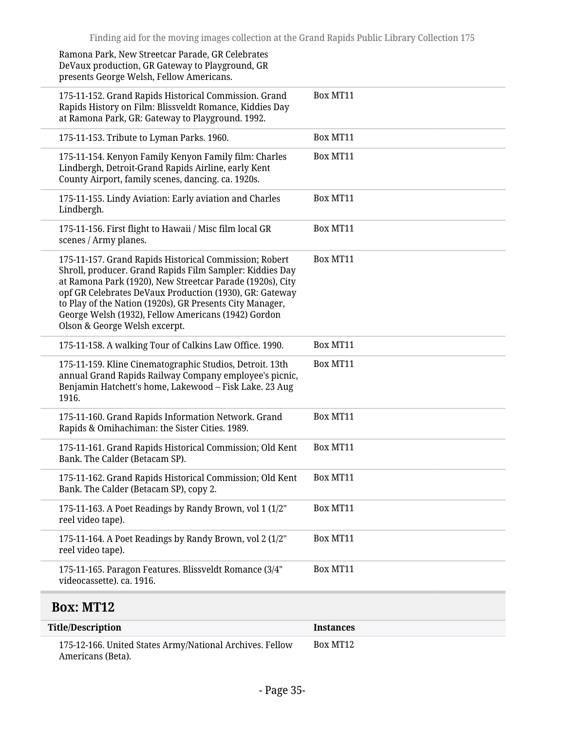| <b>Title/Description</b>                                                                                                                                                                                                                                                                                                                                                                       | <b>Instances</b> |
|------------------------------------------------------------------------------------------------------------------------------------------------------------------------------------------------------------------------------------------------------------------------------------------------------------------------------------------------------------------------------------------------|------------------|
| <b>Box: MT12</b>                                                                                                                                                                                                                                                                                                                                                                               |                  |
| 175-11-165. Paragon Features. Blissveldt Romance (3/4"<br>videocassette). ca. 1916.                                                                                                                                                                                                                                                                                                            | Box MT11         |
| 175-11-164. A Poet Readings by Randy Brown, vol 2 (1/2"<br>reel video tape).                                                                                                                                                                                                                                                                                                                   | Box MT11         |
| 175-11-163. A Poet Readings by Randy Brown, vol 1 (1/2"<br>reel video tape).                                                                                                                                                                                                                                                                                                                   | Box MT11         |
| 175-11-162. Grand Rapids Historical Commission; Old Kent<br>Bank. The Calder (Betacam SP), copy 2.                                                                                                                                                                                                                                                                                             | Box MT11         |
| 175-11-161. Grand Rapids Historical Commission; Old Kent<br>Bank. The Calder (Betacam SP).                                                                                                                                                                                                                                                                                                     | Box MT11         |
| 175-11-160. Grand Rapids Information Network. Grand<br>Rapids & Omihachiman: the Sister Cities. 1989.                                                                                                                                                                                                                                                                                          | Box MT11         |
| 175-11-159. Kline Cinematographic Studios, Detroit. 13th<br>annual Grand Rapids Railway Company employee's picnic,<br>Benjamin Hatchett's home, Lakewood - Fisk Lake. 23 Aug<br>1916.                                                                                                                                                                                                          | Box MT11         |
| 175-11-158. A walking Tour of Calkins Law Office. 1990.                                                                                                                                                                                                                                                                                                                                        | Box MT11         |
| 175-11-157. Grand Rapids Historical Commission; Robert<br>Shroll, producer. Grand Rapids Film Sampler: Kiddies Day<br>at Ramona Park (1920), New Streetcar Parade (1920s), City<br>opf GR Celebrates DeVaux Production (1930), GR: Gateway<br>to Play of the Nation (1920s), GR Presents City Manager,<br>George Welsh (1932), Fellow Americans (1942) Gordon<br>Olson & George Welsh excerpt. | Box MT11         |
| 175-11-156. First flight to Hawaii / Misc film local GR<br>scenes / Army planes.                                                                                                                                                                                                                                                                                                               | Box MT11         |
| 175-11-155. Lindy Aviation: Early aviation and Charles<br>Lindbergh.                                                                                                                                                                                                                                                                                                                           | Box MT11         |
| 175-11-154. Kenyon Family Kenyon Family film: Charles<br>Lindbergh, Detroit-Grand Rapids Airline, early Kent<br>County Airport, family scenes, dancing. ca. 1920s.                                                                                                                                                                                                                             | Box MT11         |
| 175-11-153. Tribute to Lyman Parks. 1960.                                                                                                                                                                                                                                                                                                                                                      | Box MT11         |
| 175-11-152. Grand Rapids Historical Commission. Grand<br>Rapids History on Film: Blissveldt Romance, Kiddies Day<br>at Ramona Park, GR: Gateway to Playground. 1992.                                                                                                                                                                                                                           | Box MT11         |
| Ramona Park, New Streetcar Parade, GR Celebrates<br>DeVaux production, GR Gateway to Playground, GR<br>presents George Welsh, Fellow Americans.                                                                                                                                                                                                                                                |                  |

<span id="page-34-0"></span>175-12-166. United States Army/National Archives. Fellow Box MT12Americans (Beta).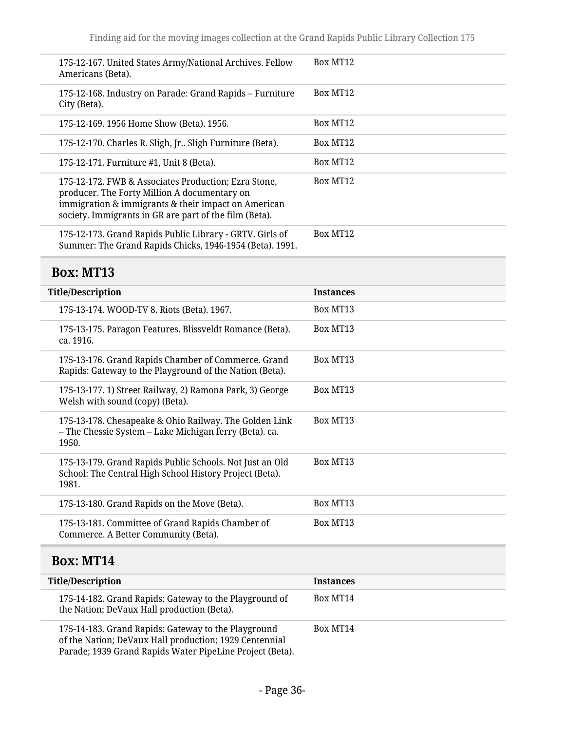<span id="page-35-1"></span><span id="page-35-0"></span>

| 175-12-167. United States Army/National Archives. Fellow<br>Americans (Beta).                                                                                                                                         | Box MT12         |
|-----------------------------------------------------------------------------------------------------------------------------------------------------------------------------------------------------------------------|------------------|
| 175-12-168. Industry on Parade: Grand Rapids - Furniture<br>City (Beta).                                                                                                                                              | Box MT12         |
| 175-12-169. 1956 Home Show (Beta). 1956.                                                                                                                                                                              | Box MT12         |
| 175-12-170. Charles R. Sligh, Jr Sligh Furniture (Beta).                                                                                                                                                              | Box MT12         |
| 175-12-171. Furniture #1, Unit 8 (Beta).                                                                                                                                                                              | Box MT12         |
| 175-12-172. FWB & Associates Production; Ezra Stone,<br>producer. The Forty Million A documentary on<br>immigration & immigrants & their impact on American<br>society. Immigrants in GR are part of the film (Beta). | Box MT12         |
| 175-12-173. Grand Rapids Public Library - GRTV. Girls of<br>Summer: The Grand Rapids Chicks, 1946-1954 (Beta). 1991.                                                                                                  | Box MT12         |
| <b>Box: MT13</b>                                                                                                                                                                                                      |                  |
| <b>Title/Description</b>                                                                                                                                                                                              | <b>Instances</b> |
| 175-13-174. WOOD-TV 8. Riots (Beta). 1967.                                                                                                                                                                            | Box MT13         |
| 175-13-175. Paragon Features. Blissveldt Romance (Beta).<br>ca. 1916.                                                                                                                                                 | Box MT13         |
| 175-13-176. Grand Rapids Chamber of Commerce. Grand<br>Rapids: Gateway to the Playground of the Nation (Beta).                                                                                                        | Box MT13         |
| 175-13-177. 1) Street Railway, 2) Ramona Park, 3) George<br>Welsh with sound (copy) (Beta).                                                                                                                           | Box MT13         |
| 175-13-178. Chesapeake & Ohio Railway. The Golden Link<br>- The Chessie System - Lake Michigan ferry (Beta). ca.<br>1950.                                                                                             | Box MT13         |
| 175-13-179. Grand Rapids Public Schools. Not Just an Old<br>School: The Central High School History Project (Beta).<br>1981.                                                                                          | Box MT13         |
| 175-13-180. Grand Rapids on the Move (Beta).                                                                                                                                                                          | Box MT13         |
| 175-13-181. Committee of Grand Rapids Chamber of<br>Commerce. A Better Community (Beta).                                                                                                                              | Box MT13         |
| <b>Box: MT14</b>                                                                                                                                                                                                      |                  |
| <b>Title/Description</b>                                                                                                                                                                                              | <b>Instances</b> |
| 175-14-182. Grand Rapids: Gateway to the Playground of<br>the Nation; DeVaux Hall production (Beta).                                                                                                                  | Box MT14         |
| 175-14-183. Grand Rapids: Gateway to the Playground<br>of the Nation; DeVaux Hall production; 1929 Centennial<br>Parade; 1939 Grand Rapids Water PipeLine Project (Beta).                                             | Box MT14         |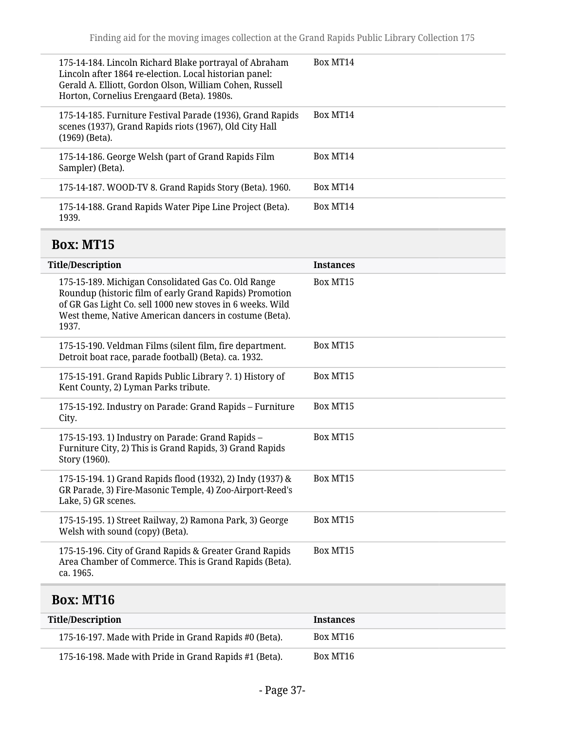| Box MT14<br>175-14-184. Lincoln Richard Blake portrayal of Abraham<br>Lincoln after 1864 re-election. Local historian panel:<br>Gerald A. Elliott, Gordon Olson, William Cohen, Russell<br>Horton, Cornelius Erengaard (Beta). 1980s.<br>Box MT14<br>175-14-185. Furniture Festival Parade (1936), Grand Rapids<br>scenes (1937), Grand Rapids riots (1967), Old City Hall<br>$(1969)$ (Beta).<br>175-14-186. George Welsh (part of Grand Rapids Film<br>Box MT14<br>Sampler) (Beta).<br>Box MT14<br>175-14-187. WOOD-TV 8. Grand Rapids Story (Beta). 1960.<br>175-14-188. Grand Rapids Water Pipe Line Project (Beta).<br>Box MT14<br>1939. |  |  |
|-----------------------------------------------------------------------------------------------------------------------------------------------------------------------------------------------------------------------------------------------------------------------------------------------------------------------------------------------------------------------------------------------------------------------------------------------------------------------------------------------------------------------------------------------------------------------------------------------------------------------------------------------|--|--|
|                                                                                                                                                                                                                                                                                                                                                                                                                                                                                                                                                                                                                                               |  |  |
|                                                                                                                                                                                                                                                                                                                                                                                                                                                                                                                                                                                                                                               |  |  |
|                                                                                                                                                                                                                                                                                                                                                                                                                                                                                                                                                                                                                                               |  |  |
|                                                                                                                                                                                                                                                                                                                                                                                                                                                                                                                                                                                                                                               |  |  |
|                                                                                                                                                                                                                                                                                                                                                                                                                                                                                                                                                                                                                                               |  |  |

# <span id="page-36-0"></span>**Box: MT15**

| <b>Title/Description</b>                                                                                                                                                                                                                       | <b>Instances</b> |
|------------------------------------------------------------------------------------------------------------------------------------------------------------------------------------------------------------------------------------------------|------------------|
| 175-15-189. Michigan Consolidated Gas Co. Old Range<br>Roundup (historic film of early Grand Rapids) Promotion<br>of GR Gas Light Co. sell 1000 new stoves in 6 weeks. Wild<br>West theme, Native American dancers in costume (Beta).<br>1937. | Box MT15         |
| 175-15-190. Veldman Films (silent film, fire department.<br>Detroit boat race, parade football) (Beta). ca. 1932.                                                                                                                              | Box MT15         |
| 175-15-191. Grand Rapids Public Library ?. 1) History of<br>Kent County, 2) Lyman Parks tribute.                                                                                                                                               | Box MT15         |
| 175-15-192. Industry on Parade: Grand Rapids - Furniture<br>City.                                                                                                                                                                              | Box MT15         |
| 175-15-193. 1) Industry on Parade: Grand Rapids -<br>Furniture City, 2) This is Grand Rapids, 3) Grand Rapids<br>Story (1960).                                                                                                                 | Box MT15         |
| 175-15-194. 1) Grand Rapids flood (1932), 2) Indy (1937) &<br>GR Parade, 3) Fire-Masonic Temple, 4) Zoo-Airport-Reed's<br>Lake, 5) GR scenes.                                                                                                  | Box MT15         |
| 175-15-195. 1) Street Railway, 2) Ramona Park, 3) George<br>Welsh with sound (copy) (Beta).                                                                                                                                                    | Box MT15         |
| 175-15-196. City of Grand Rapids & Greater Grand Rapids<br>Area Chamber of Commerce. This is Grand Rapids (Beta).<br>ca. 1965.                                                                                                                 | Box MT15         |
|                                                                                                                                                                                                                                                |                  |

# <span id="page-36-1"></span>**Box: MT16**

| Title/Description                                      | <b>Instances</b> |
|--------------------------------------------------------|------------------|
| 175-16-197. Made with Pride in Grand Rapids #0 (Beta). | Box MT16         |
| 175-16-198. Made with Pride in Grand Rapids #1 (Beta). | Box MT16         |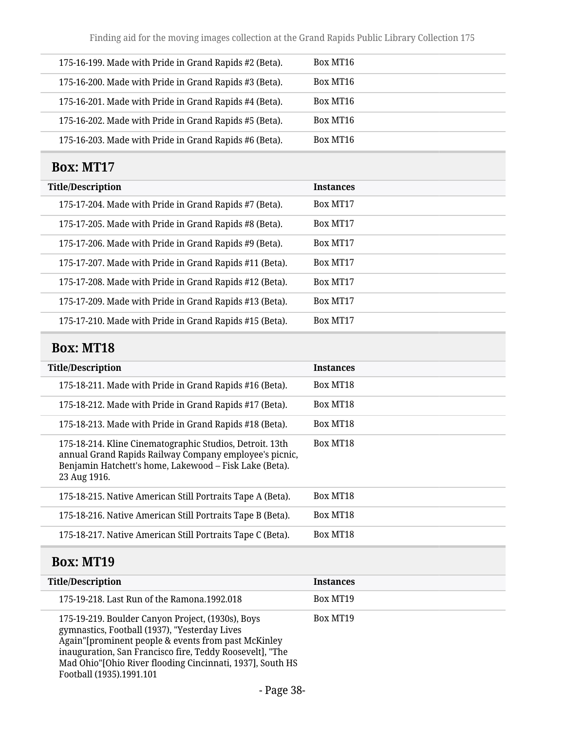Finding aid for the moving images collection at the Grand Rapids Public Library Collection 175

| 175-16-199. Made with Pride in Grand Rapids #2 (Beta). | Box MT16 |
|--------------------------------------------------------|----------|
| 175-16-200. Made with Pride in Grand Rapids #3 (Beta). | Box MT16 |
| 175-16-201. Made with Pride in Grand Rapids #4 (Beta). | Box MT16 |
| 175-16-202. Made with Pride in Grand Rapids #5 (Beta). | Box MT16 |
| 175-16-203. Made with Pride in Grand Rapids #6 (Beta). | Box MT16 |

## <span id="page-37-0"></span>**Box: MT17**

## <span id="page-37-1"></span>**Box: MT18**

| <b>Title/Description</b>                                                                                                                                                                     | <b>Instances</b> |
|----------------------------------------------------------------------------------------------------------------------------------------------------------------------------------------------|------------------|
| 175-18-211. Made with Pride in Grand Rapids #16 (Beta).                                                                                                                                      | Box MT18         |
| 175-18-212. Made with Pride in Grand Rapids #17 (Beta).                                                                                                                                      | Box MT18         |
| 175-18-213. Made with Pride in Grand Rapids #18 (Beta).                                                                                                                                      | Box MT18         |
| 175-18-214. Kline Cinematographic Studios, Detroit. 13th<br>annual Grand Rapids Railway Company employee's picnic,<br>Benjamin Hatchett's home, Lakewood - Fisk Lake (Beta).<br>23 Aug 1916. | Box MT18         |
| 175-18-215. Native American Still Portraits Tape A (Beta).                                                                                                                                   | Box MT18         |
| 175-18-216. Native American Still Portraits Tape B (Beta).                                                                                                                                   | Box MT18         |
| 175-18-217. Native American Still Portraits Tape C (Beta).                                                                                                                                   | Box MT18         |

# <span id="page-37-2"></span>**Box: MT19**

| <b>Title/Description</b>                                                                                                                                                                                                                                                                                       | <b>Instances</b> |
|----------------------------------------------------------------------------------------------------------------------------------------------------------------------------------------------------------------------------------------------------------------------------------------------------------------|------------------|
| 175-19-218. Last Run of the Ramona.1992.018                                                                                                                                                                                                                                                                    | Box MT19         |
| 175-19-219. Boulder Canyon Project, (1930s), Boys<br>gymnastics, Football (1937), "Yesterday Lives<br>Again"[prominent people & events from past McKinley<br>inauguration, San Francisco fire, Teddy Roosevelt], "The<br>Mad Ohio"[Ohio River flooding Cincinnati, 1937], South HS<br>Football (1935).1991.101 | Box MT19         |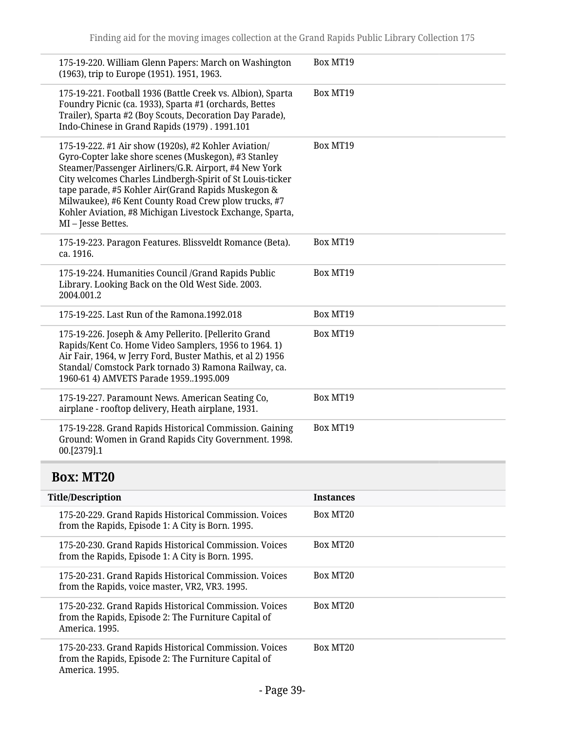| 175-19-220. William Glenn Papers: March on Washington<br>(1963), trip to Europe (1951). 1951, 1963.                                                                                                                                                                                                                                                                                                                              | Box MT19         |
|----------------------------------------------------------------------------------------------------------------------------------------------------------------------------------------------------------------------------------------------------------------------------------------------------------------------------------------------------------------------------------------------------------------------------------|------------------|
| 175-19-221. Football 1936 (Battle Creek vs. Albion), Sparta<br>Foundry Picnic (ca. 1933), Sparta #1 (orchards, Bettes<br>Trailer), Sparta #2 (Boy Scouts, Decoration Day Parade),<br>Indo-Chinese in Grand Rapids (1979). 1991.101                                                                                                                                                                                               | Box MT19         |
| 175-19-222. #1 Air show (1920s), #2 Kohler Aviation/<br>Gyro-Copter lake shore scenes (Muskegon), #3 Stanley<br>Steamer/Passenger Airliners/G.R. Airport, #4 New York<br>City welcomes Charles Lindbergh-Spirit of St Louis-ticker<br>tape parade, #5 Kohler Air(Grand Rapids Muskegon &<br>Milwaukee), #6 Kent County Road Crew plow trucks, #7<br>Kohler Aviation, #8 Michigan Livestock Exchange, Sparta,<br>MI-Jesse Bettes. | Box MT19         |
| 175-19-223. Paragon Features. Blissveldt Romance (Beta).<br>ca. 1916.                                                                                                                                                                                                                                                                                                                                                            | Box MT19         |
| 175-19-224. Humanities Council /Grand Rapids Public<br>Library. Looking Back on the Old West Side. 2003.<br>2004.001.2                                                                                                                                                                                                                                                                                                           | Box MT19         |
| 175-19-225. Last Run of the Ramona.1992.018                                                                                                                                                                                                                                                                                                                                                                                      | Box MT19         |
| 175-19-226. Joseph & Amy Pellerito. [Pellerito Grand<br>Rapids/Kent Co. Home Video Samplers, 1956 to 1964. 1)<br>Air Fair, 1964, w Jerry Ford, Buster Mathis, et al 2) 1956<br>Standal/Comstock Park tornado 3) Ramona Railway, ca.<br>1960-61 4) AMVETS Parade 19591995.009                                                                                                                                                     | Box MT19         |
| 175-19-227. Paramount News. American Seating Co,<br>airplane - rooftop delivery, Heath airplane, 1931.                                                                                                                                                                                                                                                                                                                           | Box MT19         |
| 175-19-228. Grand Rapids Historical Commission. Gaining<br>Ground: Women in Grand Rapids City Government. 1998.<br>00.[2379].1                                                                                                                                                                                                                                                                                                   | Box MT19         |
| <b>Box: MT20</b>                                                                                                                                                                                                                                                                                                                                                                                                                 |                  |
| <b>Title/Description</b>                                                                                                                                                                                                                                                                                                                                                                                                         | <b>Instances</b> |
| 175-20-229. Grand Rapids Historical Commission. Voices<br>from the Rapids, Episode 1: A City is Born. 1995.                                                                                                                                                                                                                                                                                                                      | Box MT20         |
| 175-20-230. Grand Rapids Historical Commission. Voices<br>from the Rapids, Episode 1: A City is Born. 1995.                                                                                                                                                                                                                                                                                                                      | Box MT20         |
|                                                                                                                                                                                                                                                                                                                                                                                                                                  |                  |

<span id="page-38-0"></span>175-20-231. Grand Rapids Historical Commission. Voices from the Rapids, voice master, VR2, VR3. 1995. Box MT20 175-20-232. Grand Rapids Historical Commission. Voices from the Rapids, Episode 2: The Furniture Capital of America. 1995. Box MT20

175-20-233. Grand Rapids Historical Commission. Voices from the Rapids, Episode 2: The Furniture Capital of America. 1995. Box MT20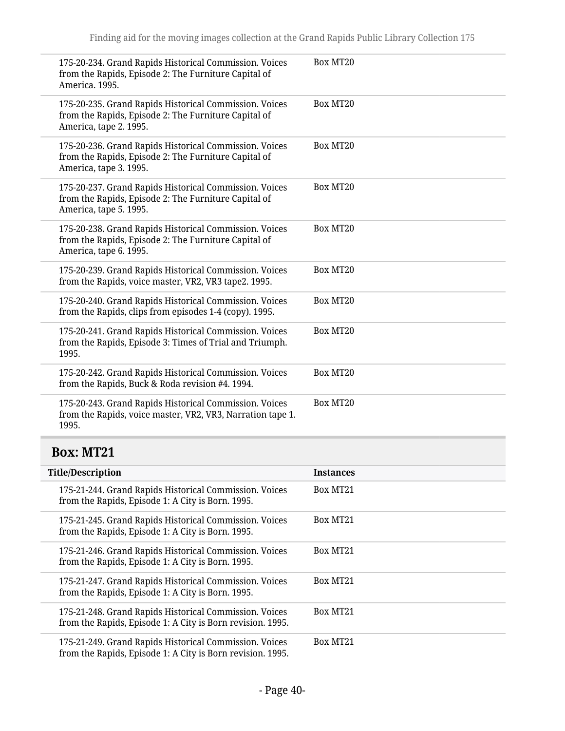<span id="page-39-0"></span>

| 175-20-234. Grand Rapids Historical Commission. Voices<br>from the Rapids, Episode 2: The Furniture Capital of<br>America, 1995.         | Box MT20         |
|------------------------------------------------------------------------------------------------------------------------------------------|------------------|
| 175-20-235. Grand Rapids Historical Commission. Voices<br>from the Rapids, Episode 2: The Furniture Capital of<br>America, tape 2. 1995. | Box MT20         |
| 175-20-236. Grand Rapids Historical Commission. Voices<br>from the Rapids, Episode 2: The Furniture Capital of<br>America, tape 3. 1995. | Box MT20         |
| 175-20-237. Grand Rapids Historical Commission. Voices<br>from the Rapids, Episode 2: The Furniture Capital of<br>America, tape 5. 1995. | Box MT20         |
| 175-20-238. Grand Rapids Historical Commission. Voices<br>from the Rapids, Episode 2: The Furniture Capital of<br>America, tape 6. 1995. | Box MT20         |
| 175-20-239. Grand Rapids Historical Commission. Voices<br>from the Rapids, voice master, VR2, VR3 tape2. 1995.                           | Box MT20         |
| 175-20-240. Grand Rapids Historical Commission. Voices<br>from the Rapids, clips from episodes 1-4 (copy). 1995.                         | Box MT20         |
| 175-20-241. Grand Rapids Historical Commission. Voices<br>from the Rapids, Episode 3: Times of Trial and Triumph.<br>1995.               | Box MT20         |
| 175-20-242. Grand Rapids Historical Commission. Voices<br>from the Rapids, Buck & Roda revision #4. 1994.                                | Box MT20         |
| 175-20-243. Grand Rapids Historical Commission. Voices<br>from the Rapids, voice master, VR2, VR3, Narration tape 1.<br>1995.            | Box MT20         |
| <b>Box: MT21</b>                                                                                                                         |                  |
| <b>Title/Description</b>                                                                                                                 | <b>Instances</b> |
| 175-21-244. Grand Rapids Historical Commission. Voices<br>from the Rapids, Episode 1: A City is Born. 1995.                              | Box MT21         |
| 175-21-245. Grand Rapids Historical Commission. Voices<br>from the Rapids, Episode 1: A City is Born. 1995.                              | Box MT21         |
| 175-21-246. Grand Rapids Historical Commission. Voices<br>from the Rapids, Episode 1: A City is Born. 1995.                              | Box MT21         |
| 175-21-247. Grand Rapids Historical Commission. Voices<br>from the Rapids, Episode 1: A City is Born. 1995.                              | Box MT21         |
| 175-21-248. Grand Rapids Historical Commission. Voices<br>from the Rapids, Episode 1: A City is Born revision. 1995.                     | Box MT21         |
| 175-21-249. Grand Rapids Historical Commission. Voices<br>from the Rapids, Episode 1: A City is Born revision. 1995.                     | Box MT21         |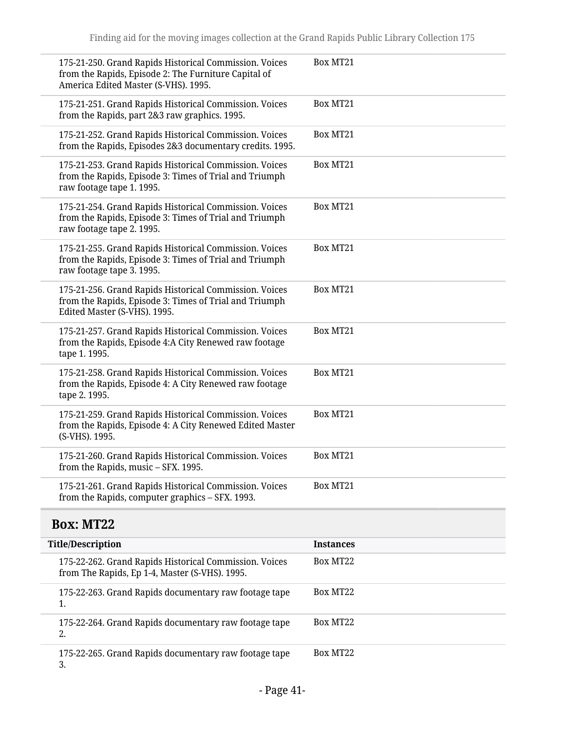| 175-21-250. Grand Rapids Historical Commission. Voices<br>from the Rapids, Episode 2: The Furniture Capital of<br>America Edited Master (S-VHS). 1995. | Box MT21         |
|--------------------------------------------------------------------------------------------------------------------------------------------------------|------------------|
| 175-21-251. Grand Rapids Historical Commission. Voices<br>from the Rapids, part 2&3 raw graphics. 1995.                                                | Box MT21         |
| 175-21-252. Grand Rapids Historical Commission. Voices<br>from the Rapids, Episodes 2&3 documentary credits. 1995.                                     | Box MT21         |
| 175-21-253. Grand Rapids Historical Commission. Voices<br>from the Rapids, Episode 3: Times of Trial and Triumph<br>raw footage tape 1.1995.           | Box MT21         |
| 175-21-254. Grand Rapids Historical Commission. Voices<br>from the Rapids, Episode 3: Times of Trial and Triumph<br>raw footage tape 2.1995.           | Box MT21         |
| 175-21-255. Grand Rapids Historical Commission. Voices<br>from the Rapids, Episode 3: Times of Trial and Triumph<br>raw footage tape 3. 1995.          | Box MT21         |
| 175-21-256. Grand Rapids Historical Commission. Voices<br>from the Rapids, Episode 3: Times of Trial and Triumph<br>Edited Master (S-VHS). 1995.       | Box MT21         |
| 175-21-257. Grand Rapids Historical Commission. Voices<br>from the Rapids, Episode 4:A City Renewed raw footage<br>tape 1.1995.                        | Box MT21         |
| 175-21-258. Grand Rapids Historical Commission. Voices<br>from the Rapids, Episode 4: A City Renewed raw footage<br>tape 2.1995.                       | Box MT21         |
| 175-21-259. Grand Rapids Historical Commission. Voices<br>from the Rapids, Episode 4: A City Renewed Edited Master<br>(S-VHS). 1995.                   | Box MT21         |
| 175-21-260. Grand Rapids Historical Commission. Voices<br>from the Rapids, music - SFX. 1995.                                                          | Box MT21         |
| 175-21-261. Grand Rapids Historical Commission. Voices<br>from the Rapids, computer graphics - SFX. 1993.                                              | Box MT21         |
| <b>Box: MT22</b>                                                                                                                                       |                  |
| <b>Title/Description</b>                                                                                                                               | <b>Instances</b> |
| 175-22-262. Grand Rapids Historical Commission. Voices<br>from The Rapids, Ep 1-4, Master (S-VHS). 1995.                                               | Box MT22         |
|                                                                                                                                                        |                  |

<span id="page-40-0"></span>175-22-263. Grand Rapids documentary raw footage tape 1. Box MT22 175-22-264. Grand Rapids documentary raw footage tape 2. Box MT22 175-22-265. Grand Rapids documentary raw footage tape Box MT22

3.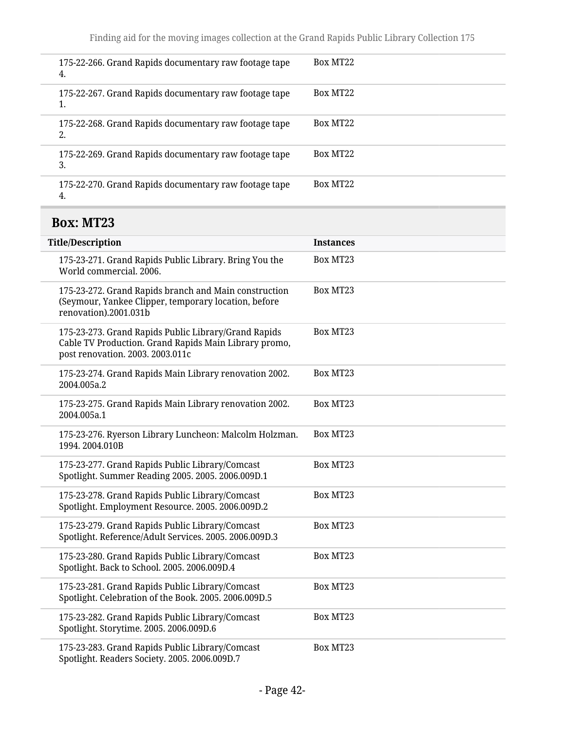| 4. | 175-22-266. Grand Rapids documentary raw footage tape | Box MT22 |
|----|-------------------------------------------------------|----------|
| ı. | 175-22-267. Grand Rapids documentary raw footage tape | Box MT22 |
| 2. | 175-22-268. Grand Rapids documentary raw footage tape | Box MT22 |
| 3. | 175-22-269. Grand Rapids documentary raw footage tape | Box MT22 |
| 4. | 175-22-270. Grand Rapids documentary raw footage tape | Box MT22 |
|    |                                                       |          |

# <span id="page-41-0"></span>**Box: MT23**

| <b>Title/Description</b>                                                                                                                          | <b>Instances</b> |
|---------------------------------------------------------------------------------------------------------------------------------------------------|------------------|
| 175-23-271. Grand Rapids Public Library. Bring You the<br>World commercial, 2006.                                                                 | Box MT23         |
| 175-23-272. Grand Rapids branch and Main construction<br>(Seymour, Yankee Clipper, temporary location, before<br>renovation).2001.031b            | Box MT23         |
| 175-23-273. Grand Rapids Public Library/Grand Rapids<br>Cable TV Production. Grand Rapids Main Library promo,<br>post renovation. 2003. 2003.011c | Box MT23         |
| 175-23-274. Grand Rapids Main Library renovation 2002.<br>2004.005a.2                                                                             | Box MT23         |
| 175-23-275. Grand Rapids Main Library renovation 2002.<br>2004.005a.1                                                                             | Box MT23         |
| 175-23-276. Ryerson Library Luncheon: Malcolm Holzman.<br>1994.2004.010B                                                                          | Box MT23         |
| 175-23-277. Grand Rapids Public Library/Comcast<br>Spotlight. Summer Reading 2005. 2005. 2006.009D.1                                              | Box MT23         |
| 175-23-278. Grand Rapids Public Library/Comcast<br>Spotlight. Employment Resource. 2005. 2006.009D.2                                              | Box MT23         |
| 175-23-279. Grand Rapids Public Library/Comcast<br>Spotlight. Reference/Adult Services. 2005. 2006.009D.3                                         | Box MT23         |
| 175-23-280. Grand Rapids Public Library/Comcast<br>Spotlight. Back to School. 2005. 2006.009D.4                                                   | Box MT23         |
| 175-23-281. Grand Rapids Public Library/Comcast<br>Spotlight. Celebration of the Book. 2005. 2006.009D.5                                          | Box MT23         |
| 175-23-282. Grand Rapids Public Library/Comcast<br>Spotlight. Storytime. 2005. 2006.009D.6                                                        | Box MT23         |
| 175-23-283. Grand Rapids Public Library/Comcast<br>Spotlight. Readers Society. 2005. 2006.009D.7                                                  | Box MT23         |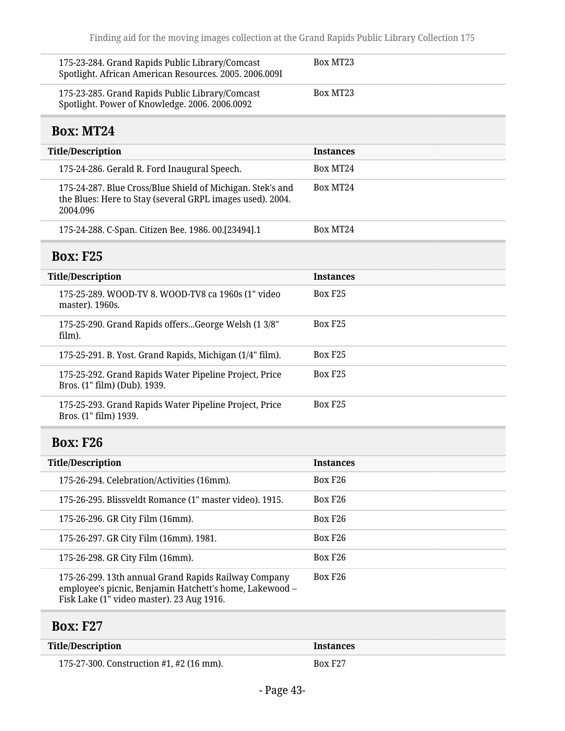<span id="page-42-1"></span><span id="page-42-0"></span>

| 175-23-284. Grand Rapids Public Library/Comcast<br>Spotlight. African American Resources. 2005. 2006.009I                                                    | Box MT23            |
|--------------------------------------------------------------------------------------------------------------------------------------------------------------|---------------------|
| 175-23-285. Grand Rapids Public Library/Comcast<br>Spotlight. Power of Knowledge. 2006. 2006.0092                                                            | Box MT23            |
| <b>Box: MT24</b>                                                                                                                                             |                     |
| <b>Title/Description</b>                                                                                                                                     | <b>Instances</b>    |
| 175-24-286. Gerald R. Ford Inaugural Speech.                                                                                                                 | Box MT24            |
| 175-24-287. Blue Cross/Blue Shield of Michigan. Stek's and<br>the Blues: Here to Stay (several GRPL images used). 2004.<br>2004.096                          | Box MT24            |
| 175-24-288. C-Span. Citizen Bee. 1986. 00.[23494].1                                                                                                          | Box MT24            |
| <b>Box: F25</b>                                                                                                                                              |                     |
| <b>Title/Description</b>                                                                                                                                     | <b>Instances</b>    |
| 175-25-289. WOOD-TV 8. WOOD-TV8 ca 1960s (1" video<br>master). 1960s.                                                                                        | Box F <sub>25</sub> |
| 175-25-290. Grand Rapids offersGeorge Welsh (1 3/8"<br>film).                                                                                                | Box F <sub>25</sub> |
| 175-25-291. B. Yost. Grand Rapids, Michigan (1/4" film).                                                                                                     | Box F <sub>25</sub> |
| 175-25-292. Grand Rapids Water Pipeline Project, Price<br>Bros. (1" film) (Dub). 1939.                                                                       | Box F <sub>25</sub> |
| 175-25-293. Grand Rapids Water Pipeline Project, Price<br>Bros. (1" film) 1939.                                                                              | Box F <sub>25</sub> |
| <b>Box: F26</b>                                                                                                                                              |                     |
| <b>Title/Description</b>                                                                                                                                     | <b>Instances</b>    |
| 175-26-294. Celebration/Activities (16mm).                                                                                                                   | Box F <sub>26</sub> |
| 175-26-295. Blissveldt Romance (1" master video). 1915.                                                                                                      | Box F <sub>26</sub> |
| 175-26-296. GR City Film (16mm).                                                                                                                             | Box F26             |
| 175-26-297. GR City Film (16mm). 1981.                                                                                                                       | Box F <sub>26</sub> |
| 175-26-298. GR City Film (16mm).                                                                                                                             | Box F <sub>26</sub> |
| 175-26-299. 13th annual Grand Rapids Railway Company<br>employee's picnic, Benjamin Hatchett's home, Lakewood -<br>Fisk Lake (1" video master). 23 Aug 1916. | Box F <sub>26</sub> |
| <b>Box: F27</b>                                                                                                                                              |                     |

<span id="page-42-3"></span><span id="page-42-2"></span>

| Title/Description                        | <i><u><b>Instances</b></u></i> |
|------------------------------------------|--------------------------------|
| 175-27-300. Construction #1, #2 (16 mm). | Box F <sub>27</sub>            |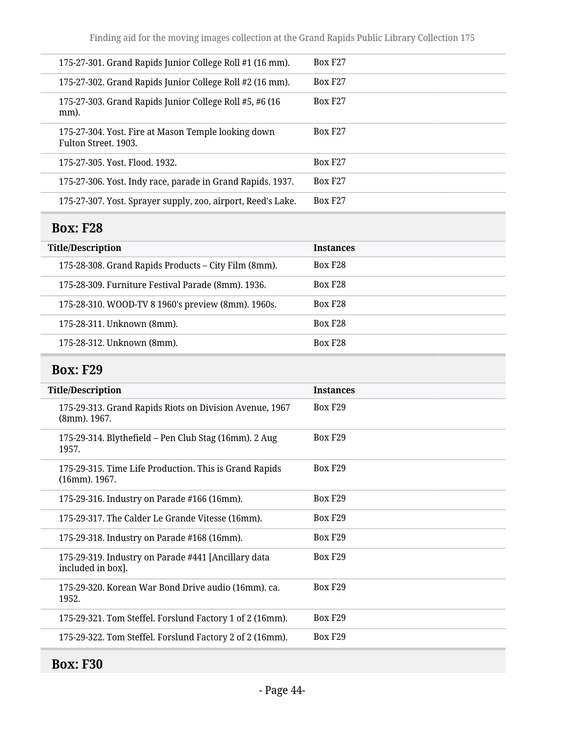| 175-27-301. Grand Rapids Junior College Roll #1 (16 mm).                    | Box F <sub>27</sub> |
|-----------------------------------------------------------------------------|---------------------|
| 175-27-302. Grand Rapids Junior College Roll #2 (16 mm).                    | Box F <sub>27</sub> |
| 175-27-303. Grand Rapids Junior College Roll #5, #6 (16<br>mm).             | Box F <sub>27</sub> |
| 175-27-304. Yost. Fire at Mason Temple looking down<br>Fulton Street, 1903. | Box F <sub>27</sub> |
| 175-27-305, Yost, Flood, 1932.                                              | Box F <sub>27</sub> |
| 175-27-306. Yost. Indy race, parade in Grand Rapids. 1937.                  | Box F <sub>27</sub> |
| 175-27-307. Yost. Sprayer supply, zoo, airport, Reed's Lake.                | Box F <sub>27</sub> |
|                                                                             |                     |

## <span id="page-43-0"></span>**Box: F28**

| <b>Title/Description</b>                             | <b>Instances</b>    |
|------------------------------------------------------|---------------------|
| 175-28-308. Grand Rapids Products – City Film (8mm). | Box F <sub>28</sub> |
| 175-28-309. Furniture Festival Parade (8mm). 1936.   | Box F <sub>28</sub> |
| 175-28-310. WOOD-TV 8 1960's preview (8mm). 1960s.   | <b>Box F28</b>      |
| 175-28-311. Unknown (8mm).                           | Box F <sub>28</sub> |
| 175-28-312. Unknown (8mm).                           | Box F <sub>28</sub> |

## <span id="page-43-1"></span>**Box: F29**

| <b>Title/Description</b>                                                   | <b>Instances</b>    |
|----------------------------------------------------------------------------|---------------------|
| 175-29-313. Grand Rapids Riots on Division Avenue, 1967<br>(8mm). 1967.    | Box F <sub>29</sub> |
| 175-29-314. Blythefield - Pen Club Stag (16mm). 2 Aug<br>1957.             | Box F <sub>29</sub> |
| 175-29-315. Time Life Production. This is Grand Rapids<br>$(16mm)$ . 1967. | Box F <sub>29</sub> |
| 175-29-316. Industry on Parade #166 (16mm).                                | Box F <sub>29</sub> |
| 175-29-317. The Calder Le Grande Vitesse (16mm).                           | Box F <sub>29</sub> |
| 175-29-318. Industry on Parade #168 (16mm).                                | Box F <sub>29</sub> |
| 175-29-319. Industry on Parade #441 [Ancillary data<br>included in box].   | Box F <sub>29</sub> |
| 175-29-320. Korean War Bond Drive audio (16mm). ca.<br>1952.               | <b>Box F29</b>      |
| 175-29-321. Tom Steffel. Forslund Factory 1 of 2 (16mm).                   | Box F <sub>29</sub> |
| 175-29-322. Tom Steffel. Forslund Factory 2 of 2 (16mm).                   | Box F <sub>29</sub> |
|                                                                            |                     |

# <span id="page-43-2"></span>**Box: F30**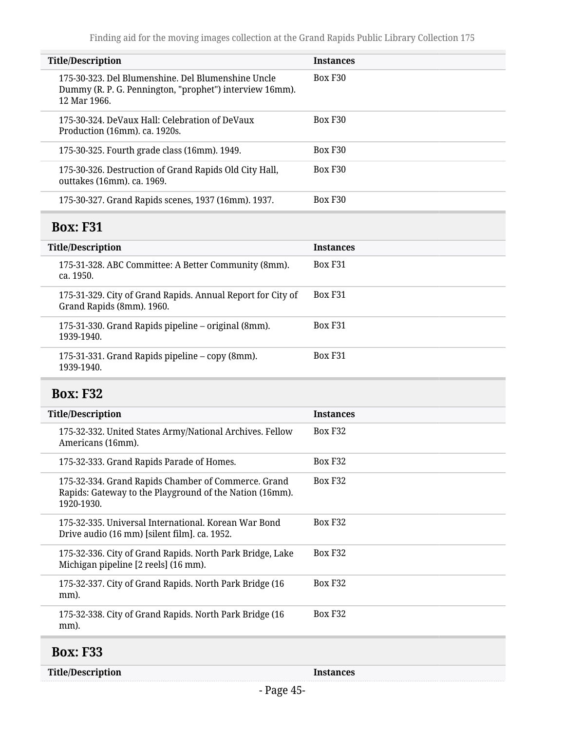<span id="page-44-2"></span><span id="page-44-1"></span><span id="page-44-0"></span>

| <b>Title/Description</b>                                                                                                      | <b>Instances</b> |
|-------------------------------------------------------------------------------------------------------------------------------|------------------|
| 175-30-323. Del Blumenshine. Del Blumenshine Uncle<br>Dummy (R. P. G. Pennington, "prophet") interview 16mm).<br>12 Mar 1966. | Box F30          |
| 175-30-324. DeVaux Hall: Celebration of DeVaux<br>Production (16mm). ca. 1920s.                                               | Box F30          |
| 175-30-325. Fourth grade class (16mm). 1949.                                                                                  | Box F30          |
| 175-30-326. Destruction of Grand Rapids Old City Hall,<br>outtakes (16mm). ca. 1969.                                          | Box F30          |
| 175-30-327. Grand Rapids scenes, 1937 (16mm). 1937.                                                                           | Box F30          |
| <b>Box: F31</b>                                                                                                               |                  |
| <b>Title/Description</b>                                                                                                      | <b>Instances</b> |
| 175-31-328. ABC Committee: A Better Community (8mm).<br>ca. 1950.                                                             | Box F31          |
| 175-31-329. City of Grand Rapids. Annual Report for City of<br>Grand Rapids (8mm). 1960.                                      | Box F31          |
| 175-31-330. Grand Rapids pipeline – original (8mm).<br>1939-1940.                                                             | Box F31          |
| 175-31-331. Grand Rapids pipeline – copy (8mm).<br>1939-1940.                                                                 | Box F31          |
| <b>Box: F32</b>                                                                                                               |                  |
| <b>Title/Description</b>                                                                                                      | <b>Instances</b> |
| 175-32-332. United States Army/National Archives. Fellow<br>Americans (16mm).                                                 | Box F32          |
| 175-32-333. Grand Rapids Parade of Homes.                                                                                     | Box F32          |
| 175-32-334. Grand Rapids Chamber of Commerce. Grand<br>Rapids: Gateway to the Playground of the Nation (16mm).<br>1920-1930.  | Box F32          |
| 175-32-335. Universal International. Korean War Bond<br>Drive audio (16 mm) [silent film]. ca. 1952.                          | Box F32          |
| 175-32-336. City of Grand Rapids. North Park Bridge, Lake<br>Michigan pipeline [2 reels] (16 mm).                             | Box F32          |
| 175-32-337. City of Grand Rapids. North Park Bridge (16<br>mm).                                                               | Box F32          |
| 175-32-338. City of Grand Rapids. North Park Bridge (16<br>mm).                                                               | Box F32          |
| <b>Box: F33</b>                                                                                                               |                  |
| <b>Title/Description</b>                                                                                                      | <b>Instances</b> |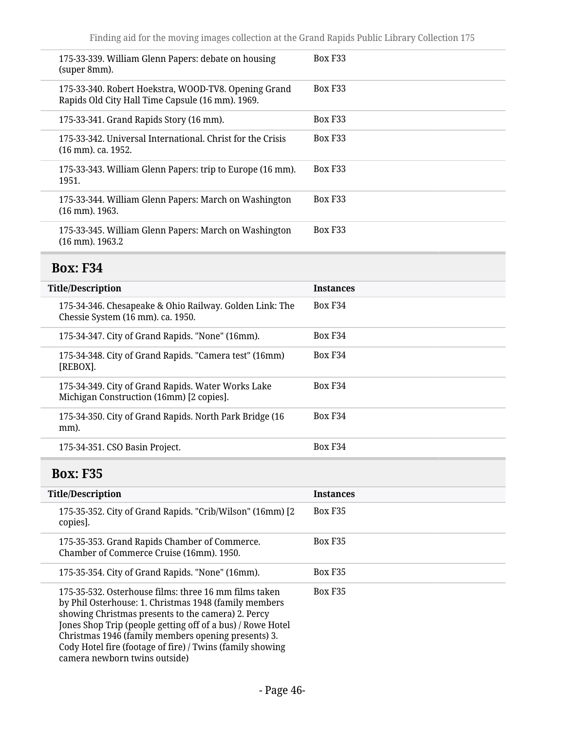| 175-33-339. William Glenn Papers: debate on housing<br>(super 8mm).                                      | Box F <sub>33</sub> |
|----------------------------------------------------------------------------------------------------------|---------------------|
| 175-33-340. Robert Hoekstra, WOOD-TV8. Opening Grand<br>Rapids Old City Hall Time Capsule (16 mm). 1969. | Box F <sub>33</sub> |
| 175-33-341. Grand Rapids Story (16 mm).                                                                  | Box F33             |
| 175-33-342. Universal International, Christ for the Crisis<br>(16 mm). ca. 1952.                         | Box F <sub>33</sub> |
| 175-33-343. William Glenn Papers: trip to Europe (16 mm).<br>1951.                                       | Box F <sub>33</sub> |
| 175-33-344. William Glenn Papers: March on Washington<br>$(16$ mm). $1963$ .                             | Box F <sub>33</sub> |
| 175-33-345. William Glenn Papers: March on Washington<br>$(16$ mm). $1963.2$                             | Box F <sub>33</sub> |
|                                                                                                          |                     |

# <span id="page-45-0"></span>**Box: F34**

<span id="page-45-1"></span>

| <b>Title/Description</b>                                                                       | <b>Instances</b>    |
|------------------------------------------------------------------------------------------------|---------------------|
| 175-34-346. Chesapeake & Ohio Railway. Golden Link: The<br>Chessie System (16 mm). ca. 1950.   | Box F34             |
| 175-34-347. City of Grand Rapids. "None" (16mm).                                               | Box F34             |
| 175-34-348. City of Grand Rapids. "Camera test" (16mm)<br>[REBOX].                             | Box F34             |
| 175-34-349. City of Grand Rapids. Water Works Lake<br>Michigan Construction (16mm) [2 copies]. | Box F34             |
| 175-34-350. City of Grand Rapids. North Park Bridge (16<br>mm).                                | Box F <sub>34</sub> |
| 175-34-351. CSO Basin Project.                                                                 | Box F34             |
| <b>Box: F35</b>                                                                                |                     |
| <b>Title/Description</b>                                                                       | <b>Instances</b>    |
| 175-35-352. City of Grand Rapids. "Crib/Wilson" (16mm) [2<br>copies].                          | Box F35             |
| 175-35-353. Grand Rapids Chamber of Commerce.<br>Chamber of Commerce Cruise (16mm). 1950.      | Box F35             |
| 175-35-354. City of Grand Rapids. "None" (16mm).                                               | Box F35             |
| 175-35-532. Osterhouse films: three 16 mm films taken                                          |                     |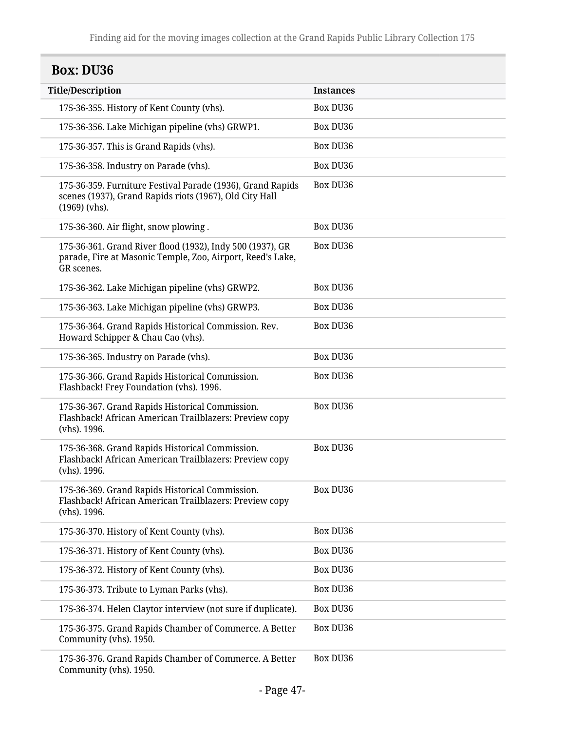<span id="page-46-0"></span>

| <b>Box: DU36</b>                                                                                                                         |                  |  |
|------------------------------------------------------------------------------------------------------------------------------------------|------------------|--|
| <b>Title/Description</b>                                                                                                                 | <b>Instances</b> |  |
| 175-36-355. History of Kent County (vhs).                                                                                                | <b>Box DU36</b>  |  |
| 175-36-356. Lake Michigan pipeline (vhs) GRWP1.                                                                                          | <b>Box DU36</b>  |  |
| 175-36-357. This is Grand Rapids (vhs).                                                                                                  | <b>Box DU36</b>  |  |
| 175-36-358. Industry on Parade (vhs).                                                                                                    | Box DU36         |  |
| 175-36-359. Furniture Festival Parade (1936), Grand Rapids<br>scenes (1937), Grand Rapids riots (1967), Old City Hall<br>$(1969)$ (vhs). | <b>Box DU36</b>  |  |
| 175-36-360. Air flight, snow plowing.                                                                                                    | <b>Box DU36</b>  |  |
| 175-36-361. Grand River flood (1932), Indy 500 (1937), GR<br>parade, Fire at Masonic Temple, Zoo, Airport, Reed's Lake,<br>GR scenes.    | Box DU36         |  |
| 175-36-362. Lake Michigan pipeline (vhs) GRWP2.                                                                                          | <b>Box DU36</b>  |  |
| 175-36-363. Lake Michigan pipeline (vhs) GRWP3.                                                                                          | Box DU36         |  |
| 175-36-364. Grand Rapids Historical Commission. Rev.<br>Howard Schipper & Chau Cao (vhs).                                                | Box DU36         |  |
| 175-36-365. Industry on Parade (vhs).                                                                                                    | <b>Box DU36</b>  |  |
| 175-36-366. Grand Rapids Historical Commission.<br>Flashback! Frey Foundation (vhs). 1996.                                               | Box DU36         |  |
| 175-36-367. Grand Rapids Historical Commission.<br>Flashback! African American Trailblazers: Preview copy<br>(vhs). 1996.                | <b>Box DU36</b>  |  |
| 175-36-368. Grand Rapids Historical Commission.<br>Flashback! African American Trailblazers: Preview copy<br>(vhs). 1996.                | <b>Box DU36</b>  |  |
| 175-36-369. Grand Rapids Historical Commission.<br>Flashback! African American Trailblazers: Preview copy<br>(vhs). 1996.                | Box DU36         |  |
| 175-36-370. History of Kent County (vhs).                                                                                                | <b>Box DU36</b>  |  |
| 175-36-371. History of Kent County (vhs).                                                                                                | <b>Box DU36</b>  |  |
| 175-36-372. History of Kent County (vhs).                                                                                                | <b>Box DU36</b>  |  |
| 175-36-373. Tribute to Lyman Parks (vhs).                                                                                                | <b>Box DU36</b>  |  |
| 175-36-374. Helen Claytor interview (not sure if duplicate).                                                                             | <b>Box DU36</b>  |  |
| 175-36-375. Grand Rapids Chamber of Commerce. A Better<br>Community (vhs). 1950.                                                         | <b>Box DU36</b>  |  |
| 175-36-376. Grand Rapids Chamber of Commerce. A Better<br>Community (vhs). 1950.                                                         | Box DU36         |  |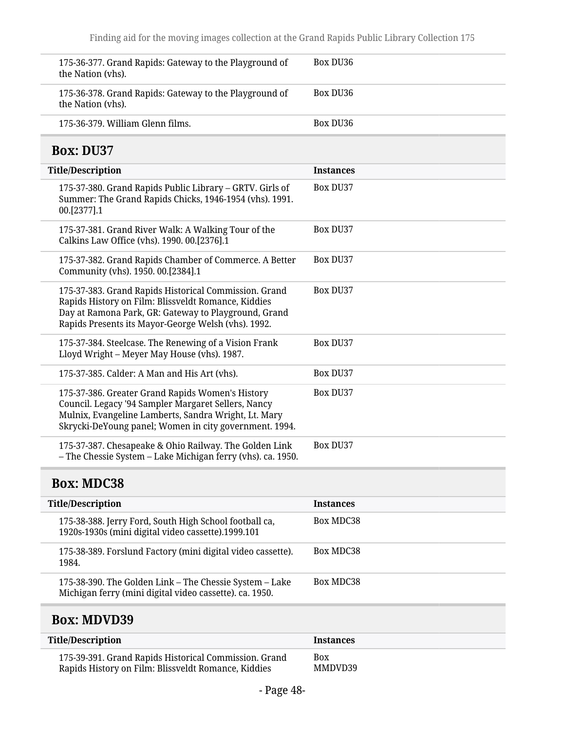<span id="page-47-0"></span>

| 175-36-377. Grand Rapids: Gateway to the Playground of<br>the Nation (vhs).                                                                                                                                                 | Box DU36         |
|-----------------------------------------------------------------------------------------------------------------------------------------------------------------------------------------------------------------------------|------------------|
| 175-36-378. Grand Rapids: Gateway to the Playground of<br>the Nation (vhs).                                                                                                                                                 | Box DU36         |
| 175-36-379. William Glenn films.                                                                                                                                                                                            | <b>Box DU36</b>  |
| <b>Box: DU37</b>                                                                                                                                                                                                            |                  |
| <b>Title/Description</b>                                                                                                                                                                                                    | <b>Instances</b> |
| 175-37-380. Grand Rapids Public Library - GRTV. Girls of<br>Summer: The Grand Rapids Chicks, 1946-1954 (vhs). 1991.<br>00.[2377].1                                                                                          | <b>Box DU37</b>  |
| 175-37-381. Grand River Walk: A Walking Tour of the<br>Calkins Law Office (vhs). 1990. 00.[2376].1                                                                                                                          | Box DU37         |
| 175-37-382. Grand Rapids Chamber of Commerce. A Better<br>Community (vhs). 1950. 00.[2384].1                                                                                                                                | Box DU37         |
| 175-37-383. Grand Rapids Historical Commission. Grand<br>Rapids History on Film: Blissveldt Romance, Kiddies<br>Day at Ramona Park, GR: Gateway to Playground, Grand<br>Rapids Presents its Mayor-George Welsh (vhs). 1992. | Box DU37         |
| 175-37-384. Steelcase. The Renewing of a Vision Frank<br>Lloyd Wright - Meyer May House (vhs). 1987.                                                                                                                        | Box DU37         |
| 175-37-385. Calder: A Man and His Art (vhs).                                                                                                                                                                                | Box DU37         |
| 175-37-386. Greater Grand Rapids Women's History<br>Council. Legacy '94 Sampler Margaret Sellers, Nancy<br>Mulnix, Evangeline Lamberts, Sandra Wright, Lt. Mary<br>Skrycki-DeYoung panel; Women in city government. 1994.   | Box DU37         |
| 175-37-387. Chesapeake & Ohio Railway. The Golden Link<br>- The Chessie System - Lake Michigan ferry (vhs). ca. 1950.                                                                                                       | Box DU37         |
| <b>Box: MDC38</b>                                                                                                                                                                                                           |                  |
| <b>Title/Description</b>                                                                                                                                                                                                    | <b>Instances</b> |
| 175-38-388. Jerry Ford, South High School football ca,<br>1920s-1930s (mini digital video cassette).1999.101                                                                                                                | <b>Box MDC38</b> |

<span id="page-47-1"></span>

| $10 - 00 - 1000$ (minimum diagnosity radio $0.000$                                                                 |           |
|--------------------------------------------------------------------------------------------------------------------|-----------|
| 175-38-389. Forslund Factory (mini digital video cassette).<br>1984.                                               | Box MDC38 |
| 175-38-390. The Golden Link – The Chessie System – Lake<br>Michigan ferry (mini digital video cassette). ca. 1950. | Box MDC38 |

## <span id="page-47-2"></span>**Box: MDVD39**

| Title/Description                                     | <b>Instances</b> |
|-------------------------------------------------------|------------------|
| 175-39-391. Grand Rapids Historical Commission. Grand | <b>Box</b>       |
| Rapids History on Film: Blissveldt Romance, Kiddies   | MMDVD39          |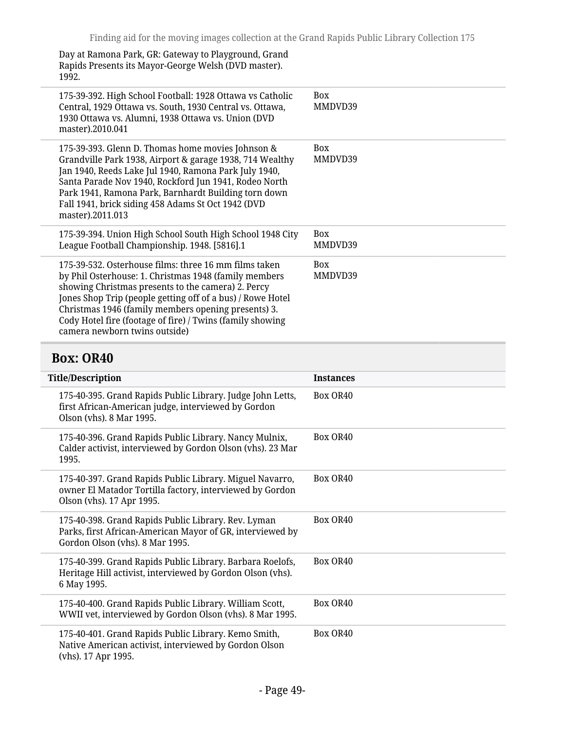Day at Ramona Park, GR: Gateway to Playground, Grand Rapids Presents its Mayor-George Welsh (DVD master). 1992.

| 175-39-392. High School Football: 1928 Ottawa vs Catholic<br>Central, 1929 Ottawa vs. South, 1930 Central vs. Ottawa,<br>1930 Ottawa vs. Alumni, 1938 Ottawa vs. Union (DVD<br>master).2010.041                                                                                                                                                                                         | <b>Box</b><br>MMDVD39 |
|-----------------------------------------------------------------------------------------------------------------------------------------------------------------------------------------------------------------------------------------------------------------------------------------------------------------------------------------------------------------------------------------|-----------------------|
| 175-39-393. Glenn D. Thomas home movies Johnson &<br>Grandville Park 1938, Airport & garage 1938, 714 Wealthy<br>Jan 1940, Reeds Lake Jul 1940, Ramona Park July 1940,<br>Santa Parade Nov 1940, Rockford Jun 1941, Rodeo North<br>Park 1941, Ramona Park, Barnhardt Building torn down<br>Fall 1941, brick siding 458 Adams St Oct 1942 (DVD<br>master).2011.013                       | <b>Box</b><br>MMDVD39 |
| 175-39-394. Union High School South High School 1948 City<br>League Football Championship. 1948. [5816].1                                                                                                                                                                                                                                                                               | <b>Box</b><br>MMDVD39 |
| 175-39-532. Osterhouse films: three 16 mm films taken<br>by Phil Osterhouse: 1. Christmas 1948 (family members<br>showing Christmas presents to the camera) 2. Percy<br>Jones Shop Trip (people getting off of a bus) / Rowe Hotel<br>Christmas 1946 (family members opening presents) 3.<br>Cody Hotel fire (footage of fire) / Twins (family showing<br>camera newborn twins outside) | <b>Box</b><br>MMDVD39 |
|                                                                                                                                                                                                                                                                                                                                                                                         |                       |

### <span id="page-48-0"></span>**Box: OR40**

| <b>Title/Description</b> |                                                                                                                                                     | <b>Instances</b> |
|--------------------------|-----------------------------------------------------------------------------------------------------------------------------------------------------|------------------|
|                          | 175-40-395. Grand Rapids Public Library. Judge John Letts,<br>first African-American judge, interviewed by Gordon<br>Olson (vhs). 8 Mar 1995.       | Box OR40         |
|                          | 175-40-396. Grand Rapids Public Library. Nancy Mulnix,<br>Calder activist, interviewed by Gordon Olson (vhs). 23 Mar<br>1995.                       | Box OR40         |
|                          | 175-40-397. Grand Rapids Public Library. Miguel Navarro,<br>owner El Matador Tortilla factory, interviewed by Gordon<br>Olson (vhs). 17 Apr 1995.   | Box OR40         |
|                          | 175-40-398. Grand Rapids Public Library. Rev. Lyman<br>Parks, first African-American Mayor of GR, interviewed by<br>Gordon Olson (vhs). 8 Mar 1995. | Box OR40         |
|                          | 175-40-399. Grand Rapids Public Library. Barbara Roelofs,<br>Heritage Hill activist, interviewed by Gordon Olson (vhs).<br>6 May 1995.              | Box OR40         |
|                          | 175-40-400. Grand Rapids Public Library. William Scott,<br>WWII vet, interviewed by Gordon Olson (vhs). 8 Mar 1995.                                 | Box OR40         |
|                          | 175-40-401. Grand Rapids Public Library. Kemo Smith,<br>Native American activist, interviewed by Gordon Olson<br>(vhs). 17 Apr 1995.                | Box OR40         |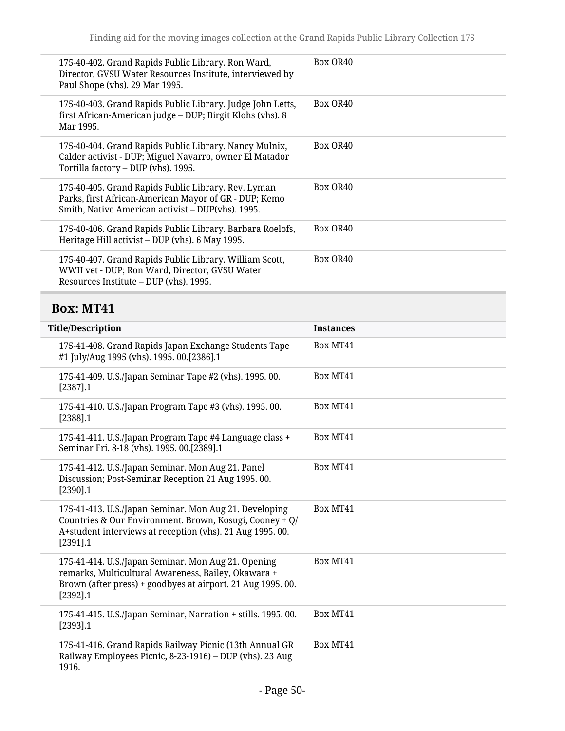| 175-40-402. Grand Rapids Public Library. Ron Ward,<br>Director, GVSU Water Resources Institute, interviewed by<br>Paul Shope (vhs). 29 Mar 1995.                  | Box OR40 |
|-------------------------------------------------------------------------------------------------------------------------------------------------------------------|----------|
| 175-40-403. Grand Rapids Public Library. Judge John Letts,<br>first African-American judge - DUP; Birgit Klohs (vhs). 8<br>Mar 1995.                              | Box OR40 |
| 175-40-404. Grand Rapids Public Library. Nancy Mulnix,<br>Calder activist - DUP; Miguel Navarro, owner El Matador<br>Tortilla factory - DUP (vhs). 1995.          | Box OR40 |
| 175-40-405. Grand Rapids Public Library. Rev. Lyman<br>Parks, first African-American Mayor of GR - DUP; Kemo<br>Smith, Native American activist – DUP(vhs). 1995. | Box OR40 |
| 175-40-406. Grand Rapids Public Library. Barbara Roelofs,<br>Heritage Hill activist – DUP (vhs). 6 May 1995.                                                      | Box OR40 |
| 175-40-407. Grand Rapids Public Library. William Scott,<br>WWII vet - DUP; Ron Ward, Director, GVSU Water<br>Resources Institute – DUP (vhs). 1995.               | Box OR40 |

# <span id="page-49-0"></span>**Box: MT41**

| <b>Title/Description</b>                                                                                                                                                                      | <b>Instances</b> |
|-----------------------------------------------------------------------------------------------------------------------------------------------------------------------------------------------|------------------|
| 175-41-408. Grand Rapids Japan Exchange Students Tape<br>#1 July/Aug 1995 (vhs). 1995. 00.[2386].1                                                                                            | Box MT41         |
| 175-41-409. U.S./Japan Seminar Tape #2 (vhs). 1995. 00.<br>$[2387]$ .1                                                                                                                        | Box MT41         |
| 175-41-410. U.S./Japan Program Tape #3 (vhs). 1995. 00.<br>$[2388]$ .1                                                                                                                        | Box MT41         |
| 175-41-411. U.S./Japan Program Tape #4 Language class +<br>Seminar Fri. 8-18 (vhs). 1995. 00.[2389].1                                                                                         | Box MT41         |
| 175-41-412. U.S./Japan Seminar. Mon Aug 21. Panel<br>Discussion; Post-Seminar Reception 21 Aug 1995.00.<br>[2390].1                                                                           | Box MT41         |
| 175-41-413. U.S./Japan Seminar. Mon Aug 21. Developing<br>Countries & Our Environment. Brown, Kosugi, Cooney + Q/<br>A+student interviews at reception (vhs). 21 Aug 1995. 00.<br>$[2391]$ .1 | Box MT41         |
| 175-41-414. U.S./Japan Seminar. Mon Aug 21. Opening<br>remarks, Multicultural Awareness, Bailey, Okawara +<br>Brown (after press) + goodbyes at airport. 21 Aug 1995. 00.<br>$[2392]$ .1      | Box MT41         |
| 175-41-415. U.S./Japan Seminar, Narration + stills. 1995. 00.<br>$[2393]$ .1                                                                                                                  | Box MT41         |
| 175-41-416. Grand Rapids Railway Picnic (13th Annual GR<br>Railway Employees Picnic, 8-23-1916) – DUP (vhs). 23 Aug<br>1916.                                                                  | Box MT41         |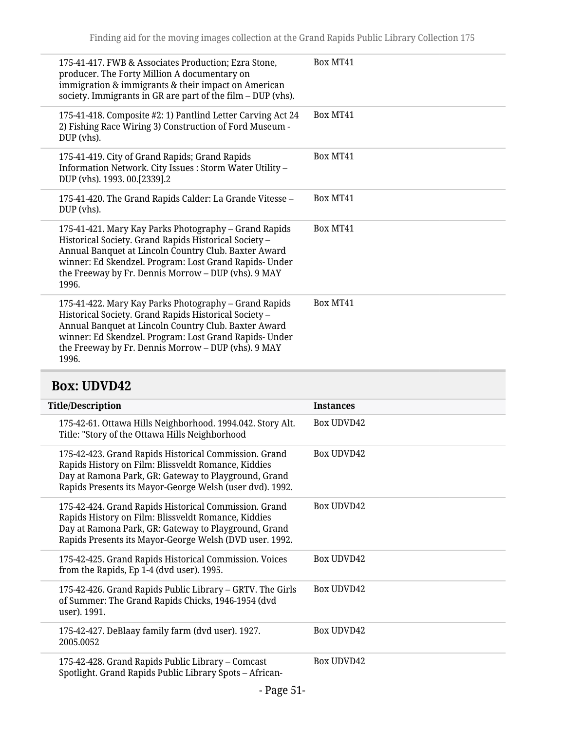| 175-41-417. FWB & Associates Production; Ezra Stone,<br>producer. The Forty Million A documentary on<br>immigration & immigrants & their impact on American<br>society. Immigrants in GR are part of the film $-$ DUP (vhs).                                                                     | Box MT41 |
|--------------------------------------------------------------------------------------------------------------------------------------------------------------------------------------------------------------------------------------------------------------------------------------------------|----------|
| 175-41-418. Composite #2: 1) Pantlind Letter Carving Act 24<br>2) Fishing Race Wiring 3) Construction of Ford Museum -<br>DUP (vhs).                                                                                                                                                             | Box MT41 |
| 175-41-419. City of Grand Rapids; Grand Rapids<br>Information Network. City Issues : Storm Water Utility -<br>DUP (vhs). 1993. 00.[2339].2                                                                                                                                                       | Box MT41 |
| 175-41-420. The Grand Rapids Calder: La Grande Vitesse -<br>DUP (vhs).                                                                                                                                                                                                                           | Box MT41 |
| 175-41-421. Mary Kay Parks Photography – Grand Rapids<br>Historical Society. Grand Rapids Historical Society -<br>Annual Banquet at Lincoln Country Club. Baxter Award<br>winner: Ed Skendzel. Program: Lost Grand Rapids- Under<br>the Freeway by Fr. Dennis Morrow - DUP (vhs). 9 MAY<br>1996. | Box MT41 |
| 175-41-422. Mary Kay Parks Photography – Grand Rapids<br>Historical Society. Grand Rapids Historical Society -<br>Annual Banquet at Lincoln Country Club. Baxter Award<br>winner: Ed Skendzel. Program: Lost Grand Rapids- Under<br>the Freeway by Fr. Dennis Morrow - DUP (vhs). 9 MAY<br>1996. | Box MT41 |

# <span id="page-50-0"></span>**Box: UDVD42**

| <b>Title/Description</b>                                                                                                                                                                                                         | <b>Instances</b>  |
|----------------------------------------------------------------------------------------------------------------------------------------------------------------------------------------------------------------------------------|-------------------|
| 175-42-61. Ottawa Hills Neighborhood. 1994.042. Story Alt.<br>Title: "Story of the Ottawa Hills Neighborhood                                                                                                                     | Box UDVD42        |
| 175-42-423. Grand Rapids Historical Commission. Grand<br>Rapids History on Film: Blissveldt Romance, Kiddies<br>Day at Ramona Park, GR: Gateway to Playground, Grand<br>Rapids Presents its Mayor-George Welsh (user dvd). 1992. | <b>Box UDVD42</b> |
| 175-42-424. Grand Rapids Historical Commission. Grand<br>Rapids History on Film: Blissveldt Romance, Kiddies<br>Day at Ramona Park, GR: Gateway to Playground, Grand<br>Rapids Presents its Mayor-George Welsh (DVD user. 1992.  | <b>Box UDVD42</b> |
| 175-42-425. Grand Rapids Historical Commission. Voices<br>from the Rapids, Ep 1-4 (dvd user). 1995.                                                                                                                              | <b>Box UDVD42</b> |
| 175-42-426. Grand Rapids Public Library – GRTV. The Girls<br>of Summer: The Grand Rapids Chicks, 1946-1954 (dvd<br>user). 1991.                                                                                                  | <b>Box UDVD42</b> |
| 175-42-427. DeBlaay family farm (dvd user). 1927.<br>2005.0052                                                                                                                                                                   | <b>Box UDVD42</b> |
| 175-42-428. Grand Rapids Public Library – Comcast<br>Spotlight. Grand Rapids Public Library Spots - African-                                                                                                                     | Box UDVD42        |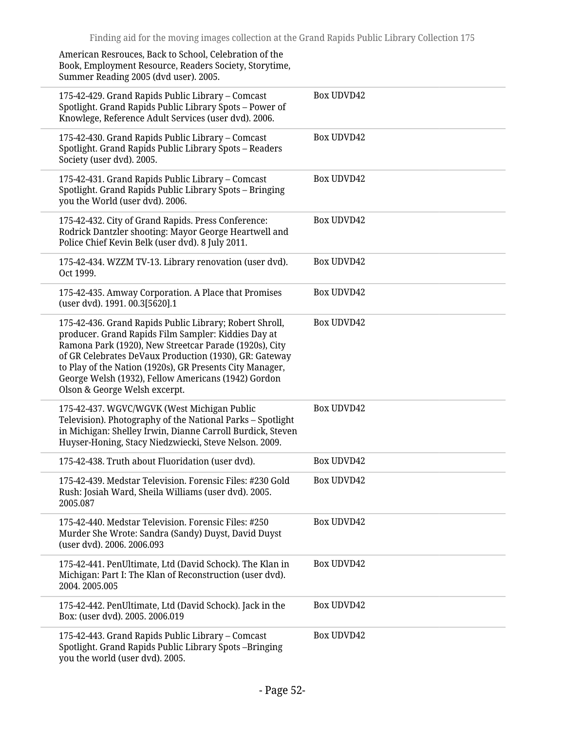American Resrouces, Back to School, Celebration of the Book, Employment Resource, Readers Society, Storytime, Summer Reading 2005 (dvd user). 2005.

| 175-42-429. Grand Rapids Public Library - Comcast<br>Spotlight. Grand Rapids Public Library Spots - Power of<br>Knowlege, Reference Adult Services (user dvd). 2006.                                                                                                                                                                                                                   | <b>Box UDVD42</b> |
|----------------------------------------------------------------------------------------------------------------------------------------------------------------------------------------------------------------------------------------------------------------------------------------------------------------------------------------------------------------------------------------|-------------------|
| 175-42-430. Grand Rapids Public Library - Comcast<br>Spotlight. Grand Rapids Public Library Spots - Readers<br>Society (user dvd). 2005.                                                                                                                                                                                                                                               | <b>Box UDVD42</b> |
| 175-42-431. Grand Rapids Public Library – Comcast<br>Spotlight. Grand Rapids Public Library Spots - Bringing<br>you the World (user dvd). 2006.                                                                                                                                                                                                                                        | <b>Box UDVD42</b> |
| 175-42-432. City of Grand Rapids. Press Conference:<br>Rodrick Dantzler shooting: Mayor George Heartwell and<br>Police Chief Kevin Belk (user dvd). 8 July 2011.                                                                                                                                                                                                                       | <b>Box UDVD42</b> |
| 175-42-434. WZZM TV-13. Library renovation (user dvd).<br>Oct 1999.                                                                                                                                                                                                                                                                                                                    | <b>Box UDVD42</b> |
| 175-42-435. Amway Corporation. A Place that Promises<br>(user dvd). 1991. 00.3[5620].1                                                                                                                                                                                                                                                                                                 | <b>Box UDVD42</b> |
| 175-42-436. Grand Rapids Public Library; Robert Shroll,<br>producer. Grand Rapids Film Sampler: Kiddies Day at<br>Ramona Park (1920), New Streetcar Parade (1920s), City<br>of GR Celebrates DeVaux Production (1930), GR: Gateway<br>to Play of the Nation (1920s), GR Presents City Manager,<br>George Welsh (1932), Fellow Americans (1942) Gordon<br>Olson & George Welsh excerpt. | <b>Box UDVD42</b> |
| 175-42-437. WGVC/WGVK (West Michigan Public<br>Television). Photography of the National Parks - Spotlight<br>in Michigan: Shelley Irwin, Dianne Carroll Burdick, Steven<br>Huyser-Honing, Stacy Niedzwiecki, Steve Nelson. 2009.                                                                                                                                                       | <b>Box UDVD42</b> |
| 175-42-438. Truth about Fluoridation (user dvd).                                                                                                                                                                                                                                                                                                                                       | Box UDVD42        |
| 175-42-439. Medstar Television. Forensic Files: #230 Gold<br>Rush: Josiah Ward, Sheila Williams (user dvd). 2005.<br>2005.087                                                                                                                                                                                                                                                          | <b>Box UDVD42</b> |
| 175-42-440. Medstar Television. Forensic Files: #250<br>Murder She Wrote: Sandra (Sandy) Duyst, David Duyst<br>(user dvd). 2006. 2006.093                                                                                                                                                                                                                                              | <b>Box UDVD42</b> |
| 175-42-441. PenUltimate, Ltd (David Schock). The Klan in<br>Michigan: Part I: The Klan of Reconstruction (user dvd).<br>2004.2005.005                                                                                                                                                                                                                                                  | <b>Box UDVD42</b> |
| 175-42-442. PenUltimate, Ltd (David Schock). Jack in the<br>Box: (user dvd). 2005. 2006.019                                                                                                                                                                                                                                                                                            | Box UDVD42        |
| 175-42-443. Grand Rapids Public Library – Comcast<br>Spotlight. Grand Rapids Public Library Spots-Bringing<br>you the world (user dvd). 2005.                                                                                                                                                                                                                                          | <b>Box UDVD42</b> |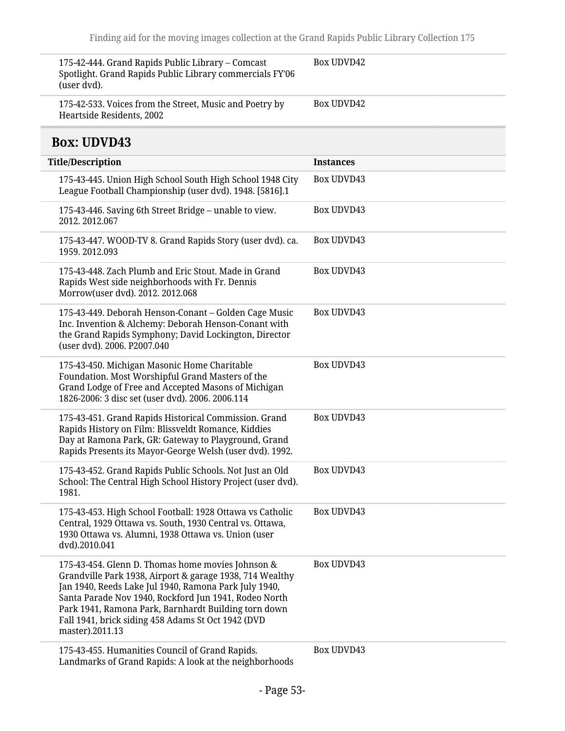<span id="page-52-0"></span>

| 175-42-444. Grand Rapids Public Library - Comcast<br>Spotlight. Grand Rapids Public Library commercials FY'06<br>(user dvd).                                                                                                                                                                                                                                     | <b>Box UDVD42</b> |
|------------------------------------------------------------------------------------------------------------------------------------------------------------------------------------------------------------------------------------------------------------------------------------------------------------------------------------------------------------------|-------------------|
| 175-42-533. Voices from the Street, Music and Poetry by<br>Heartside Residents, 2002                                                                                                                                                                                                                                                                             | <b>Box UDVD42</b> |
| <b>Box: UDVD43</b>                                                                                                                                                                                                                                                                                                                                               |                   |
| <b>Title/Description</b>                                                                                                                                                                                                                                                                                                                                         | <b>Instances</b>  |
| 175-43-445. Union High School South High School 1948 City<br>League Football Championship (user dvd). 1948. [5816].1                                                                                                                                                                                                                                             | <b>Box UDVD43</b> |
| 175-43-446. Saving 6th Street Bridge - unable to view.<br>2012.2012.067                                                                                                                                                                                                                                                                                          | <b>Box UDVD43</b> |
| 175-43-447. WOOD-TV 8. Grand Rapids Story (user dvd). ca.<br>1959.2012.093                                                                                                                                                                                                                                                                                       | <b>Box UDVD43</b> |
| 175-43-448. Zach Plumb and Eric Stout. Made in Grand<br>Rapids West side neighborhoods with Fr. Dennis<br>Morrow(user dvd). 2012. 2012.068                                                                                                                                                                                                                       | <b>Box UDVD43</b> |
| 175-43-449. Deborah Henson-Conant - Golden Cage Music<br>Inc. Invention & Alchemy: Deborah Henson-Conant with<br>the Grand Rapids Symphony; David Lockington, Director<br>(user dvd). 2006. P2007.040                                                                                                                                                            | <b>Box UDVD43</b> |
| 175-43-450. Michigan Masonic Home Charitable<br>Foundation. Most Worshipful Grand Masters of the<br>Grand Lodge of Free and Accepted Masons of Michigan<br>1826-2006: 3 disc set (user dvd). 2006. 2006.114                                                                                                                                                      | <b>Box UDVD43</b> |
| 175-43-451. Grand Rapids Historical Commission. Grand<br>Rapids History on Film: Blissveldt Romance, Kiddies<br>Day at Ramona Park, GR: Gateway to Playground, Grand<br>Rapids Presents its Mayor-George Welsh (user dvd). 1992.                                                                                                                                 | <b>Box UDVD43</b> |
| 175-43-452. Grand Rapids Public Schools. Not Just an Old<br>School: The Central High School History Project (user dvd).<br>1981.                                                                                                                                                                                                                                 | <b>Box UDVD43</b> |
| 175-43-453. High School Football: 1928 Ottawa vs Catholic<br>Central, 1929 Ottawa vs. South, 1930 Central vs. Ottawa,<br>1930 Ottawa vs. Alumni, 1938 Ottawa vs. Union (user<br>dvd).2010.041                                                                                                                                                                    | <b>Box UDVD43</b> |
| 175-43-454. Glenn D. Thomas home movies Johnson &<br>Grandville Park 1938, Airport & garage 1938, 714 Wealthy<br>Jan 1940, Reeds Lake Jul 1940, Ramona Park July 1940,<br>Santa Parade Nov 1940, Rockford Jun 1941, Rodeo North<br>Park 1941, Ramona Park, Barnhardt Building torn down<br>Fall 1941, brick siding 458 Adams St Oct 1942 (DVD<br>master).2011.13 | <b>Box UDVD43</b> |
| 175-43-455. Humanities Council of Grand Rapids.<br>Landmarks of Grand Rapids: A look at the neighborhoods                                                                                                                                                                                                                                                        | <b>Box UDVD43</b> |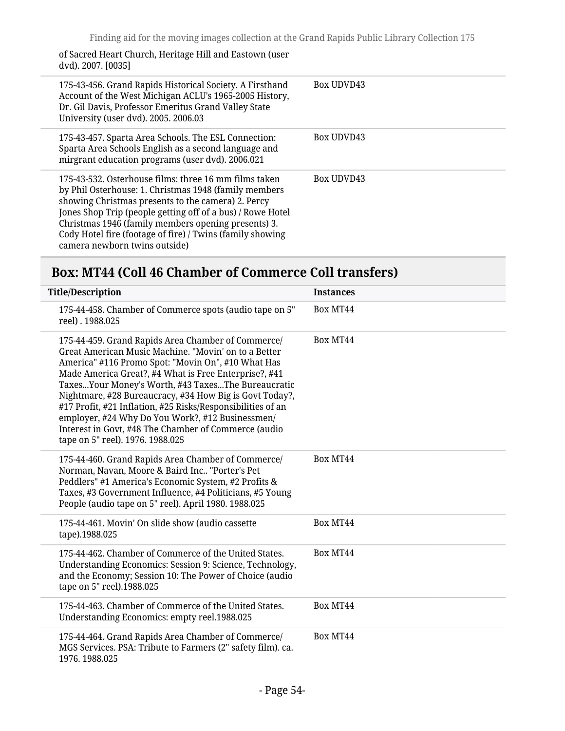of Sacred Heart Church, Heritage Hill and Eastown (user dvd). 2007. [0035]

| 175-43-456. Grand Rapids Historical Society. A Firsthand<br>Account of the West Michigan ACLU's 1965-2005 History,<br>Dr. Gil Davis, Professor Emeritus Grand Valley State<br>University (user dvd). 2005. 2006.03                                                                                                                                                                      | <b>Box UDVD43</b> |
|-----------------------------------------------------------------------------------------------------------------------------------------------------------------------------------------------------------------------------------------------------------------------------------------------------------------------------------------------------------------------------------------|-------------------|
| 175-43-457. Sparta Area Schools. The ESL Connection:<br>Sparta Area Schools English as a second language and<br>mirgrant education programs (user dvd). 2006.021                                                                                                                                                                                                                        | <b>Box UDVD43</b> |
| 175-43-532. Osterhouse films: three 16 mm films taken<br>by Phil Osterhouse: 1. Christmas 1948 (family members<br>showing Christmas presents to the camera) 2. Percy<br>Jones Shop Trip (people getting off of a bus) / Rowe Hotel<br>Christmas 1946 (family members opening presents) 3.<br>Cody Hotel fire (footage of fire) / Twins (family showing<br>camera newborn twins outside) | <b>Box UDVD43</b> |

## <span id="page-53-0"></span>**Box: MT44 (Coll 46 Chamber of Commerce Coll transfers)**

| <b>Title/Description</b>                                                                                                                                                                                                                                                                                                                                                                                                                                                                                                                                  | <b>Instances</b> |
|-----------------------------------------------------------------------------------------------------------------------------------------------------------------------------------------------------------------------------------------------------------------------------------------------------------------------------------------------------------------------------------------------------------------------------------------------------------------------------------------------------------------------------------------------------------|------------------|
| 175-44-458. Chamber of Commerce spots (audio tape on 5"<br>reel). 1988.025                                                                                                                                                                                                                                                                                                                                                                                                                                                                                | Box MT44         |
| 175-44-459. Grand Rapids Area Chamber of Commerce/<br>Great American Music Machine. "Movin' on to a Better<br>America" #116 Promo Spot: "Movin On", #10 What Has<br>Made America Great?, #4 What is Free Enterprise?, #41<br>TaxesYour Money's Worth, #43 TaxesThe Bureaucratic<br>Nightmare, #28 Bureaucracy, #34 How Big is Govt Today?,<br>#17 Profit, #21 Inflation, #25 Risks/Responsibilities of an<br>employer, #24 Why Do You Work?, #12 Businessmen/<br>Interest in Govt, #48 The Chamber of Commerce (audio<br>tape on 5" reel). 1976. 1988.025 | Box MT44         |
| 175-44-460. Grand Rapids Area Chamber of Commerce/<br>Norman, Navan, Moore & Baird Inc "Porter's Pet<br>Peddlers" #1 America's Economic System, #2 Profits &<br>Taxes, #3 Government Influence, #4 Politicians, #5 Young<br>People (audio tape on 5" reel). April 1980. 1988.025                                                                                                                                                                                                                                                                          | Box MT44         |
| 175-44-461. Movin' On slide show (audio cassette<br>tape).1988.025                                                                                                                                                                                                                                                                                                                                                                                                                                                                                        | Box MT44         |
| 175-44-462. Chamber of Commerce of the United States.<br>Understanding Economics: Session 9: Science, Technology,<br>and the Economy; Session 10: The Power of Choice (audio<br>tape on 5" reel).1988.025                                                                                                                                                                                                                                                                                                                                                 | Box MT44         |
| 175-44-463. Chamber of Commerce of the United States.<br>Understanding Economics: empty reel.1988.025                                                                                                                                                                                                                                                                                                                                                                                                                                                     | Box MT44         |
| 175-44-464. Grand Rapids Area Chamber of Commerce/<br>MGS Services. PSA: Tribute to Farmers (2" safety film). ca.<br>1976.1988.025                                                                                                                                                                                                                                                                                                                                                                                                                        | Box MT44         |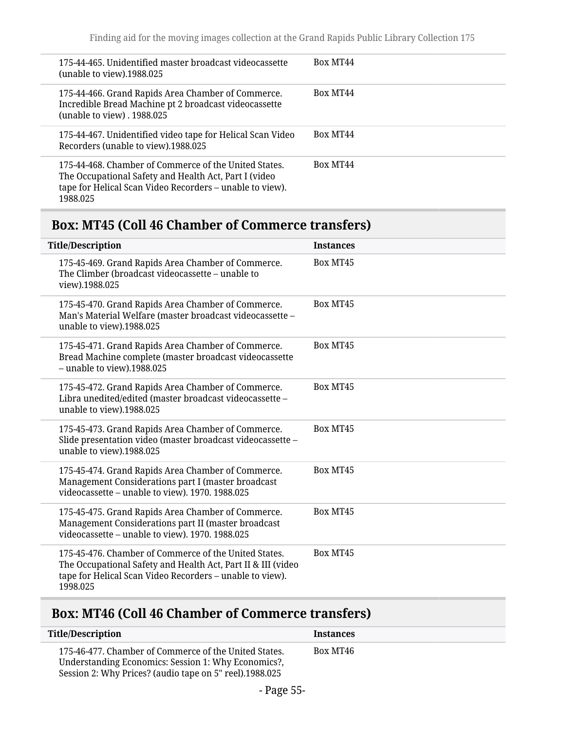| 175-44-465. Unidentified master broadcast videocassette<br>(unable to view).1988.025                                                                                                   | Box MT44 |
|----------------------------------------------------------------------------------------------------------------------------------------------------------------------------------------|----------|
| 175-44-466. Grand Rapids Area Chamber of Commerce.<br>Incredible Bread Machine pt 2 broadcast videocassette<br>(unable to view) . 1988.025                                             | Box MT44 |
| 175-44-467. Unidentified video tape for Helical Scan Video<br>Recorders (unable to view).1988.025                                                                                      | Box MT44 |
| 175-44-468. Chamber of Commerce of the United States.<br>The Occupational Safety and Health Act, Part I (video<br>tape for Helical Scan Video Recorders - unable to view).<br>1988.025 | Box MT44 |

# <span id="page-54-0"></span>**Box: MT45 (Coll 46 Chamber of Commerce transfers)**

|          | <b>Title/Description</b>                                                                                                                                                          | <b>Instances</b> |
|----------|-----------------------------------------------------------------------------------------------------------------------------------------------------------------------------------|------------------|
|          | 175-45-469. Grand Rapids Area Chamber of Commerce.<br>The Climber (broadcast videocassette – unable to<br>view).1988.025                                                          | Box MT45         |
|          | 175-45-470. Grand Rapids Area Chamber of Commerce.<br>Man's Material Welfare (master broadcast videocassette -<br>unable to view).1988.025                                        | Box MT45         |
|          | 175-45-471. Grand Rapids Area Chamber of Commerce.<br>Bread Machine complete (master broadcast videocassette<br>$-$ unable to view).1988.025                                      | Box MT45         |
|          | 175-45-472. Grand Rapids Area Chamber of Commerce.<br>Libra unedited/edited (master broadcast videocassette -<br>unable to view).1988.025                                         | Box MT45         |
|          | 175-45-473. Grand Rapids Area Chamber of Commerce.<br>Slide presentation video (master broadcast videocassette -<br>unable to view).1988.025                                      | Box MT45         |
|          | 175-45-474. Grand Rapids Area Chamber of Commerce.<br>Management Considerations part I (master broadcast<br>videocassette - unable to view). 1970. 1988.025                       | Box MT45         |
|          | 175-45-475. Grand Rapids Area Chamber of Commerce.<br>Management Considerations part II (master broadcast<br>videocassette - unable to view). 1970. 1988.025                      | Box MT45         |
| 1998.025 | 175-45-476. Chamber of Commerce of the United States.<br>The Occupational Safety and Health Act, Part II & III (video<br>tape for Helical Scan Video Recorders - unable to view). | Box MT45         |

# <span id="page-54-1"></span>**Box: MT46 (Coll 46 Chamber of Commerce transfers)**

| <b>Title/Description</b>                                                                                                                                                | <b>Instances</b> |  |
|-------------------------------------------------------------------------------------------------------------------------------------------------------------------------|------------------|--|
| 175-46-477. Chamber of Commerce of the United States.<br>Understanding Economics: Session 1: Why Economics?,<br>Session 2: Why Prices? (audio tape on 5" reel).1988.025 | Box MT46         |  |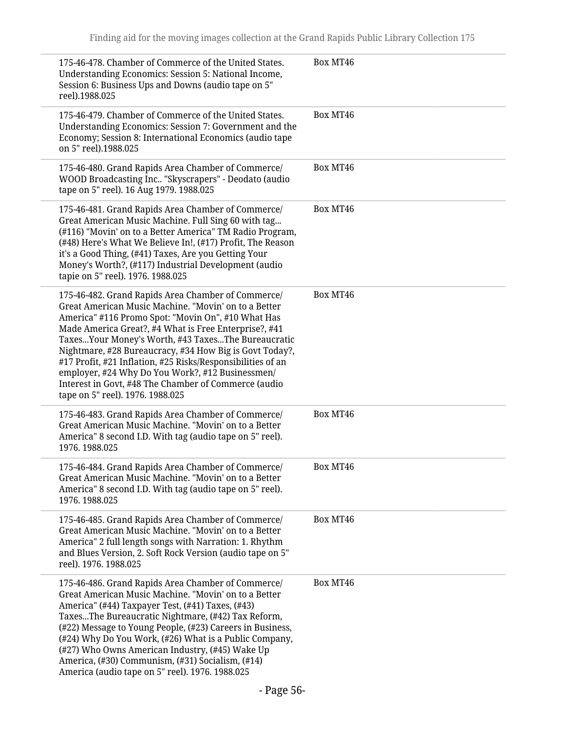| 175-46-478. Chamber of Commerce of the United States.<br>Understanding Economics: Session 5: National Income,<br>Session 6: Business Ups and Downs (audio tape on 5"<br>reel).1988.025                                                                                                                                                                                                                                                                                                                                                                    | Box MT46 |
|-----------------------------------------------------------------------------------------------------------------------------------------------------------------------------------------------------------------------------------------------------------------------------------------------------------------------------------------------------------------------------------------------------------------------------------------------------------------------------------------------------------------------------------------------------------|----------|
| 175-46-479. Chamber of Commerce of the United States.<br>Understanding Economics: Session 7: Government and the<br>Economy; Session 8: International Economics (audio tape<br>on 5" reel).1988.025                                                                                                                                                                                                                                                                                                                                                        | Box MT46 |
| 175-46-480. Grand Rapids Area Chamber of Commerce/<br>WOOD Broadcasting Inc "Skyscrapers" - Deodato (audio<br>tape on 5" reel). 16 Aug 1979. 1988.025                                                                                                                                                                                                                                                                                                                                                                                                     | Box MT46 |
| 175-46-481. Grand Rapids Area Chamber of Commerce/<br>Great American Music Machine. Full Sing 60 with tag<br>(#116) "Movin' on to a Better America" TM Radio Program,<br>(#48) Here's What We Believe In!, (#17) Profit, The Reason<br>it's a Good Thing, (#41) Taxes, Are you Getting Your<br>Money's Worth?, (#117) Industrial Development (audio<br>tapie on 5" reel). 1976. 1988.025                                                                                                                                                                  | Box MT46 |
| 175-46-482. Grand Rapids Area Chamber of Commerce/<br>Great American Music Machine. "Movin' on to a Better<br>America" #116 Promo Spot: "Movin On", #10 What Has<br>Made America Great?, #4 What is Free Enterprise?, #41<br>TaxesYour Money's Worth, #43 TaxesThe Bureaucratic<br>Nightmare, #28 Bureaucracy, #34 How Big is Govt Today?,<br>#17 Profit, #21 Inflation, #25 Risks/Responsibilities of an<br>employer, #24 Why Do You Work?, #12 Businessmen/<br>Interest in Govt, #48 The Chamber of Commerce (audio<br>tape on 5" reel). 1976. 1988.025 | Box MT46 |
| 175-46-483. Grand Rapids Area Chamber of Commerce/<br>Great American Music Machine. "Movin' on to a Better<br>America" 8 second I.D. With tag (audio tape on 5" reel).<br>1976.1988.025                                                                                                                                                                                                                                                                                                                                                                   | Box MT46 |
| 175-46-484. Grand Rapids Area Chamber of Commerce/<br>Great American Music Machine. "Movin' on to a Better<br>America" 8 second I.D. With tag (audio tape on 5" reel).<br>1976.1988.025                                                                                                                                                                                                                                                                                                                                                                   | Box MT46 |
| 175-46-485. Grand Rapids Area Chamber of Commerce/<br>Great American Music Machine. "Movin' on to a Better<br>America" 2 full length songs with Narration: 1. Rhythm<br>and Blues Version, 2. Soft Rock Version (audio tape on 5"<br>reel). 1976. 1988.025                                                                                                                                                                                                                                                                                                | Box MT46 |
| 175-46-486. Grand Rapids Area Chamber of Commerce/<br>Great American Music Machine. "Movin' on to a Better<br>America" (#44) Taxpayer Test, (#41) Taxes, (#43)<br>TaxesThe Bureaucratic Nightmare, (#42) Tax Reform,<br>(#22) Message to Young People, (#23) Careers in Business,<br>(#24) Why Do You Work, (#26) What is a Public Company,<br>(#27) Who Owns American Industry, (#45) Wake Up<br>America, (#30) Communism, (#31) Socialism, (#14)<br>America (audio tape on 5" reel). 1976. 1988.025                                                     | Box MT46 |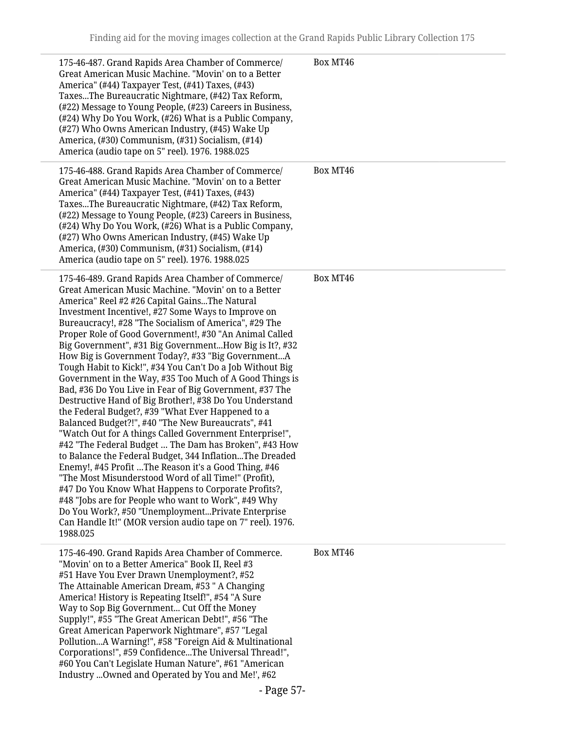| 175-46-487. Grand Rapids Area Chamber of Commerce/<br>Great American Music Machine. "Movin' on to a Better<br>America" (#44) Taxpayer Test, (#41) Taxes, (#43)<br>TaxesThe Bureaucratic Nightmare, (#42) Tax Reform,<br>(#22) Message to Young People, (#23) Careers in Business,<br>(#24) Why Do You Work, (#26) What is a Public Company,<br>(#27) Who Owns American Industry, (#45) Wake Up<br>America, (#30) Communism, (#31) Socialism, (#14)<br>America (audio tape on 5" reel). 1976. 1988.025                                                                                                                                                                                                                                                                                                                                                                                                                                                                                                                                                                                                                                                                                                                                                                                                                                                     | Box MT46 |
|-----------------------------------------------------------------------------------------------------------------------------------------------------------------------------------------------------------------------------------------------------------------------------------------------------------------------------------------------------------------------------------------------------------------------------------------------------------------------------------------------------------------------------------------------------------------------------------------------------------------------------------------------------------------------------------------------------------------------------------------------------------------------------------------------------------------------------------------------------------------------------------------------------------------------------------------------------------------------------------------------------------------------------------------------------------------------------------------------------------------------------------------------------------------------------------------------------------------------------------------------------------------------------------------------------------------------------------------------------------|----------|
| 175-46-488. Grand Rapids Area Chamber of Commerce/<br>Great American Music Machine. "Movin' on to a Better<br>America" (#44) Taxpayer Test, (#41) Taxes, (#43)<br>TaxesThe Bureaucratic Nightmare, (#42) Tax Reform,<br>(#22) Message to Young People, (#23) Careers in Business,<br>(#24) Why Do You Work, (#26) What is a Public Company,<br>(#27) Who Owns American Industry, (#45) Wake Up<br>America, (#30) Communism, (#31) Socialism, (#14)<br>America (audio tape on 5" reel). 1976. 1988.025                                                                                                                                                                                                                                                                                                                                                                                                                                                                                                                                                                                                                                                                                                                                                                                                                                                     | Box MT46 |
| 175-46-489. Grand Rapids Area Chamber of Commerce/<br>Great American Music Machine. "Movin' on to a Better<br>America" Reel #2 #26 Capital GainsThe Natural<br>Investment Incentive!, #27 Some Ways to Improve on<br>Bureaucracy!, #28 "The Socialism of America", #29 The<br>Proper Role of Good Government!, #30 "An Animal Called<br>Big Government", #31 Big GovernmentHow Big is It?, #32<br>How Big is Government Today?, #33 "Big GovernmentA<br>Tough Habit to Kick!", #34 You Can't Do a Job Without Big<br>Government in the Way, #35 Too Much of A Good Things is<br>Bad, #36 Do You Live in Fear of Big Government, #37 The<br>Destructive Hand of Big Brother!, #38 Do You Understand<br>the Federal Budget?, #39 "What Ever Happened to a<br>Balanced Budget?!", #40 "The New Bureaucrats", #41<br>"Watch Out for A things Called Government Enterprise!",<br>#42 "The Federal Budget  The Dam has Broken", #43 How<br>to Balance the Federal Budget, 344 InflationThe Dreaded<br>Enemy!, #45 Profit The Reason it's a Good Thing, #46<br>"The Most Misunderstood Word of all Time!" (Profit),<br>#47 Do You Know What Happens to Corporate Profits?,<br>#48 "Jobs are for People who want to Work", #49 Why<br>Do You Work?, #50 "UnemploymentPrivate Enterprise<br>Can Handle It!" (MOR version audio tape on 7" reel). 1976.<br>1988.025 | Box MT46 |
| 175-46-490. Grand Rapids Area Chamber of Commerce.<br>"Movin' on to a Better America" Book II, Reel #3<br>#51 Have You Ever Drawn Unemployment?, #52<br>The Attainable American Dream, #53 " A Changing<br>America! History is Repeating Itself!", #54 "A Sure<br>Way to Sop Big Government Cut Off the Money<br>Supply!", #55 "The Great American Debt!", #56 "The<br>Great American Paperwork Nightmare", #57 "Legal<br>PollutionA Warning!", #58 "Foreign Aid & Multinational<br>Corporations!", #59 ConfidenceThe Universal Thread!",<br>#60 You Can't Legislate Human Nature", #61 "American<br>Industry Owned and Operated by You and Me!', #62                                                                                                                                                                                                                                                                                                                                                                                                                                                                                                                                                                                                                                                                                                     | Box MT46 |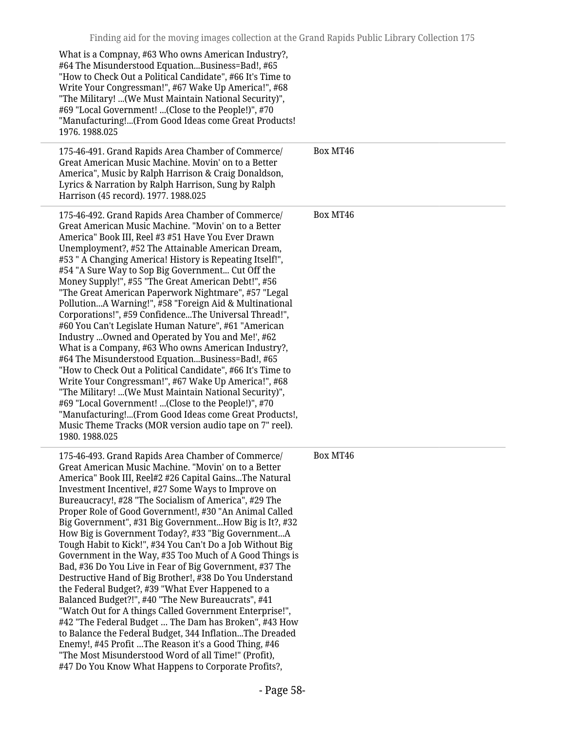| What is a Compnay, #63 Who owns American Industry?,<br>#64 The Misunderstood EquationBusiness=Bad!, #65<br>"How to Check Out a Political Candidate", #66 It's Time to<br>Write Your Congressman!", #67 Wake Up America!", #68<br>"The Military! (We Must Maintain National Security)",<br>#69 "Local Government! (Close to the People!)", #70<br>"Manufacturing!(From Good Ideas come Great Products!<br>1976.1988.025                                                                                                                                                                                                                                                                                                                                                                                                                                                                                                                                                                                                                                                                                                                                                       |          |
|------------------------------------------------------------------------------------------------------------------------------------------------------------------------------------------------------------------------------------------------------------------------------------------------------------------------------------------------------------------------------------------------------------------------------------------------------------------------------------------------------------------------------------------------------------------------------------------------------------------------------------------------------------------------------------------------------------------------------------------------------------------------------------------------------------------------------------------------------------------------------------------------------------------------------------------------------------------------------------------------------------------------------------------------------------------------------------------------------------------------------------------------------------------------------|----------|
| 175-46-491. Grand Rapids Area Chamber of Commerce/<br>Great American Music Machine. Movin' on to a Better<br>America", Music by Ralph Harrison & Craig Donaldson,<br>Lyrics & Narration by Ralph Harrison, Sung by Ralph<br>Harrison (45 record). 1977. 1988.025                                                                                                                                                                                                                                                                                                                                                                                                                                                                                                                                                                                                                                                                                                                                                                                                                                                                                                             | Box MT46 |
| 175-46-492. Grand Rapids Area Chamber of Commerce/<br>Great American Music Machine. "Movin' on to a Better<br>America" Book III, Reel #3 #51 Have You Ever Drawn<br>Unemployment?, #52 The Attainable American Dream,<br>#53 " A Changing America! History is Repeating Itself!",<br>#54 "A Sure Way to Sop Big Government Cut Off the<br>Money Supply!", #55 "The Great American Debt!", #56<br>"The Great American Paperwork Nightmare", #57 "Legal<br>PollutionA Warning!", #58 "Foreign Aid & Multinational<br>Corporations!", #59 ConfidenceThe Universal Thread!",<br>#60 You Can't Legislate Human Nature", #61 "American<br>Industry Owned and Operated by You and Me!', #62<br>What is a Company, #63 Who owns American Industry?,<br>#64 The Misunderstood EquationBusiness=Bad!, #65<br>"How to Check Out a Political Candidate", #66 It's Time to<br>Write Your Congressman!", #67 Wake Up America!", #68<br>"The Military! (We Must Maintain National Security)",<br>#69 "Local Government! (Close to the People!)", #70<br>"Manufacturing!(From Good Ideas come Great Products!,<br>Music Theme Tracks (MOR version audio tape on 7" reel).<br>1980.1988.025   | Box MT46 |
| 175-46-493. Grand Rapids Area Chamber of Commerce/<br>Great American Music Machine. "Movin' on to a Better<br>America" Book III, Reel#2 #26 Capital GainsThe Natural<br>Investment Incentive!, #27 Some Ways to Improve on<br>Bureaucracy!, #28 "The Socialism of America", #29 The<br>Proper Role of Good Government!, #30 "An Animal Called<br>Big Government", #31 Big GovernmentHow Big is It?, #32<br>How Big is Government Today?, #33 "Big GovernmentA<br>Tough Habit to Kick!", #34 You Can't Do a Job Without Big<br>Government in the Way, #35 Too Much of A Good Things is<br>Bad, #36 Do You Live in Fear of Big Government, #37 The<br>Destructive Hand of Big Brother!, #38 Do You Understand<br>the Federal Budget?, #39 "What Ever Happened to a<br>Balanced Budget?!", #40 "The New Bureaucrats", #41<br>"Watch Out for A things Called Government Enterprise!",<br>#42 "The Federal Budget  The Dam has Broken", #43 How<br>to Balance the Federal Budget, 344 InflationThe Dreaded<br>Enemy!, #45 Profit The Reason it's a Good Thing, #46<br>"The Most Misunderstood Word of all Time!" (Profit),<br>#47 Do You Know What Happens to Corporate Profits?, | Box MT46 |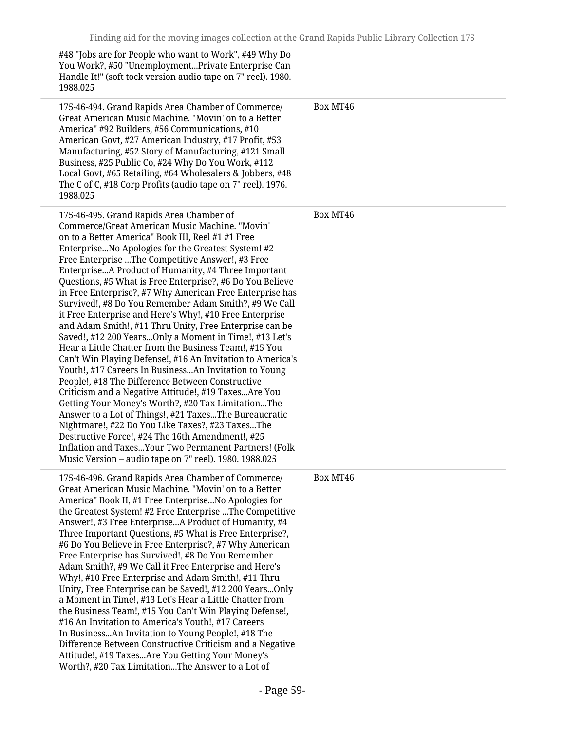| #48 "Jobs are for People who want to Work", #49 Why Do<br>You Work?, #50 "UnemploymentPrivate Enterprise Can<br>Handle It!" (soft tock version audio tape on 7" reel). 1980.<br>1988.025                                                                                                                                                                                                                                                                                                                                                                                                                                                                                                                                                                                                                                                                                                                                                                                                                                                                                                                                                                                                                                                                                                                                    |          |
|-----------------------------------------------------------------------------------------------------------------------------------------------------------------------------------------------------------------------------------------------------------------------------------------------------------------------------------------------------------------------------------------------------------------------------------------------------------------------------------------------------------------------------------------------------------------------------------------------------------------------------------------------------------------------------------------------------------------------------------------------------------------------------------------------------------------------------------------------------------------------------------------------------------------------------------------------------------------------------------------------------------------------------------------------------------------------------------------------------------------------------------------------------------------------------------------------------------------------------------------------------------------------------------------------------------------------------|----------|
| 175-46-494. Grand Rapids Area Chamber of Commerce/<br>Great American Music Machine. "Movin' on to a Better<br>America" #92 Builders, #56 Communications, #10<br>American Govt, #27 American Industry, #17 Profit, #53<br>Manufacturing, #52 Story of Manufacturing, #121 Small<br>Business, #25 Public Co, #24 Why Do You Work, #112<br>Local Govt, #65 Retailing, #64 Wholesalers & Jobbers, #48<br>The C of C, #18 Corp Profits (audio tape on 7" reel). 1976.<br>1988.025                                                                                                                                                                                                                                                                                                                                                                                                                                                                                                                                                                                                                                                                                                                                                                                                                                                | Box MT46 |
| 175-46-495. Grand Rapids Area Chamber of<br>Commerce/Great American Music Machine. "Movin'<br>on to a Better America" Book III, Reel #1 #1 Free<br>Enterprise No Apologies for the Greatest System! #2<br>Free Enterprise The Competitive Answer!, #3 Free<br>EnterpriseA Product of Humanity, #4 Three Important<br>Questions, #5 What is Free Enterprise?, #6 Do You Believe<br>in Free Enterprise?, #7 Why American Free Enterprise has<br>Survived!, #8 Do You Remember Adam Smith?, #9 We Call<br>it Free Enterprise and Here's Why!, #10 Free Enterprise<br>and Adam Smith!, #11 Thru Unity, Free Enterprise can be<br>Saved!, #12 200 YearsOnly a Moment in Time!, #13 Let's<br>Hear a Little Chatter from the Business Team!, #15 You<br>Can't Win Playing Defense!, #16 An Invitation to America's<br>Youth!, #17 Careers In BusinessAn Invitation to Young<br>People!, #18 The Difference Between Constructive<br>Criticism and a Negative Attitude!, #19 TaxesAre You<br>Getting Your Money's Worth?, #20 Tax LimitationThe<br>Answer to a Lot of Things!, #21 TaxesThe Bureaucratic<br>Nightmare!, #22 Do You Like Taxes?, #23 TaxesThe<br>Destructive Force!, #24 The 16th Amendment!, #25<br>Inflation and Taxes Your Two Permanent Partners! (Folk<br>Music Version - audio tape on 7" reel). 1980. 1988.025 | Box MT46 |
| 175-46-496. Grand Rapids Area Chamber of Commerce/<br>Great American Music Machine. "Movin' on to a Better<br>America" Book II, #1 Free EnterpriseNo Apologies for<br>the Greatest System! #2 Free Enterprise  The Competitive<br>Answer!, #3 Free EnterpriseA Product of Humanity, #4<br>Three Important Questions, #5 What is Free Enterprise?,<br>#6 Do You Believe in Free Enterprise?, #7 Why American<br>Free Enterprise has Survived!, #8 Do You Remember<br>Adam Smith?, #9 We Call it Free Enterprise and Here's<br>Why!, #10 Free Enterprise and Adam Smith!, #11 Thru<br>Unity, Free Enterprise can be Saved!, #12 200 YearsOnly<br>a Moment in Time!, #13 Let's Hear a Little Chatter from<br>the Business Team!, #15 You Can't Win Playing Defense!,<br>#16 An Invitation to America's Youth!, #17 Careers<br>In BusinessAn Invitation to Young People!, #18 The<br>Difference Between Constructive Criticism and a Negative<br>Attitude!, #19 TaxesAre You Getting Your Money's<br>Worth?, #20 Tax LimitationThe Answer to a Lot of                                                                                                                                                                                                                                                                           | Box MT46 |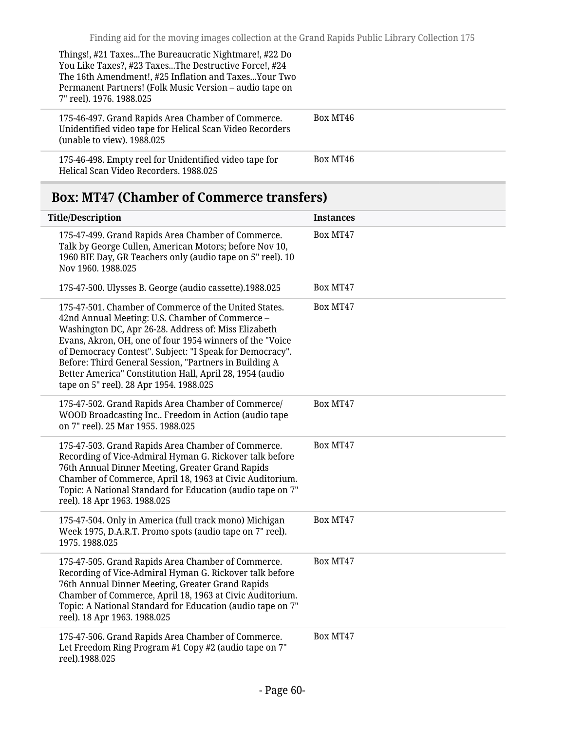| Things!, #21 TaxesThe Bureaucratic Nightmare!, #22 Do<br>You Like Taxes?, #23 TaxesThe Destructive Force!, #24<br>The 16th Amendment!, #25 Inflation and Taxes Your Two<br>Permanent Partners! (Folk Music Version – audio tape on<br>7" reel). 1976. 1988.025 |          |
|----------------------------------------------------------------------------------------------------------------------------------------------------------------------------------------------------------------------------------------------------------------|----------|
| 175-46-497. Grand Rapids Area Chamber of Commerce.<br>Unidentified video tape for Helical Scan Video Recorders<br>(unable to view). 1988.025                                                                                                                   | Box MT46 |
| 175-46-498. Empty reel for Unidentified video tape for<br>Helical Scan Video Recorders. 1988.025                                                                                                                                                               | Box MT46 |

# <span id="page-59-0"></span>**Box: MT47 (Chamber of Commerce transfers)**

| <b>Title/Description</b>                                                                                                                                                                                                                                                                                                                                                                                                                                  | <b>Instances</b> |
|-----------------------------------------------------------------------------------------------------------------------------------------------------------------------------------------------------------------------------------------------------------------------------------------------------------------------------------------------------------------------------------------------------------------------------------------------------------|------------------|
| 175-47-499. Grand Rapids Area Chamber of Commerce.<br>Talk by George Cullen, American Motors; before Nov 10,<br>1960 BIE Day, GR Teachers only (audio tape on 5" reel). 10<br>Nov 1960. 1988.025                                                                                                                                                                                                                                                          | Box MT47         |
| 175-47-500. Ulysses B. George (audio cassette).1988.025                                                                                                                                                                                                                                                                                                                                                                                                   | Box MT47         |
| 175-47-501. Chamber of Commerce of the United States.<br>42nd Annual Meeting: U.S. Chamber of Commerce -<br>Washington DC, Apr 26-28. Address of: Miss Elizabeth<br>Evans, Akron, OH, one of four 1954 winners of the "Voice<br>of Democracy Contest". Subject: "I Speak for Democracy".<br>Before: Third General Session, "Partners in Building A<br>Better America" Constitution Hall, April 28, 1954 (audio<br>tape on 5" reel). 28 Apr 1954. 1988.025 | Box MT47         |
| 175-47-502. Grand Rapids Area Chamber of Commerce/<br>WOOD Broadcasting Inc Freedom in Action (audio tape<br>on 7" reel). 25 Mar 1955. 1988.025                                                                                                                                                                                                                                                                                                           | Box MT47         |
| 175-47-503. Grand Rapids Area Chamber of Commerce.<br>Recording of Vice-Admiral Hyman G. Rickover talk before<br>76th Annual Dinner Meeting, Greater Grand Rapids<br>Chamber of Commerce, April 18, 1963 at Civic Auditorium.<br>Topic: A National Standard for Education (audio tape on 7"<br>reel). 18 Apr 1963. 1988.025                                                                                                                               | Box MT47         |
| 175-47-504. Only in America (full track mono) Michigan<br>Week 1975, D.A.R.T. Promo spots (audio tape on 7" reel).<br>1975.1988.025                                                                                                                                                                                                                                                                                                                       | Box MT47         |
| 175-47-505. Grand Rapids Area Chamber of Commerce.<br>Recording of Vice-Admiral Hyman G. Rickover talk before<br>76th Annual Dinner Meeting, Greater Grand Rapids<br>Chamber of Commerce, April 18, 1963 at Civic Auditorium.<br>Topic: A National Standard for Education (audio tape on 7"<br>reel). 18 Apr 1963. 1988.025                                                                                                                               | Box MT47         |
| 175-47-506. Grand Rapids Area Chamber of Commerce.<br>Let Freedom Ring Program #1 Copy #2 (audio tape on 7"<br>reel).1988.025                                                                                                                                                                                                                                                                                                                             | Box MT47         |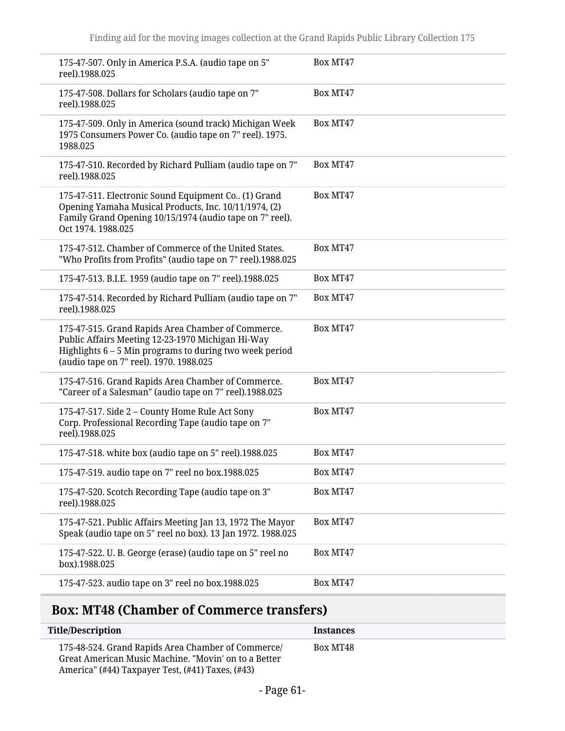| 175-47-507. Only in America P.S.A. (audio tape on 5"<br>reel).1988.025                                                                                                                                          | Box MT47 |
|-----------------------------------------------------------------------------------------------------------------------------------------------------------------------------------------------------------------|----------|
| 175-47-508. Dollars for Scholars (audio tape on 7"<br>reel).1988.025                                                                                                                                            | Box MT47 |
| 175-47-509. Only in America (sound track) Michigan Week<br>1975 Consumers Power Co. (audio tape on 7" reel). 1975.<br>1988.025                                                                                  | Box MT47 |
| 175-47-510. Recorded by Richard Pulliam (audio tape on 7"<br>reel).1988.025                                                                                                                                     | Box MT47 |
| 175-47-511. Electronic Sound Equipment Co (1) Grand<br>Opening Yamaha Musical Products, Inc. 10/11/1974, (2)<br>Family Grand Opening 10/15/1974 (audio tape on 7" reel).<br>Oct 1974. 1988.025                  | Box MT47 |
| 175-47-512. Chamber of Commerce of the United States.<br>"Who Profits from Profits" (audio tape on 7" reel).1988.025                                                                                            | Box MT47 |
| 175-47-513. B.I.E. 1959 (audio tape on 7" reel).1988.025                                                                                                                                                        | Box MT47 |
| 175-47-514. Recorded by Richard Pulliam (audio tape on 7"<br>reel).1988.025                                                                                                                                     | Box MT47 |
| 175-47-515. Grand Rapids Area Chamber of Commerce.<br>Public Affairs Meeting 12-23-1970 Michigan Hi-Way<br>Highlights $6 - 5$ Min programs to during two week period<br>(audio tape on 7" reel). 1970. 1988.025 | Box MT47 |
| 175-47-516. Grand Rapids Area Chamber of Commerce.<br>"Career of a Salesman" (audio tape on 7" reel).1988.025                                                                                                   | Box MT47 |
| 175-47-517. Side 2 - County Home Rule Act Sony<br>Corp. Professional Recording Tape (audio tape on 7"<br>reel).1988.025                                                                                         | Box MT47 |
| 175-47-518. white box (audio tape on 5" reel).1988.025                                                                                                                                                          | Box MT47 |
| 175-47-519. audio tape on 7" reel no box.1988.025                                                                                                                                                               | Box MT47 |
| 175-47-520. Scotch Recording Tape (audio tape on 3"<br>reel).1988.025                                                                                                                                           | Box MT47 |
| 175-47-521. Public Affairs Meeting Jan 13, 1972 The Mayor<br>Speak (audio tape on 5" reel no box). 13 Jan 1972. 1988.025                                                                                        | Box MT47 |
| 175-47-522. U. B. George (erase) (audio tape on 5" reel no<br>box).1988.025                                                                                                                                     | Box MT47 |
| 175-47-523. audio tape on 3" reel no box.1988.025                                                                                                                                                               | Box MT47 |
|                                                                                                                                                                                                                 |          |

# <span id="page-60-0"></span>**Box: MT48 (Chamber of Commerce transfers)**

L

| <b>Title/Description</b>                                                                                                                                       | <b>Instances</b> |
|----------------------------------------------------------------------------------------------------------------------------------------------------------------|------------------|
| 175-48-524. Grand Rapids Area Chamber of Commerce/<br>Great American Music Machine. "Movin' on to a Better<br>America" (#44) Taxpayer Test, (#41) Taxes, (#43) | Box MT48         |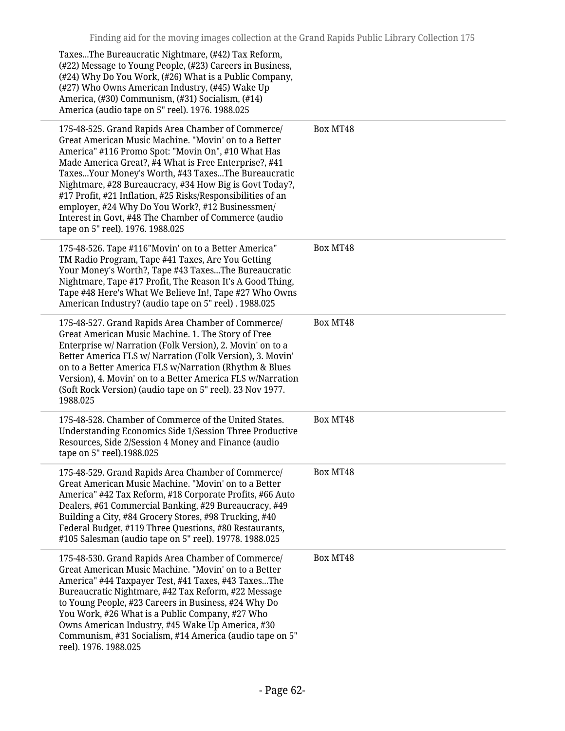| TaxesThe Bureaucratic Nightmare, (#42) Tax Reform,<br>(#22) Message to Young People, (#23) Careers in Business,<br>(#24) Why Do You Work, (#26) What is a Public Company,<br>(#27) Who Owns American Industry, (#45) Wake Up<br>America, (#30) Communism, (#31) Socialism, (#14)<br>America (audio tape on 5" reel). 1976. 1988.025                                                                                                                                                                                                                       |          |
|-----------------------------------------------------------------------------------------------------------------------------------------------------------------------------------------------------------------------------------------------------------------------------------------------------------------------------------------------------------------------------------------------------------------------------------------------------------------------------------------------------------------------------------------------------------|----------|
| 175-48-525. Grand Rapids Area Chamber of Commerce/<br>Great American Music Machine. "Movin' on to a Better<br>America" #116 Promo Spot: "Movin On", #10 What Has<br>Made America Great?, #4 What is Free Enterprise?, #41<br>TaxesYour Money's Worth, #43 TaxesThe Bureaucratic<br>Nightmare, #28 Bureaucracy, #34 How Big is Govt Today?,<br>#17 Profit, #21 Inflation, #25 Risks/Responsibilities of an<br>employer, #24 Why Do You Work?, #12 Businessmen/<br>Interest in Govt, #48 The Chamber of Commerce (audio<br>tape on 5" reel). 1976. 1988.025 | Box MT48 |
| 175-48-526. Tape #116"Movin' on to a Better America"<br>TM Radio Program, Tape #41 Taxes, Are You Getting<br>Your Money's Worth?, Tape #43 TaxesThe Bureaucratic<br>Nightmare, Tape #17 Profit, The Reason It's A Good Thing,<br>Tape #48 Here's What We Believe In!, Tape #27 Who Owns<br>American Industry? (audio tape on 5" reel) . 1988.025                                                                                                                                                                                                          | Box MT48 |
| 175-48-527. Grand Rapids Area Chamber of Commerce/<br>Great American Music Machine. 1. The Story of Free<br>Enterprise w/ Narration (Folk Version), 2. Movin' on to a<br>Better America FLS w/ Narration (Folk Version), 3. Movin'<br>on to a Better America FLS w/Narration (Rhythm & Blues<br>Version), 4. Movin' on to a Better America FLS w/Narration<br>(Soft Rock Version) (audio tape on 5" reel). 23 Nov 1977.<br>1988.025                                                                                                                       | Box MT48 |
| 175-48-528. Chamber of Commerce of the United States.<br>Understanding Economics Side 1/Session Three Productive<br>Resources, Side 2/Session 4 Money and Finance (audio<br>tape on 5" reel).1988.025                                                                                                                                                                                                                                                                                                                                                     | Box MT48 |
| 175-48-529. Grand Rapids Area Chamber of Commerce/<br>Great American Music Machine. "Movin' on to a Better<br>America" #42 Tax Reform, #18 Corporate Profits, #66 Auto<br>Dealers, #61 Commercial Banking, #29 Bureaucracy, #49<br>Building a City, #84 Grocery Stores, #98 Trucking, #40<br>Federal Budget, #119 Three Questions, #80 Restaurants,<br>#105 Salesman (audio tape on 5" reel). 19778. 1988.025                                                                                                                                             | Box MT48 |
| 175-48-530. Grand Rapids Area Chamber of Commerce/<br>Great American Music Machine. "Movin' on to a Better<br>America" #44 Taxpayer Test, #41 Taxes, #43 TaxesThe<br>Bureaucratic Nightmare, #42 Tax Reform, #22 Message<br>to Young People, #23 Careers in Business, #24 Why Do<br>You Work, #26 What is a Public Company, #27 Who<br>Owns American Industry, #45 Wake Up America, #30<br>Communism, #31 Socialism, #14 America (audio tape on 5"<br>reel). 1976. 1988.025                                                                               | Box MT48 |